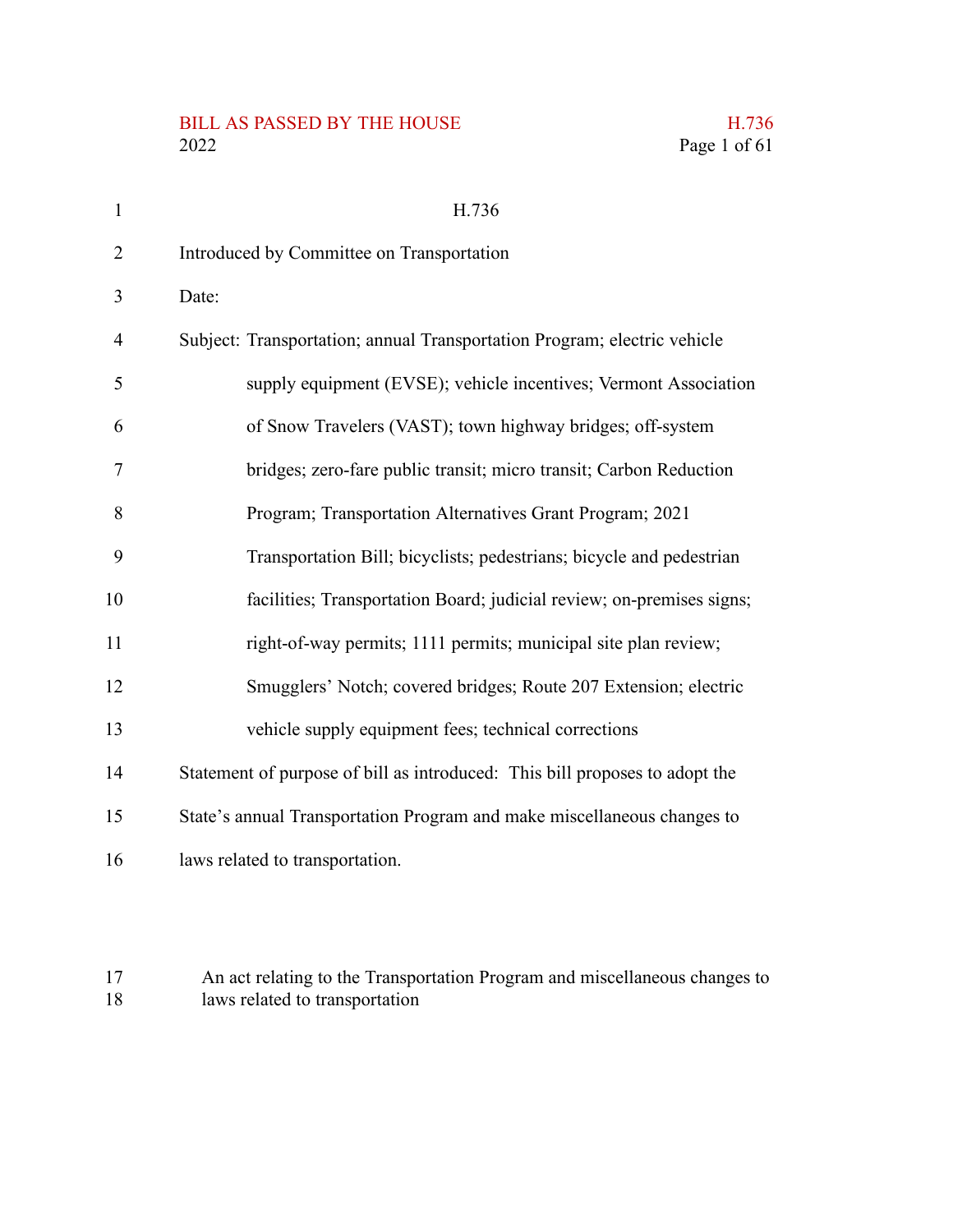# BILL AS PASSED BY THE HOUSE H.736<br>2022 Page 1 of 61

| $\mathbf{1}$ | H.736                                                                       |
|--------------|-----------------------------------------------------------------------------|
| 2            | Introduced by Committee on Transportation                                   |
| 3            | Date:                                                                       |
| 4            | Subject: Transportation; annual Transportation Program; electric vehicle    |
| 5            | supply equipment (EVSE); vehicle incentives; Vermont Association            |
| 6            | of Snow Travelers (VAST); town highway bridges; off-system                  |
| 7            | bridges; zero-fare public transit; micro transit; Carbon Reduction          |
| 8            | Program; Transportation Alternatives Grant Program; 2021                    |
| 9            | Transportation Bill; bicyclists; pedestrians; bicycle and pedestrian        |
| 10           | facilities; Transportation Board; judicial review; on-premises signs;       |
| 11           | right-of-way permits; 1111 permits; municipal site plan review;             |
| 12           | Smugglers' Notch; covered bridges; Route 207 Extension; electric            |
| 13           | vehicle supply equipment fees; technical corrections                        |
| 14           | Statement of purpose of bill as introduced: This bill proposes to adopt the |
| 15           | State's annual Transportation Program and make miscellaneous changes to     |
| 16           | laws related to transportation.                                             |
|              |                                                                             |

An act relating to the Transportation Program and miscellaneous changes to laws related to transportation 17 18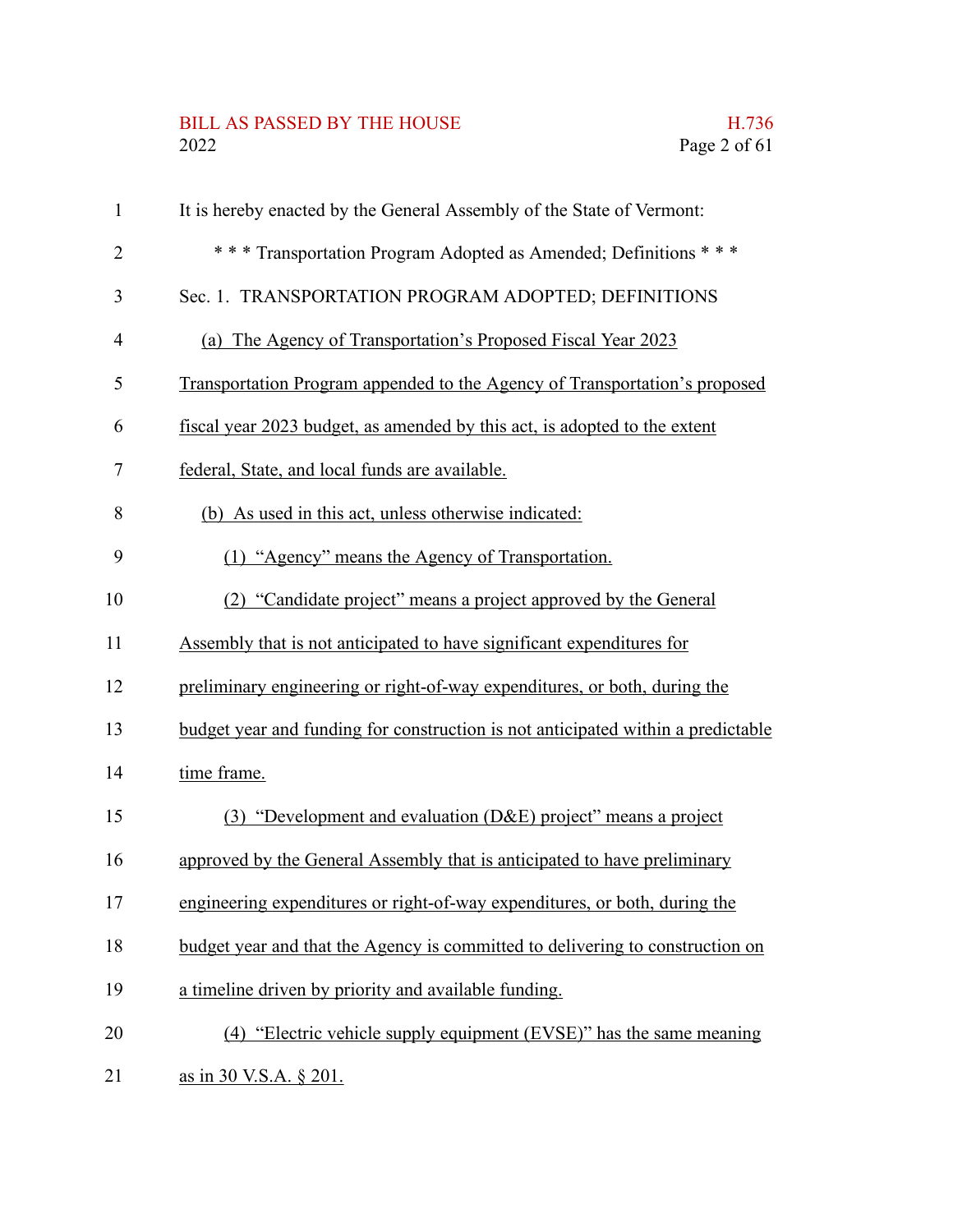# BILL AS PASSED BY THE HOUSE H.736<br>2022 Page 2 of 61

| 1              | It is hereby enacted by the General Assembly of the State of Vermont:            |
|----------------|----------------------------------------------------------------------------------|
| $\overline{2}$ | *** Transportation Program Adopted as Amended; Definitions ***                   |
| 3              | Sec. 1. TRANSPORTATION PROGRAM ADOPTED; DEFINITIONS                              |
| 4              | (a) The Agency of Transportation's Proposed Fiscal Year 2023                     |
| 5              | Transportation Program appended to the Agency of Transportation's proposed       |
| 6              | fiscal year 2023 budget, as amended by this act, is adopted to the extent        |
| 7              | federal, State, and local funds are available.                                   |
| 8              | (b) As used in this act, unless otherwise indicated:                             |
| 9              | (1) "Agency" means the Agency of Transportation.                                 |
| 10             | (2) "Candidate project" means a project approved by the General                  |
| 11             | Assembly that is not anticipated to have significant expenditures for            |
| 12             | preliminary engineering or right-of-way expenditures, or both, during the        |
| 13             | budget year and funding for construction is not anticipated within a predictable |
| 14             | time frame.                                                                      |
| 15             | (3) "Development and evaluation (D&E) project" means a project                   |
| 16             | approved by the General Assembly that is anticipated to have preliminary         |
| 17             | engineering expenditures or right-of-way expenditures, or both, during the       |
| 18             | budget year and that the Agency is committed to delivering to construction on    |
| 19             | a timeline driven by priority and available funding.                             |
| 20             | (4) "Electric vehicle supply equipment (EVSE)" has the same meaning              |
| 21             | as in 30 V.S.A. § 201.                                                           |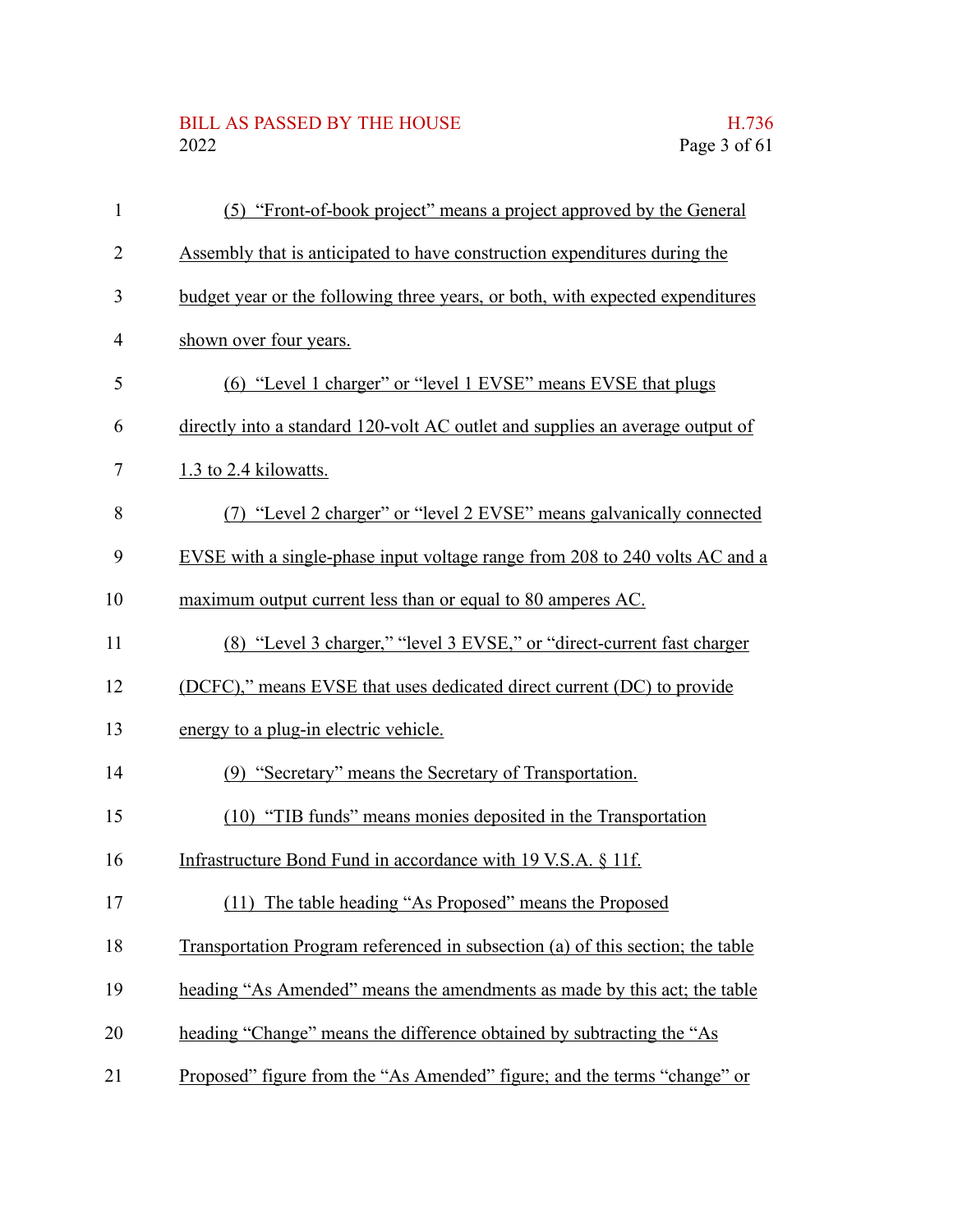# BILL AS PASSED BY THE HOUSE H.736<br>2022 Page 3 of 61

| $\mathbf{1}$ | (5) "Front-of-book project" means a project approved by the General            |
|--------------|--------------------------------------------------------------------------------|
| 2            | Assembly that is anticipated to have construction expenditures during the      |
| 3            | budget year or the following three years, or both, with expected expenditures  |
| 4            | shown over four years.                                                         |
| 5            | (6) "Level 1 charger" or "level 1 EVSE" means EVSE that plugs                  |
| 6            | directly into a standard 120-volt AC outlet and supplies an average output of  |
| 7            | 1.3 to 2.4 kilowatts.                                                          |
| 8            | (7) "Level 2 charger" or "level 2 EVSE" means galvanically connected           |
| 9            | EVSE with a single-phase input voltage range from 208 to 240 volts AC and a    |
| 10           | maximum output current less than or equal to 80 amperes AC.                    |
| 11           | (8) "Level 3 charger," "level 3 EVSE," or "direct-current fast charger         |
| 12           | (DCFC)," means EVSE that uses dedicated direct current (DC) to provide         |
| 13           | energy to a plug-in electric vehicle.                                          |
| 14           | (9) "Secretary" means the Secretary of Transportation.                         |
| 15           | (10) "TIB funds" means monies deposited in the Transportation                  |
| 16           | Infrastructure Bond Fund in accordance with 19 V.S.A. § 11f.                   |
| 17           | (11) The table heading "As Proposed" means the Proposed                        |
| 18           | Transportation Program referenced in subsection (a) of this section; the table |
| 19           | heading "As Amended" means the amendments as made by this act; the table       |
| 20           | heading "Change" means the difference obtained by subtracting the "As          |
| 21           | Proposed" figure from the "As Amended" figure; and the terms "change" or       |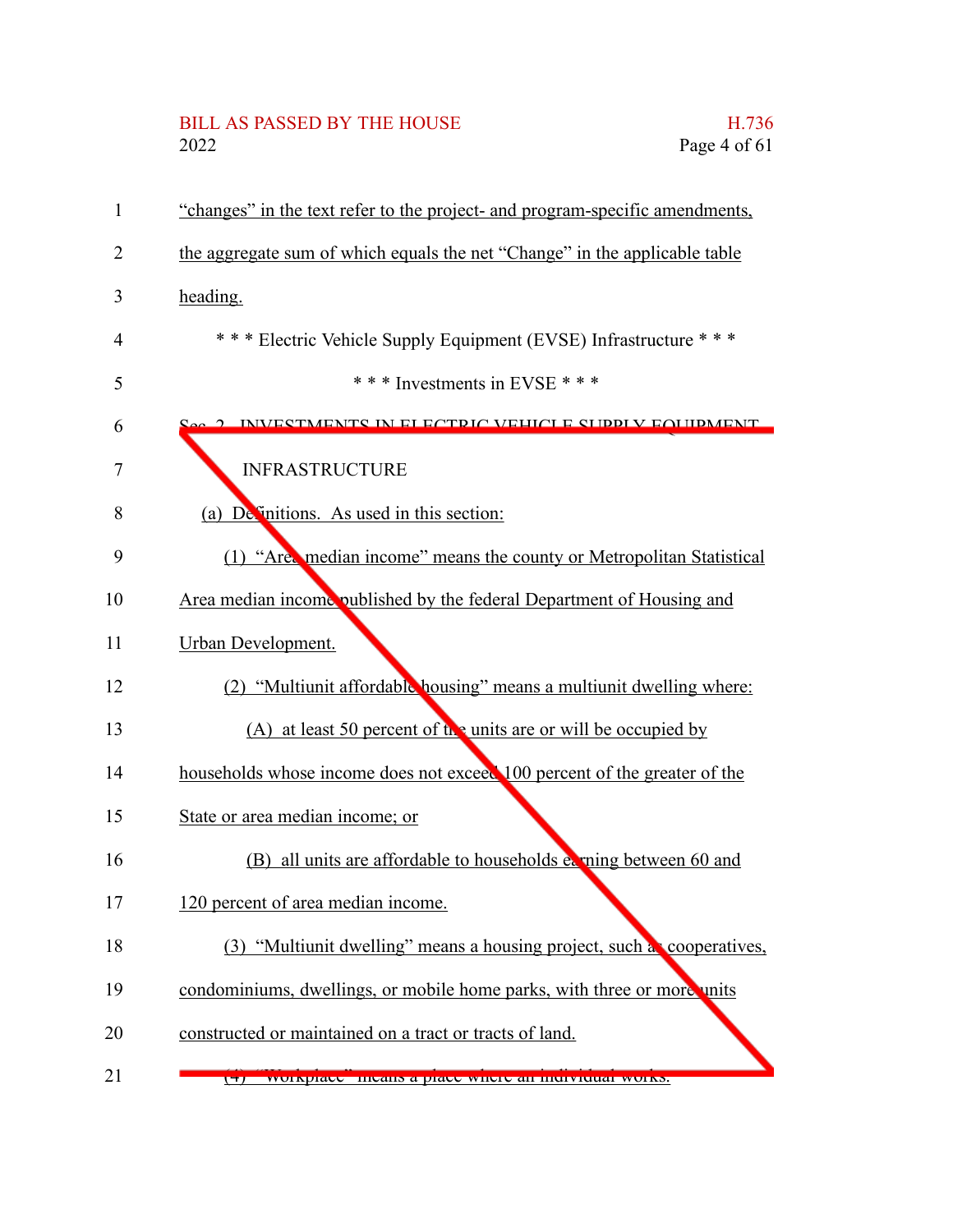# BILL AS PASSED BY THE HOUSE H.736<br>2022 Page 4 of 61

| $\mathbf{1}$ | "changes" in the text refer to the project- and program-specific amendments, |
|--------------|------------------------------------------------------------------------------|
| 2            | the aggregate sum of which equals the net "Change" in the applicable table   |
| 3            | heading.                                                                     |
| 4            | *** Electric Vehicle Supply Equipment (EVSE) Infrastructure ***              |
| 5            | *** Investments in EVSE ***                                                  |
| 6            | INVESTMENTS IN ELECTDIC VEHICLE SUDDLY FOUDMENT                              |
| 7            | <b>INFRASTRUCTURE</b>                                                        |
| 8            | (a) De initions. As used in this section:                                    |
| 9            | (1) "Are, median income" means the county or Metropolitan Statistical        |
| 10           | Area median income published by the federal Department of Housing and        |
| 11           | <b>Urban Development.</b>                                                    |
| 12           | (2) "Multiunit affordable housing" means a multiunit dwelling where:         |
| 13           | (A) at least 50 percent of the units are or will be occupied by              |
| 14           | households whose income does not exceed 100 percent of the greater of the    |
| 15           | State or area median income; or                                              |
| 16           | (B) all units are affordable to households ex ning between 60 and            |
| 17           | 120 percent of area median income.                                           |
| 18           | (3) "Multiunit dwelling" means a housing project, such a cooperatives,       |
| 19           | condominiums, dwellings, or mobile home parks, with three or more units      |
| 20           | constructed or maintained on a tract or tracts of land.                      |
| 21           | workplace incans a place where an individual works.                          |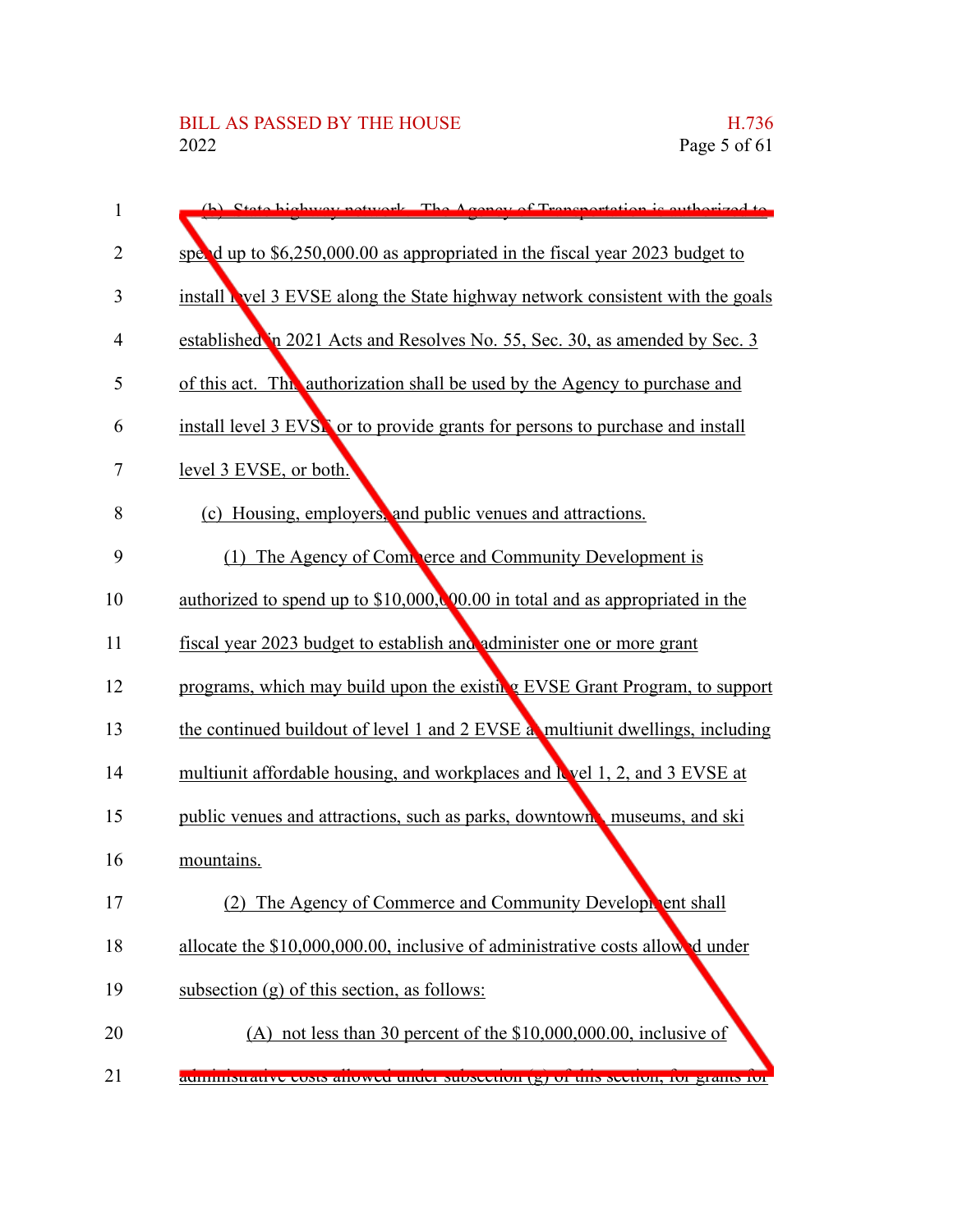| 1  | (b) State highway network The Agency of Transportation is outhorized to                                        |
|----|----------------------------------------------------------------------------------------------------------------|
| 2  | spend up to $$6,250,000.00$ as appropriated in the fiscal year 2023 budget to                                  |
| 3  | install Nevel 3 EVSE along the State highway network consistent with the goals                                 |
| 4  | established in 2021 Acts and Resolves No. 55, Sec. 30, as amended by Sec. 3                                    |
| 5  | of this act. This authorization shall be used by the Agency to purchase and                                    |
| 6  | install level 3 EVSN or to provide grants for persons to purchase and install                                  |
| 7  | level 3 EVSE, or both.                                                                                         |
| 8  | (c) Housing, employers, and public venues and attractions.                                                     |
| 9  | (1) The Agency of Complete and Community Development is                                                        |
| 10 | <u>authorized to spend up to <math>\$10,000</math>, <math>00.00</math> in total and as appropriated in the</u> |
| 11 | fiscal year 2023 budget to establish and administer one or more grant                                          |
| 12 | programs, which may build upon the existing EVSE Grant Program, to support                                     |
| 13 | the continued buildout of level 1 and 2 EVSE at multiunit dwellings, including                                 |
| 14 | multiunit affordable housing, and workplaces and level 1, 2, and 3 EVSE at                                     |
| 15 | public venues and attractions, such as parks, downtown, museums, and ski                                       |
| 16 | mountains.                                                                                                     |
| 17 | (2)<br>The Agency of Commerce and Community Development shall                                                  |
| 18 | allocate the \$10,000,000.00, inclusive of administrative costs allowed under                                  |
| 19 | subsection $(g)$ of this section, as follows:                                                                  |
| 20 | (A) not less than 30 percent of the \$10,000,000.00, inclusive of                                              |
| 21 | aummistrative costs anowed under subsection (g) or this section, for grants for                                |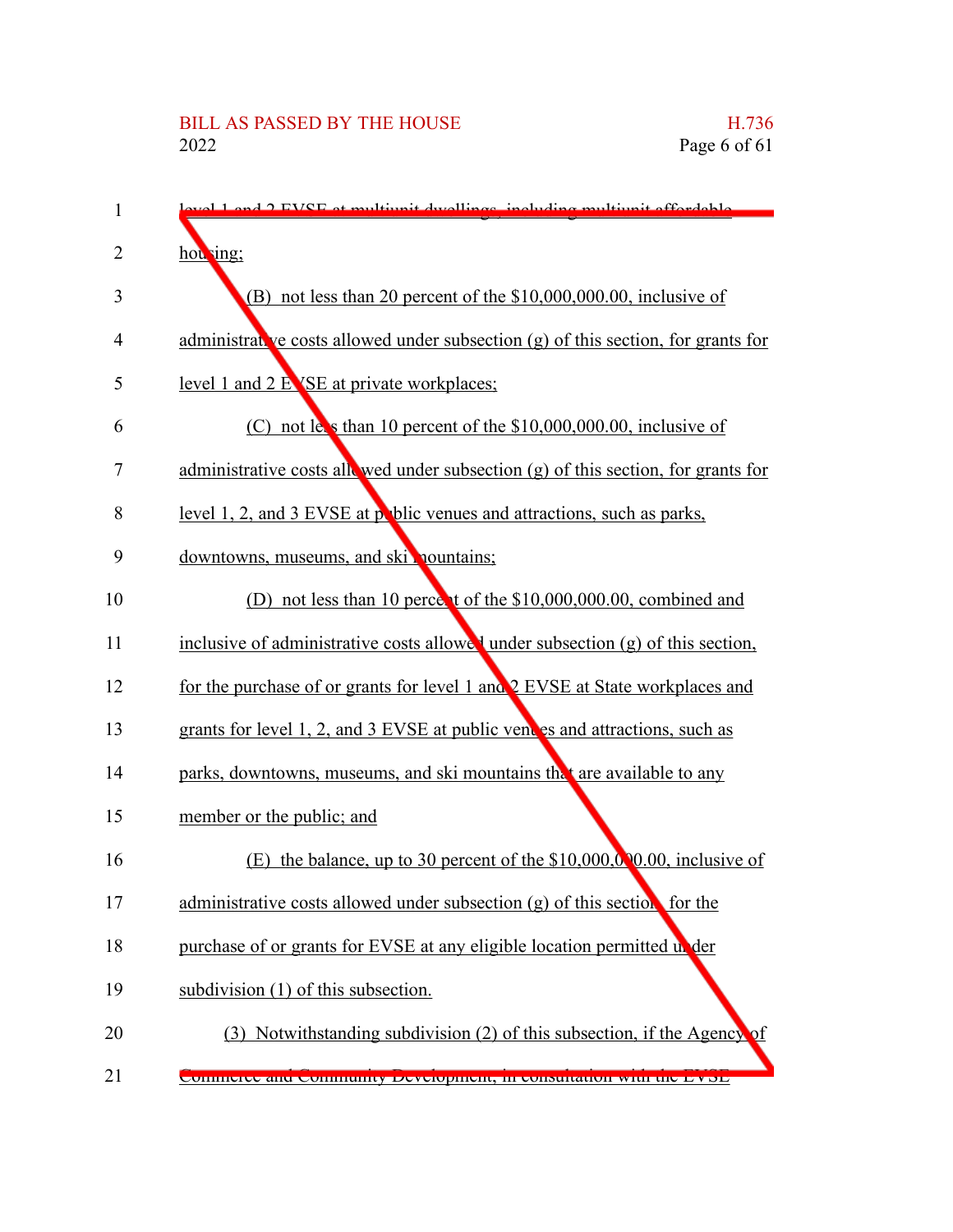| 1  | lovel 1 and 2 FVSF at multiunit dwellings, including multiunit effectable           |
|----|-------------------------------------------------------------------------------------|
| 2  | hou ing;                                                                            |
| 3  | $(B)$ not less than 20 percent of the \$10,000,000.00, inclusive of                 |
| 4  | administrative costs allowed under subsection $(g)$ of this section, for grants for |
| 5  | <u>level 1 and 2 EVSE at private workplaces;</u>                                    |
| 6  | $(C)$ not less than 10 percent of the \$10,000,000.00, inclusive of                 |
| 7  | administrative costs allowed under subsection $(g)$ of this section, for grants for |
| 8  | level 1, 2, and 3 EVSE at poblic venues and attractions, such as parks,             |
| 9  | downtowns, museums, and skill nountains;                                            |
| 10 | (D) not less than 10 percent of the \$10,000,000.00, combined and                   |
| 11 | inclusive of administrative costs allowed under subsection (g) of this section,     |
| 12 | for the purchase of or grants for level 1 and 2 EVSE at State workplaces and        |
| 13 | grants for level 1, 2, and 3 EVSE at public vent es and attractions, such as        |
| 14 | parks, downtowns, museums, and ski mountains the are available to any               |
| 15 | member or the public; and                                                           |
| 16 | the balance, up to 30 percent of the $$10,000,000,000$ , inclusive of<br>(E)        |
| 17 | administrative costs allowed under subsection $(g)$ of this section for the         |
| 18 | purchase of or grants for EVSE at any eligible location permitted under             |
| 19 | subdivision (1) of this subsection.                                                 |
| 20 | (3) Notwithstanding subdivision (2) of this subsection, if the Agency               |
| 21 | CONNICCIO QUINIQUINTY DOVOCINICIA IL CONSUMINIONI VIUL DI COPI                      |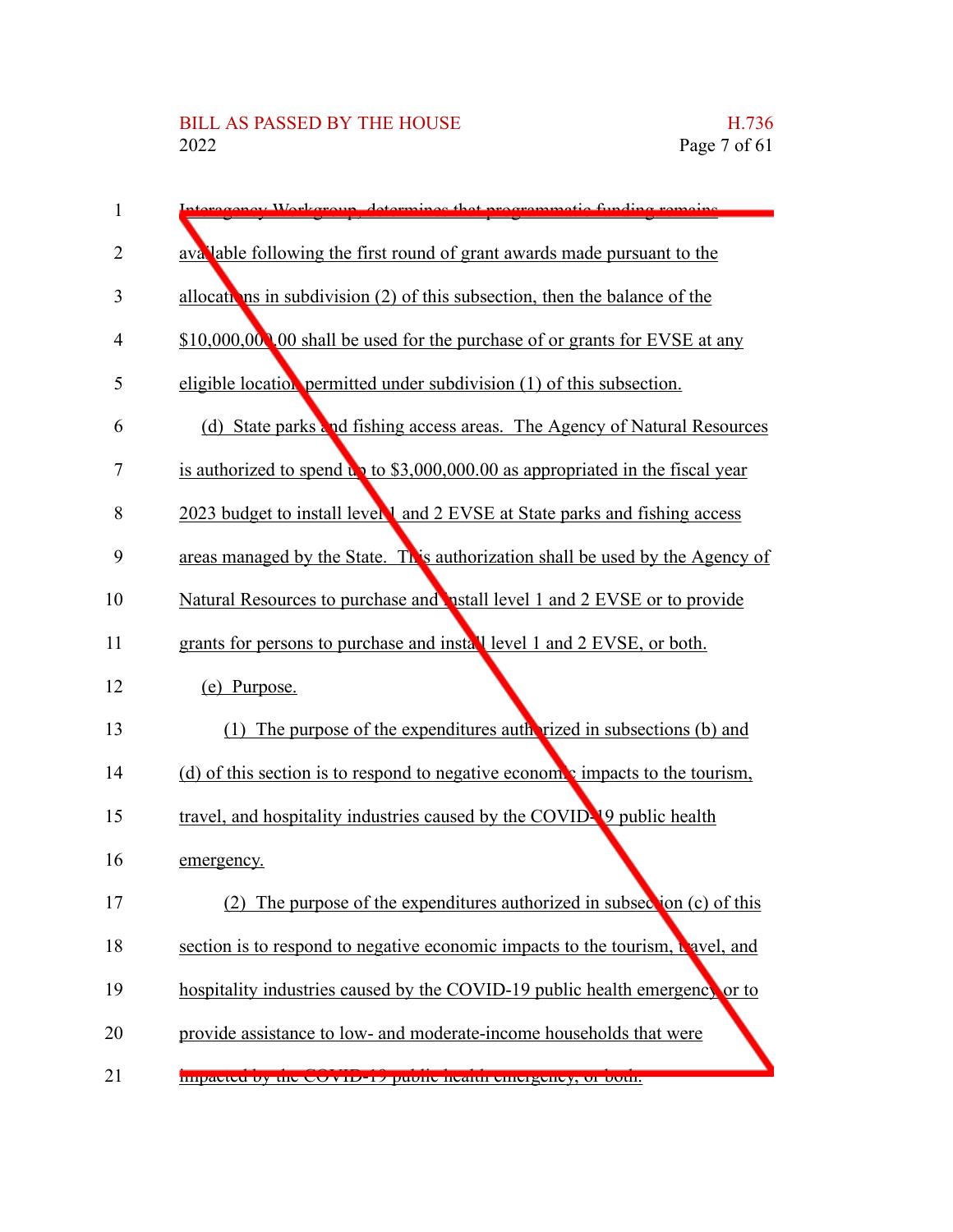| $\mathbf{1}$ | programmatio funding ramaing<br>ronov Warkaroun datarmines that                          |
|--------------|------------------------------------------------------------------------------------------|
| 2            | aval able following the first round of grant awards made pursuant to the                 |
| 3            | allocations in subdivision $(2)$ of this subsection, then the balance of the             |
| 4            | \$10,000,000,00 shall be used for the purchase of or grants for EVSE at any              |
| 5            | eligible location permitted under subdivision (1) of this subsection.                    |
| 6            | (d) State parks and fishing access areas. The Agency of Natural Resources                |
| 7            | is authorized to spend $\mathbf{u}$ to \$3,000,000.00 as appropriated in the fiscal year |
| 8            | 2023 budget to install level and 2 EVSE at State parks and fishing access                |
| 9            | areas managed by the State. This authorization shall be used by the Agency of            |
| 10           | Natural Resources to purchase and <b>postall level 1 and 2 EVSE</b> or to provide        |
| 11           | grants for persons to purchase and install level 1 and 2 EVSE, or both.                  |
| 12           | (e) Purpose.                                                                             |
| 13           | (1) The purpose of the expenditures authorized in subsections (b) and                    |
| 14           | (d) of this section is to respond to negative economic impacts to the tourism,           |
| 15           | travel, and hospitality industries caused by the COVID-19 public health                  |
| 16           | emergency.                                                                               |
| 17           | The purpose of the expenditures authorized in subsection (c) of this                     |
| 18           | section is to respond to negative economic impacts to the tourism, t avel, and           |
| 19           | hospitality industries caused by the COVID-19 public health emergency or to              |
| 20           | provide assistance to low- and moderate-income households that were                      |
| 21           | <b>Impacted by the COVID-17 public health emergency, or both.</b>                        |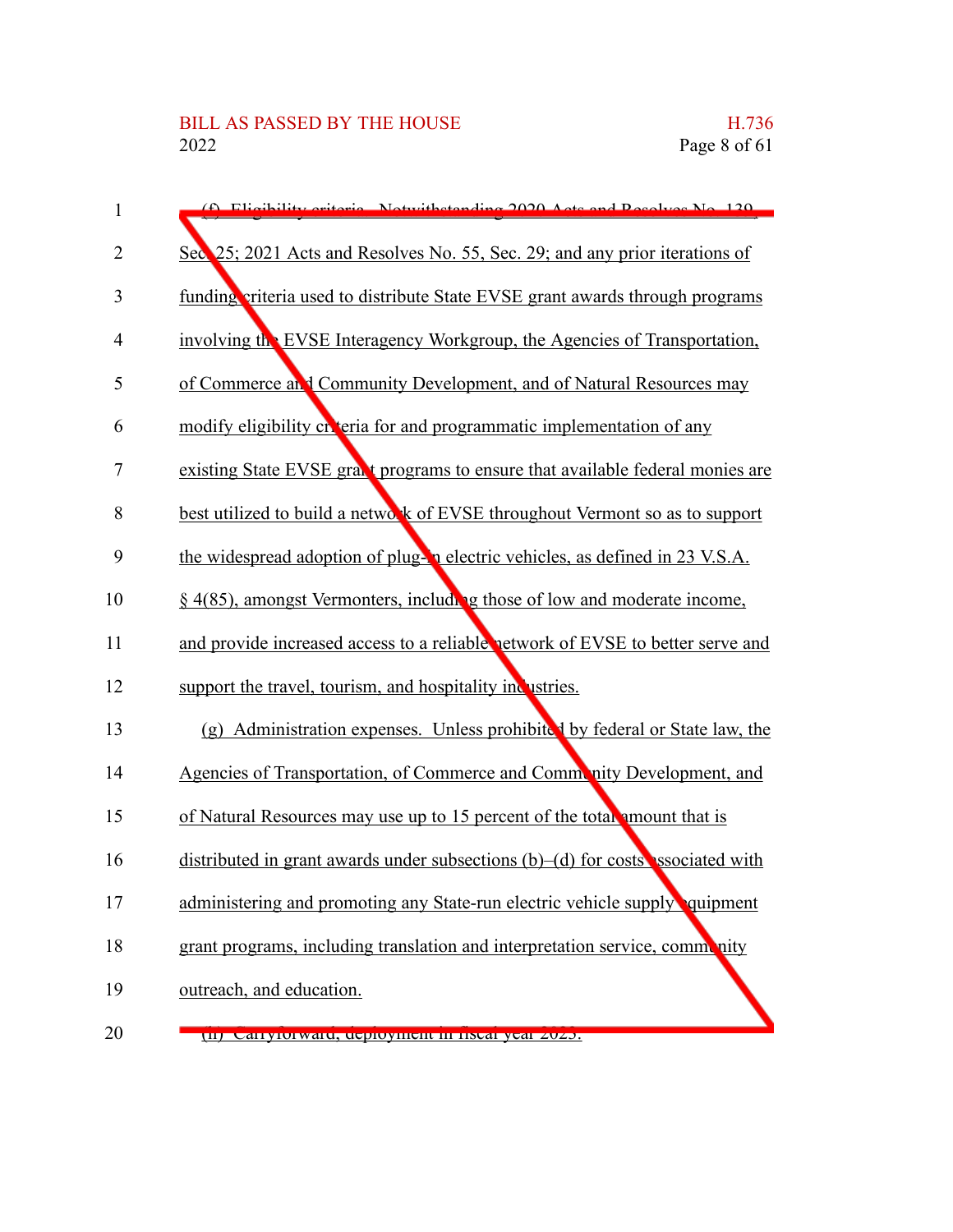| $\mathbf{1}$   | (f) Eligibility oritoria. Notwithstanding 2020, Acts and Resolves No. 120.          |
|----------------|-------------------------------------------------------------------------------------|
| $\overline{2}$ | Sec. 25; 2021 Acts and Resolves No. 55, Sec. 29; and any prior iterations of        |
| 3              | funding criteria used to distribute State EVSE grant awards through programs        |
| 4              | involving the EVSE Interagency Workgroup, the Agencies of Transportation,           |
| 5              | of Commerce at I Community Development, and of Natural Resources may                |
| 6              | modify eligibility chieria for and programmatic implementation of any               |
| 7              | existing State EVSE grant programs to ensure that available federal monies are      |
| 8              | best utilized to build a network of EVSE throughout Vermont so as to support        |
| 9              | the widespread adoption of plug-in electric vehicles, as defined in 23 V.S.A.       |
| 10             | $\S$ 4(85), amongst Vermonters, including those of low and moderate income,         |
| 11             | and provide increased access to a reliable network of EVSE to better serve and      |
| 12             | support the travel, tourism, and hospitality inclustries.                           |
| 13             | (g) Administration expenses. Unless prohibited by federal or State law, the         |
| 14             | Agencies of Transportation, of Commerce and Commenty Development, and               |
| 15             | of Natural Resources may use up to 15 percent of the total amount that is           |
| 16             | distributed in grant awards under subsections $(b)$ $-(d)$ for costs ssociated with |
| 17             | administering and promoting any State-run electric vehicle supply quipment          |
| 18             | grant programs, including translation and interpretation service, community         |
| 19             | outreach, and education.                                                            |
| 20             | tu) Carryrorwaru, ucproyment in nsear year 2025.                                    |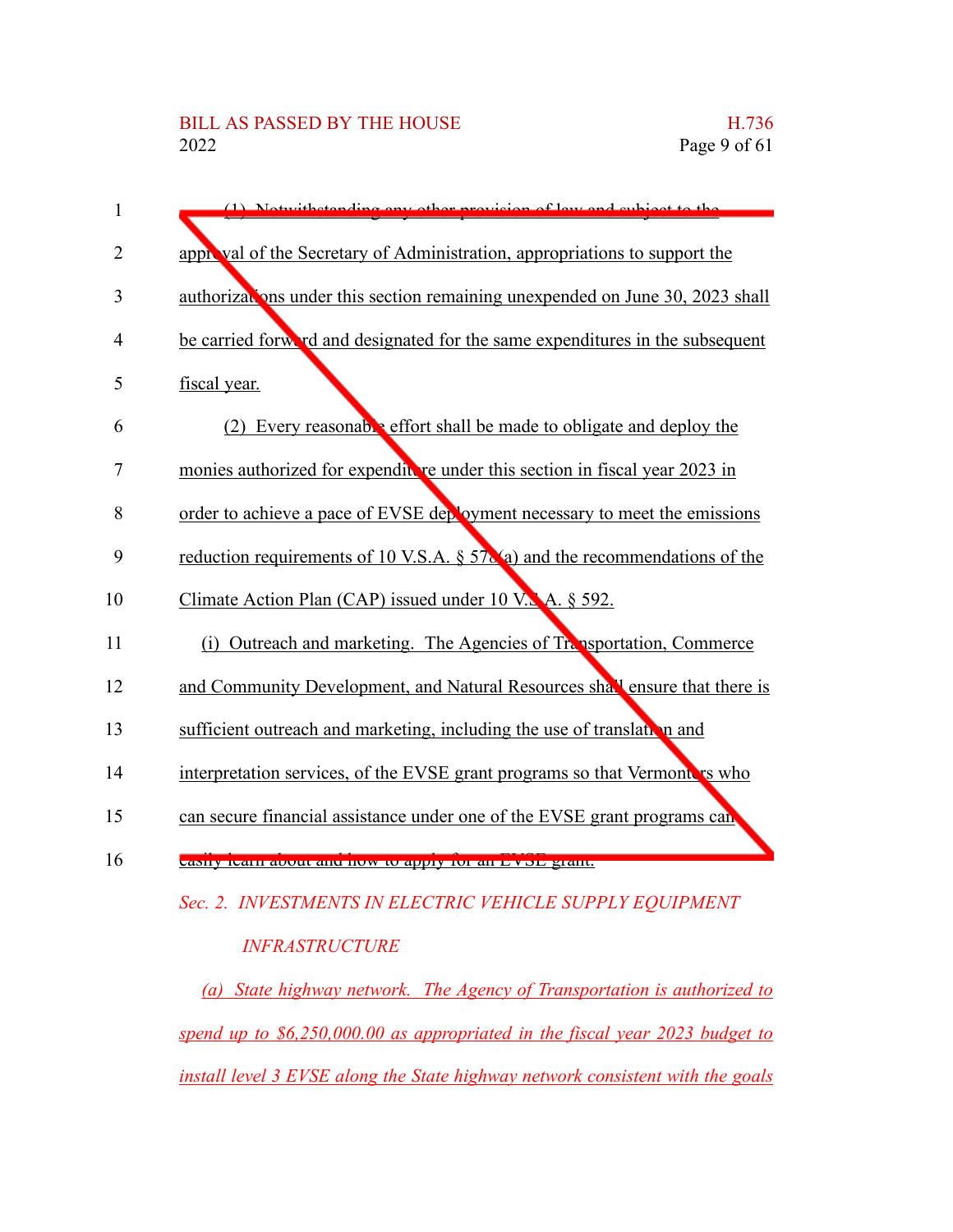| 1  | (1) Notwithstanding any other provision<br>of law and cubigot to the           |
|----|--------------------------------------------------------------------------------|
|    |                                                                                |
| 2  | approval of the Secretary of Administration, appropriations to support the     |
| 3  | authorizations under this section remaining unexpended on June 30, 2023 shall  |
| 4  | be carried forward and designated for the same expenditures in the subsequent  |
| 5  | fiscal year.                                                                   |
| 6  | (2) Every reasonable effort shall be made to obligate and deploy the           |
| 7  | monies authorized for expenditure under this section in fiscal year 2023 in    |
| 8  | order to achieve a pace of EVSE deployment necessary to meet the emissions     |
| 9  | reduction requirements of 10 V.S.A. $\S 57$ (a) and the recommendations of the |
| 10 | Climate Action Plan (CAP) issued under 10 V.A. $\S$ 592.                       |
| 11 | Outreach and marketing. The Agencies of Transportation, Commerce<br>(i)        |
| 12 | and Community Development, and Natural Resources shall ensure that there is    |
| 13 | sufficient outreach and marketing, including the use of translation and        |
| 14 | interpretation services, of the EVSE grant programs so that Vermonters who     |
| 15 | can secure financial assistance under one of the EVSE grant programs can       |
| 16 | casify icam about and now to apply for an Evol grant.                          |
|    |                                                                                |

*Sec. 2. INVESTMENTS IN ELECTRIC VEHICLE SUPPLY EQUIPMENT*

*INFRASTRUCTURE*

*(a) State highway network. The Agency of Transportation is authorized to spend up to \$6,250,000.00 as appropriated in the fiscal year 2023 budget to install level 3 EVSE along the State highway network consistent with the goals*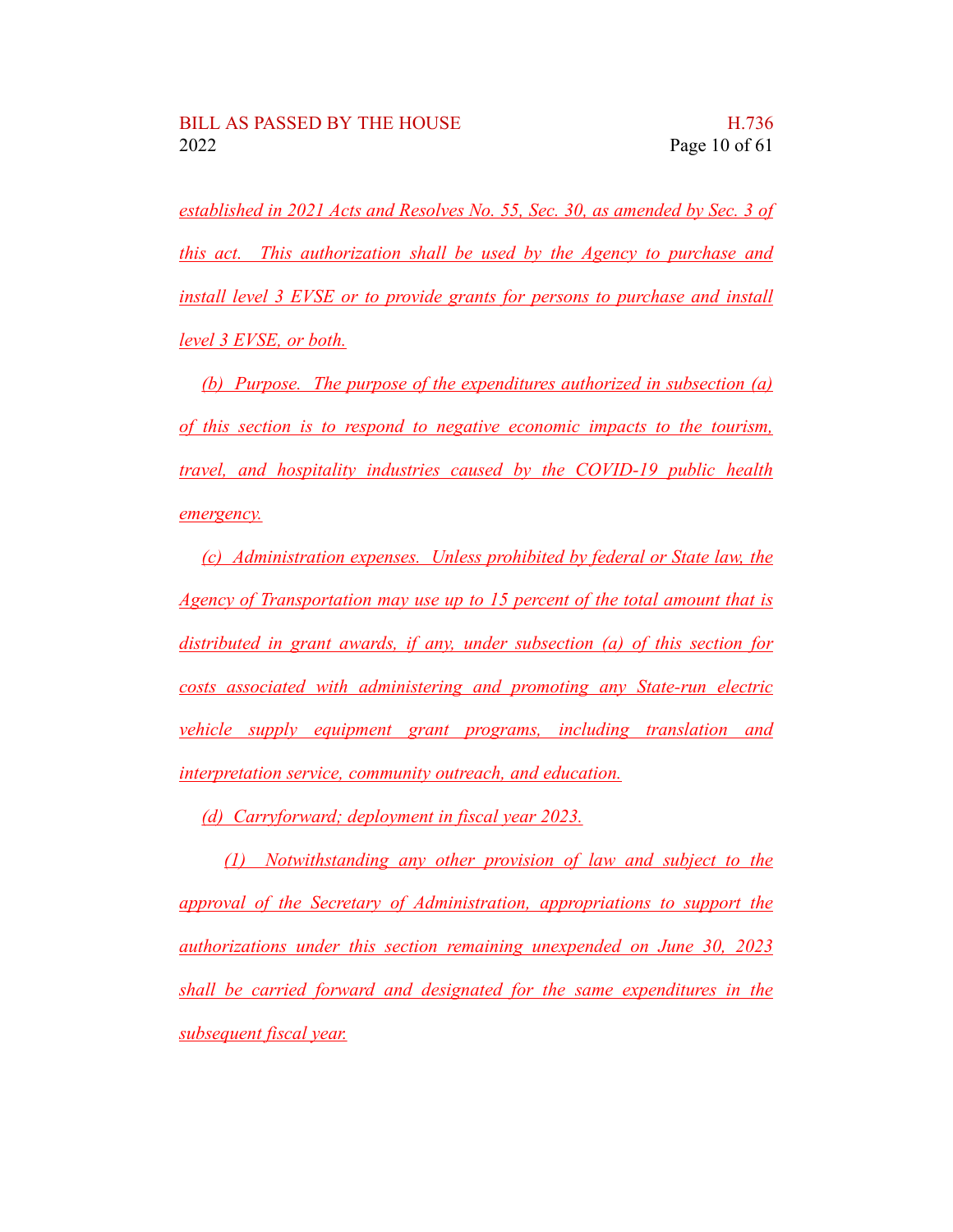*established in 2021 Acts and Resolves No. 55, Sec. 30, as amended by Sec. 3 of this act. This authorization shall be used by the Agency to purchase and install level 3 EVSE or to provide grants for persons to purchase and install level 3 EVSE, or both.*

*(b) Purpose. The purpose of the expenditures authorized in subsection (a) of this section is to respond to negative economic impacts to the tourism, travel, and hospitality industries caused by the COVID-19 public health emergency.*

*(c) Administration expenses. Unless prohibited by federal or State law, the Agency of Transportation may use up to 15 percent of the total amount that is distributed in grant awards, if any, under subsection (a) of this section for costs associated with administering and promoting any State-run electric vehicle supply equipment grant programs, including translation and interpretation service, community outreach, and education.*

*(d) Carryforward; deployment in fiscal year 2023.*

*(1) Notwithstanding any other provision of law and subject to the approval of the Secretary of Administration, appropriations to support the authorizations under this section remaining unexpended on June 30, 2023 shall be carried forward and designated for the same expenditures in the subsequent fiscal year.*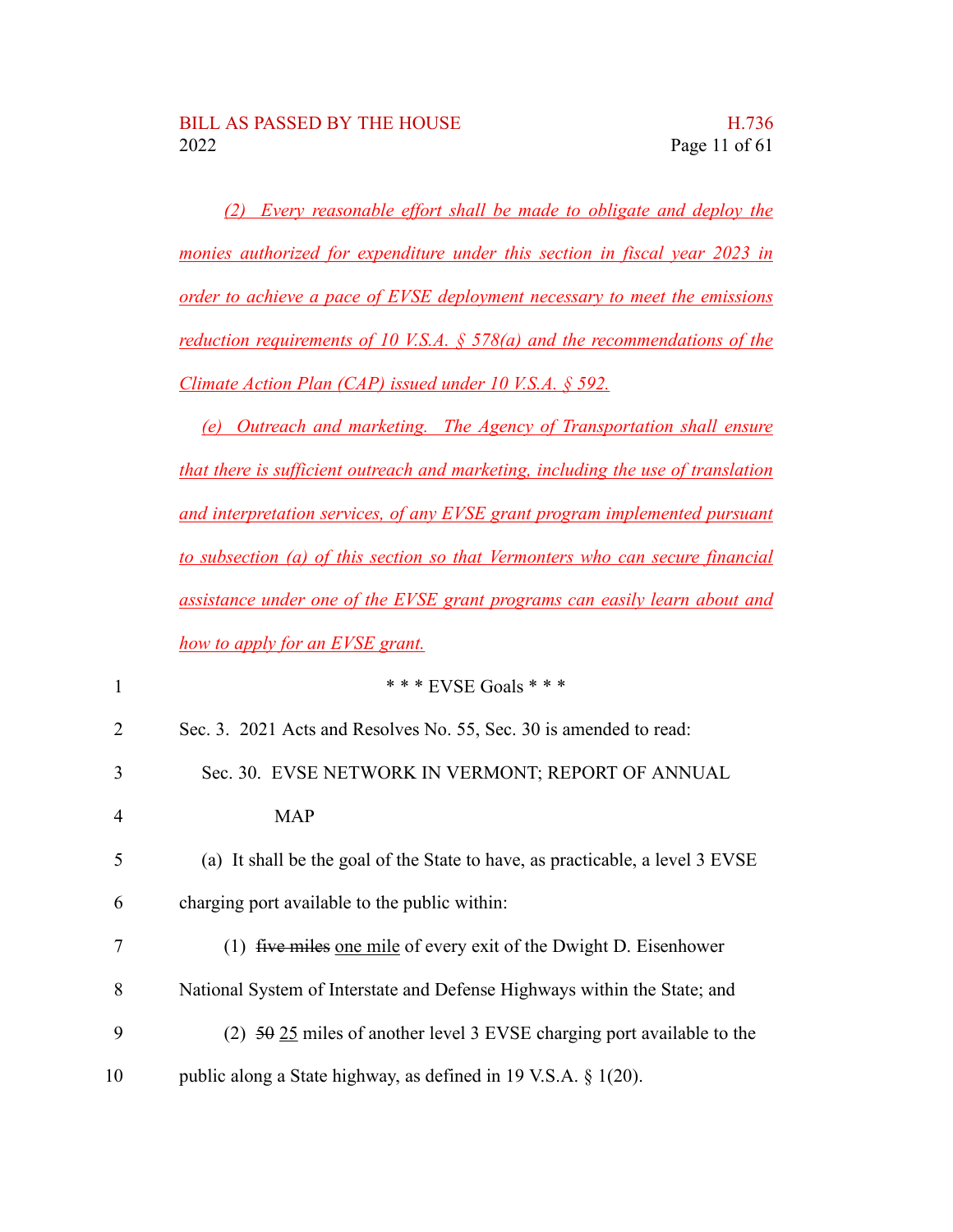*(2) Every reasonable effort shall be made to obligate and deploy the monies authorized for expenditure under this section in fiscal year 2023 in order to achieve a pace of EVSE deployment necessary to meet the emissions reduction requirements of 10 V.S.A. § 578(a) and the recommendations of the Climate Action Plan (CAP) issued under 10 V.S.A. § 592.*

*(e) Outreach and marketing. The Agency of Transportation shall ensure that there is sufficient outreach and marketing, including the use of translation and interpretation services, of any EVSE grant program implemented pursuant to subsection (a) of this section so that Vermonters who can secure financial assistance under one of the EVSE grant programs can easily learn about and how to apply for an EVSE grant.*

| 1              | * * * EVSE Goals * * *                                                             |
|----------------|------------------------------------------------------------------------------------|
| 2              | Sec. 3. 2021 Acts and Resolves No. 55, Sec. 30 is amended to read:                 |
| 3              | Sec. 30. EVSE NETWORK IN VERMONT; REPORT OF ANNUAL                                 |
| $\overline{4}$ | <b>MAP</b>                                                                         |
| 5              | (a) It shall be the goal of the State to have, as practicable, a level 3 EVSE      |
| 6              | charging port available to the public within:                                      |
| 7              | (1) $five miles one mile of every exit of the Dwight D. Eisenhower$                |
| 8              | National System of Interstate and Defense Highways within the State; and           |
| 9              | (2) $50\frac{25}{25}$ miles of another level 3 EVSE charging port available to the |
| 10             | public along a State highway, as defined in 19 V.S.A. $\S$ 1(20).                  |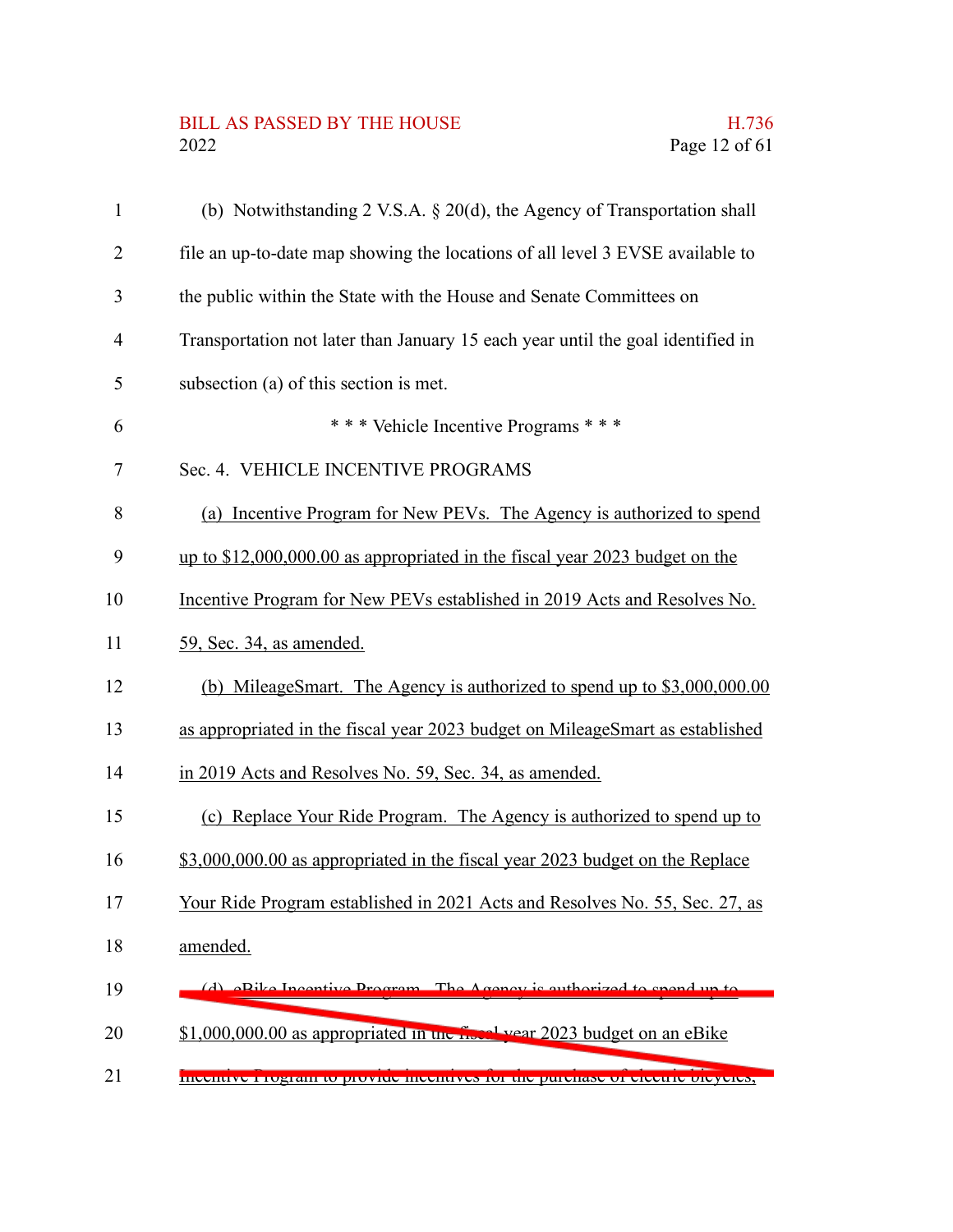# BILL AS PASSED BY THE HOUSE H.736<br>2022 Page 12 of 61

| $\mathbf{1}$   | (b) Notwithstanding 2 V.S.A. $\S 20(d)$ , the Agency of Transportation shall    |
|----------------|---------------------------------------------------------------------------------|
| $\overline{2}$ | file an up-to-date map showing the locations of all level 3 EVSE available to   |
| 3              | the public within the State with the House and Senate Committees on             |
| $\overline{4}$ | Transportation not later than January 15 each year until the goal identified in |
| 5              | subsection (a) of this section is met.                                          |
| 6              | *** Vehicle Incentive Programs ***                                              |
| 7              | Sec. 4. VEHICLE INCENTIVE PROGRAMS                                              |
| 8              | (a) Incentive Program for New PEVs. The Agency is authorized to spend           |
| 9              | up to $$12,000,000.00$ as appropriated in the fiscal year 2023 budget on the    |
| 10             | Incentive Program for New PEVs established in 2019 Acts and Resolves No.        |
| 11             | 59, Sec. 34, as amended.                                                        |
| 12             | (b) MileageSmart. The Agency is authorized to spend up to \$3,000,000.00        |
| 13             | as appropriated in the fiscal year 2023 budget on MileageSmart as established   |
| 14             | in 2019 Acts and Resolves No. 59, Sec. 34, as amended.                          |
| 15             | (c) Replace Your Ride Program. The Agency is authorized to spend up to          |
| 16             | \$3,000,000.00 as appropriated in the fiscal year 2023 budget on the Replace    |
| 17             | Your Ride Program established in 2021 Acts and Resolves No. 55, Sec. 27, as     |
| 18             | amended.                                                                        |
| 19             | $The A cos \theta$<br>a Dika Inggustiya Dragram                                 |
| 20             | $$1,000,000.00$ as appropriated in the $\sim 1$ vear 2023 budget on an eBike    |
| 21             | meentrye i rogram to provide meentryes for the purenase or electric orcycles,   |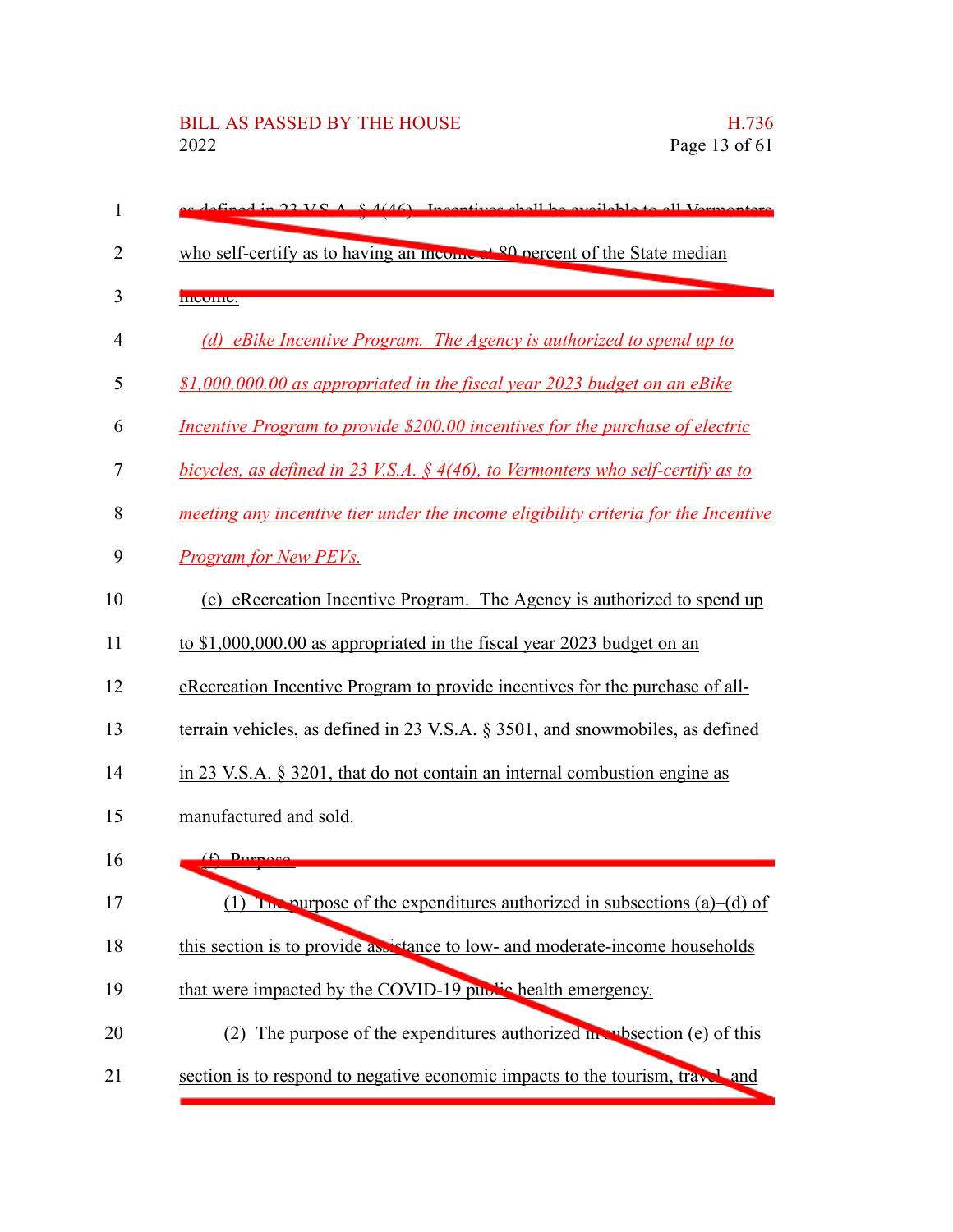| 1              | as defined in 22 V.S.A. $8.4(46)$ Incentives shall be evailable to all Vermenters            |
|----------------|----------------------------------------------------------------------------------------------|
| $\overline{2}$ | who self-certify as to having an income at <sup>90</sup> percent of the State median         |
| 3              | meome.                                                                                       |
| $\overline{4}$ | (d) eBike Incentive Program. The Agency is authorized to spend up to                         |
| 5              | \$1,000,000.00 as appropriated in the fiscal year 2023 budget on an eBike                    |
| 6              | Incentive Program to provide \$200.00 incentives for the purchase of electric                |
| 7              | bicycles, as defined in 23 V.S.A. § 4(46), to Vermonters who self-certify as to              |
| 8              | meeting any incentive tier under the income eligibility criteria for the Incentive           |
| 9              | Program for New PEVs.                                                                        |
| 10             | (e) eRecreation Incentive Program. The Agency is authorized to spend up                      |
| 11             | to $$1,000,000.00$ as appropriated in the fiscal year 2023 budget on an                      |
| 12             | eRecreation Incentive Program to provide incentives for the purchase of all-                 |
| 13             | terrain vehicles, as defined in $23$ V.S.A. $\S$ 3501, and snowmobiles, as defined           |
| 14             | in $23$ V.S.A. $\S$ 3201, that do not contain an internal combustion engine as               |
| 15             | manufactured and sold.                                                                       |
| 16             | $\bigoplus$ Durnoso                                                                          |
| 17             | The purpose of the expenditures authorized in subsections (a)–(d) of<br>(1)                  |
| 18             | this section is to provide assistance to low- and moderate-income households                 |
| 19             | that were impacted by the COVID-19 public health emergency.                                  |
| 20             | (2) The purpose of the expenditures authorized $\mathbf{m}$ , where $\mathbf{r}$ (e) of this |
| 21             | section is to respond to negative economic impacts to the tourism, travel and                |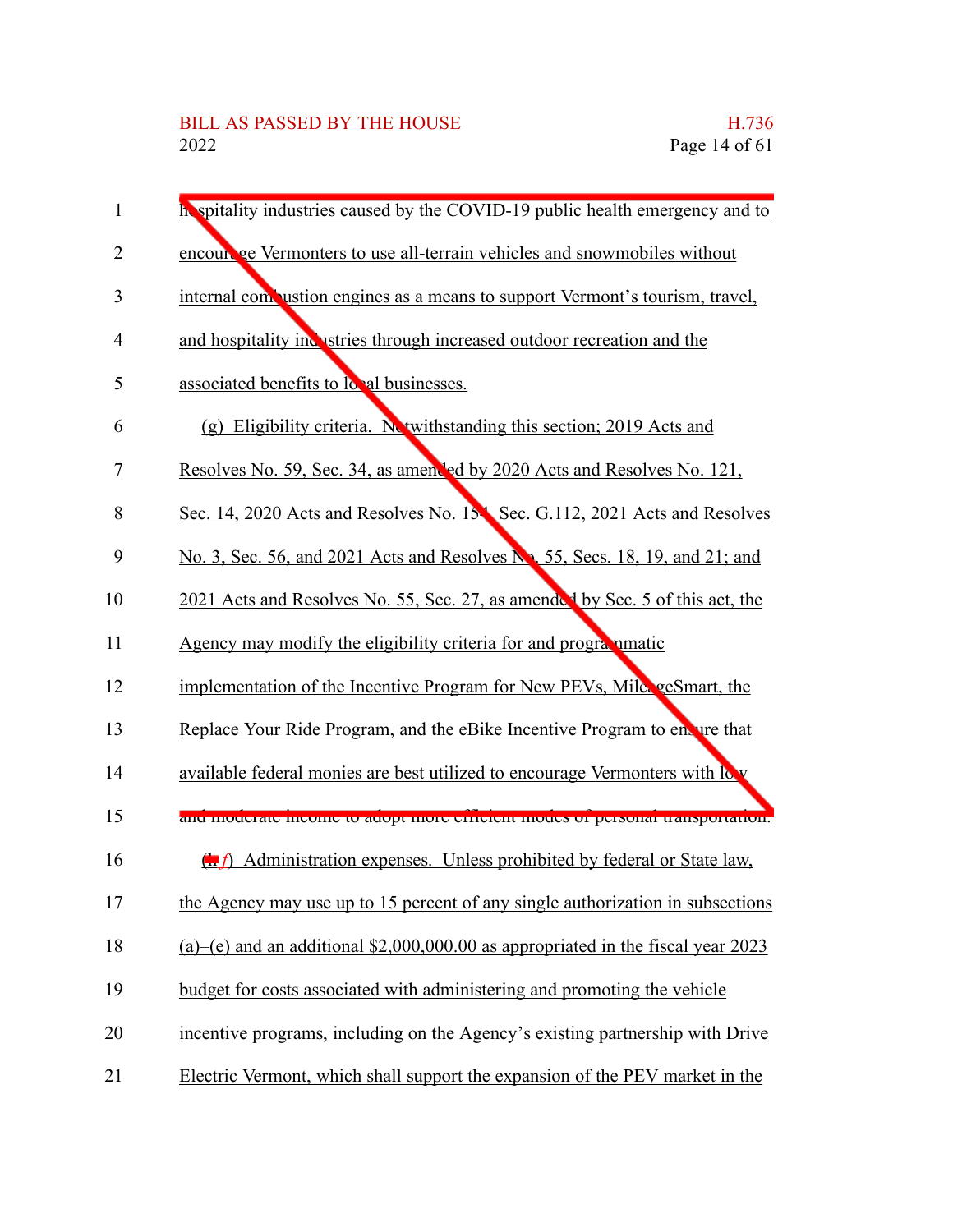| 1              | In spitality industries caused by the COVID-19 public health emergency and to                  |
|----------------|------------------------------------------------------------------------------------------------|
| $\overline{2}$ | encourage Vermonters to use all-terrain vehicles and snowmobiles without                       |
| 3              | internal compustion engines as a means to support Vermont's tourism, travel,                   |
| 4              | and hospitality inclustries through increased outdoor recreation and the                       |
| 5              | associated benefits to local businesses.                                                       |
| 6              | (g) Eligibility criteria. Netwithstanding this section; 2019 Acts and                          |
| 7              | Resolves No. 59, Sec. 34, as amended by 2020 Acts and Resolves No. 121,                        |
| 8              | Sec. 14, 2020 Acts and Resolves No. 15 Sec. G.112, 2021 Acts and Resolves                      |
| 9              | No. 3, Sec. 56, and 2021 Acts and Resolves No. 55, Secs. 18, 19, and 21; and                   |
| 10             | 2021 Acts and Resolves No. 55, Sec. 27, as amended by Sec. 5 of this act, the                  |
| 11             | Agency may modify the eligibility criteria for and programmatic                                |
| 12             | implementation of the Incentive Program for New PEVs, Mile geSmart, the                        |
| 13             | Replace Your Ride Program, and the eBike Incentive Program to envire that                      |
| 14             | available federal monies are best utilized to encourage Vermonters with low                    |
| 15             | ана пюастае шестне ю аабрг нюге ситеми нюась от реголы напороганов.                            |
| 16             | $\left(\frac{1}{2}\right)$ Administration expenses. Unless prohibited by federal or State law, |
| 17             | the Agency may use up to 15 percent of any single authorization in subsections                 |
| 18             | (a)–(e) and an additional $$2,000,000.00$ as appropriated in the fiscal year 2023              |
| 19             | budget for costs associated with administering and promoting the vehicle                       |
| 20             | incentive programs, including on the Agency's existing partnership with Drive                  |
| 21             | Electric Vermont, which shall support the expansion of the PEV market in the                   |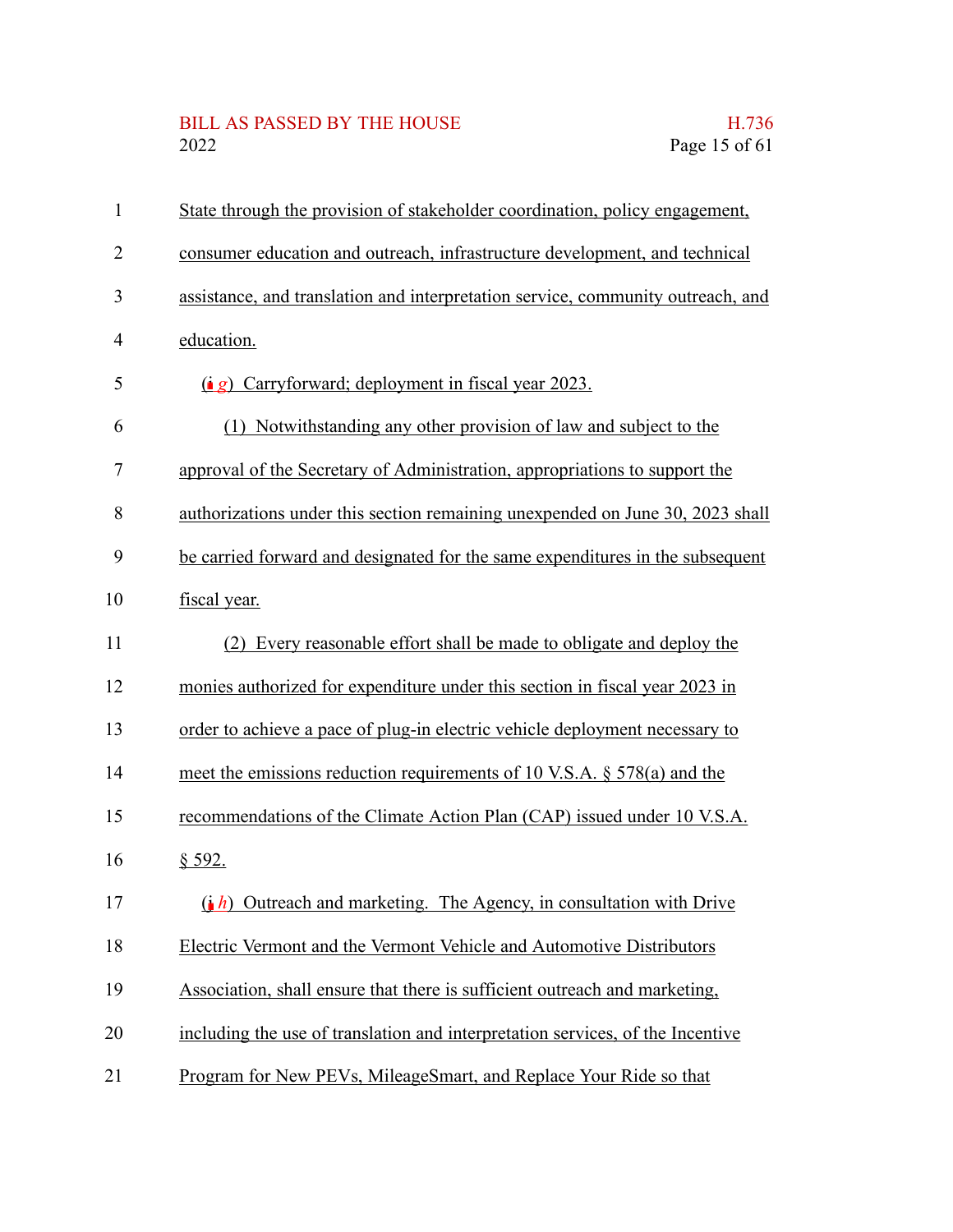# BILL AS PASSED BY THE HOUSE H.736<br>2022 Page 15 of 61

| $\mathbf{1}$   | State through the provision of stakeholder coordination, policy engagement,     |
|----------------|---------------------------------------------------------------------------------|
| $\overline{2}$ | consumer education and outreach, infrastructure development, and technical      |
| 3              | assistance, and translation and interpretation service, community outreach, and |
| $\overline{4}$ | education.                                                                      |
| 5              | (i g) Carryforward; deployment in fiscal year 2023.                             |
| 6              | (1) Notwithstanding any other provision of law and subject to the               |
| 7              | approval of the Secretary of Administration, appropriations to support the      |
| 8              | authorizations under this section remaining unexpended on June 30, 2023 shall   |
| 9              | be carried forward and designated for the same expenditures in the subsequent   |
| 10             | fiscal year.                                                                    |
| 11             | Every reasonable effort shall be made to obligate and deploy the<br>(2)         |
| 12             | monies authorized for expenditure under this section in fiscal year 2023 in     |
| 13             | order to achieve a pace of plug-in electric vehicle deployment necessary to     |
| 14             | meet the emissions reduction requirements of 10 V.S.A. § 578(a) and the         |
| 15             | recommendations of the Climate Action Plan (CAP) issued under 10 V.S.A.         |
| 16             | § 592.                                                                          |
| 17             | $(i, h)$ Outreach and marketing. The Agency, in consultation with Drive         |
| 18             | Electric Vermont and the Vermont Vehicle and Automotive Distributors            |
| 19             | Association, shall ensure that there is sufficient outreach and marketing,      |
| 20             | including the use of translation and interpretation services, of the Incentive  |
| 21             | Program for New PEVs, MileageSmart, and Replace Your Ride so that               |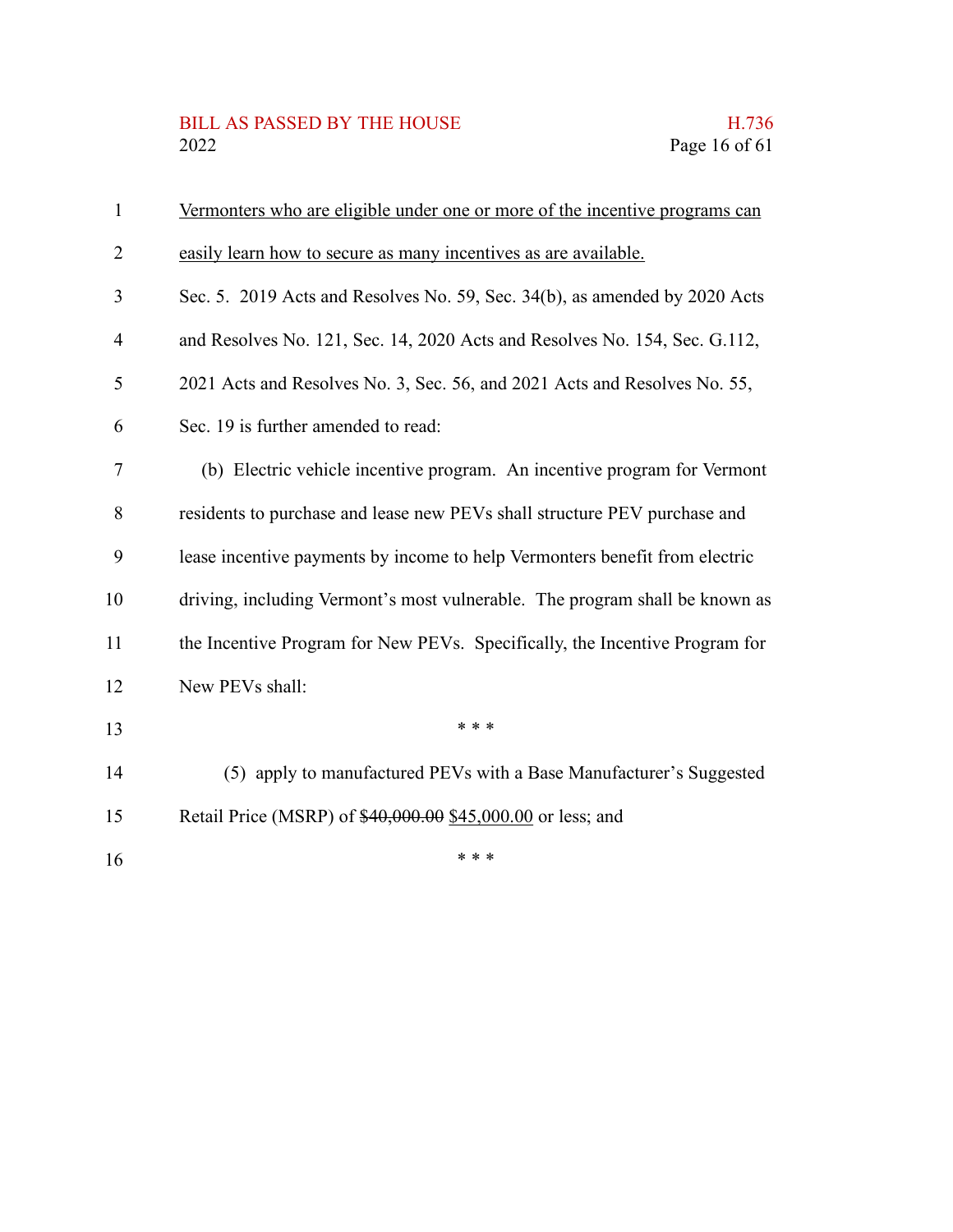### BILL AS PASSED BY THE HOUSE H.736<br>2022 Page 16 of 61

| $\mathbf{1}$   | Vermonters who are eligible under one or more of the incentive programs can |
|----------------|-----------------------------------------------------------------------------|
| $\overline{2}$ | easily learn how to secure as many incentives as are available.             |
| 3              | Sec. 5. 2019 Acts and Resolves No. 59, Sec. 34(b), as amended by 2020 Acts  |
| 4              | and Resolves No. 121, Sec. 14, 2020 Acts and Resolves No. 154, Sec. G.112,  |
| 5              | 2021 Acts and Resolves No. 3, Sec. 56, and 2021 Acts and Resolves No. 55,   |
| 6              | Sec. 19 is further amended to read:                                         |
| 7              | (b) Electric vehicle incentive program. An incentive program for Vermont    |
| 8              | residents to purchase and lease new PEVs shall structure PEV purchase and   |
| 9              | lease incentive payments by income to help Vermonters benefit from electric |
| 10             | driving, including Vermont's most vulnerable. The program shall be known as |
| 11             | the Incentive Program for New PEVs. Specifically, the Incentive Program for |
| 12             | New PEVs shall:                                                             |
| 13             | * * *                                                                       |
| 14             | (5) apply to manufactured PEVs with a Base Manufacturer's Suggested         |
| 15             | Retail Price (MSRP) of \$40,000.00 \$45,000.00 or less; and                 |
| 16             | * * *                                                                       |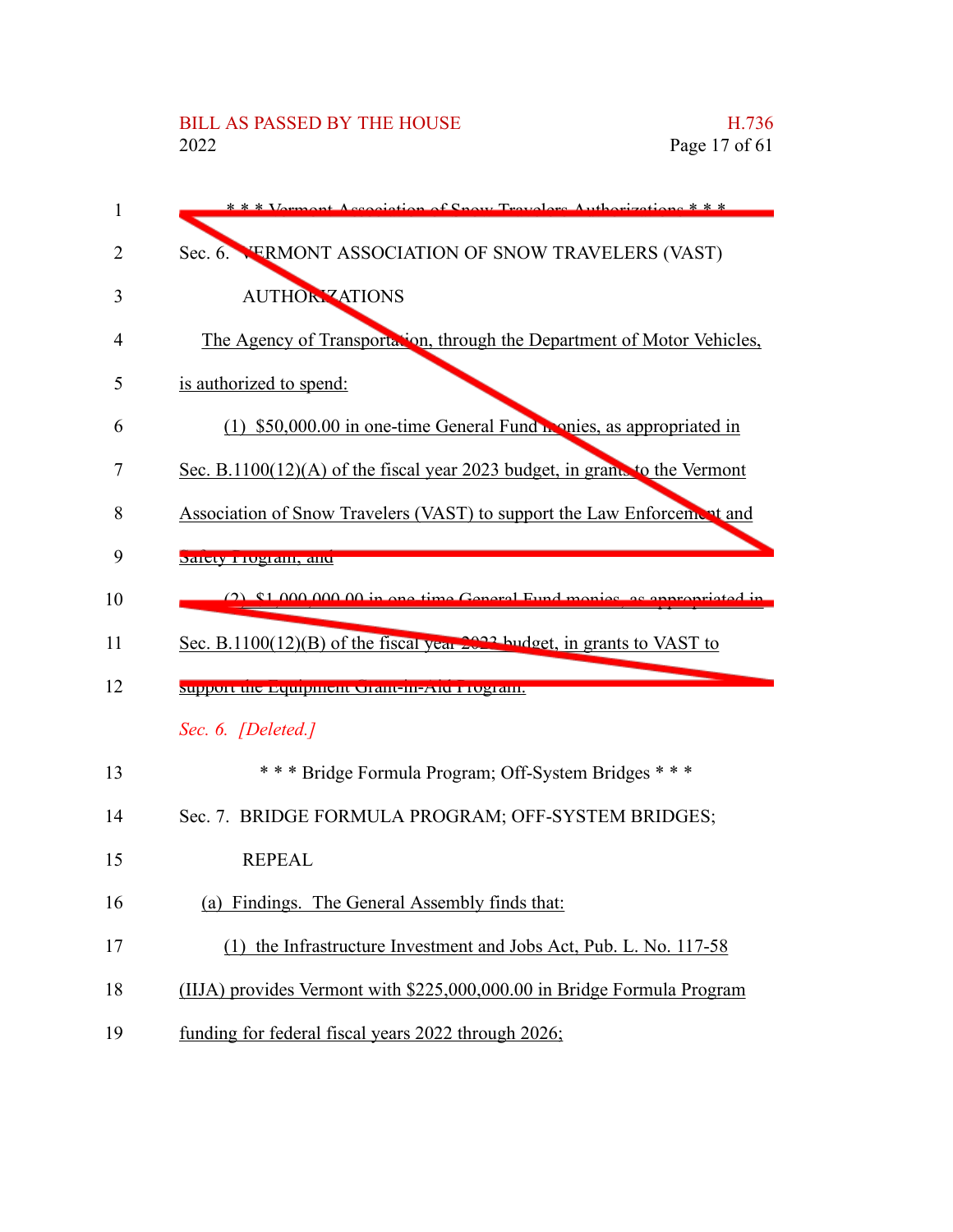| 1  | * * * Vermont Accociation of Snow Travelers Authorizations * * *           |
|----|----------------------------------------------------------------------------|
| 2  | Sec. 6. VERMONT ASSOCIATION OF SNOW TRAVELERS (VAST)                       |
| 3  | <b>AUTHORY ATIONS</b>                                                      |
| 4  | The Agency of Transportation, through the Department of Motor Vehicles,    |
| 5  | is authorized to spend:                                                    |
| 6  | (1) \$50,000.00 in one-time General Fund nonies, as appropriated in        |
| 7  | Sec. B.1100(12)(A) of the fiscal year 2023 budget, in grams to the Vermont |
| 8  | Association of Snow Travelers (VAST) to support the Law Enforcement and    |
| 9  | Daluty I Tugram, and                                                       |
| 10 | $(2)$ $$1.000.000.00$ in one time General Fund monics as appropriated.     |
|    |                                                                            |
| 11 | Sec. B.1100(12)(B) of the fiscal year $2022$ budget, in grants to VAST to  |
| 12 | миррон ние периринени оташение лични раздани.                              |
|    | Sec. 6. [Deleted.]                                                         |
| 13 | *** Bridge Formula Program; Off-System Bridges ***                         |
| 14 | Sec. 7. BRIDGE FORMULA PROGRAM; OFF-SYSTEM BRIDGES;                        |
| 15 | <b>REPEAL</b>                                                              |
| 16 | (a) Findings. The General Assembly finds that:                             |
| 17 | (1) the Infrastructure Investment and Jobs Act, Pub. L. No. 117-58         |
| 18 | (IIJA) provides Vermont with \$225,000,000.00 in Bridge Formula Program    |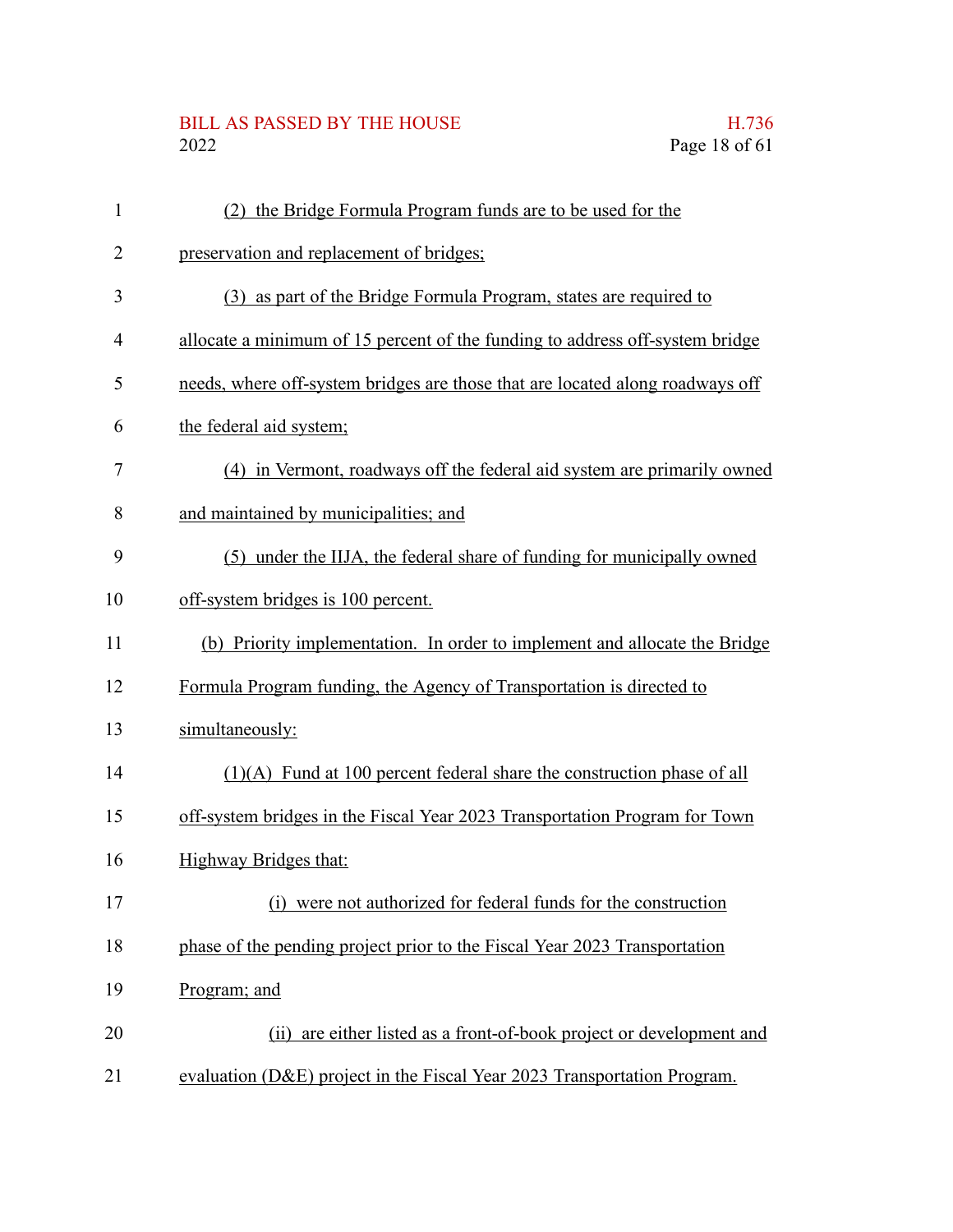#### BILL AS PASSED BY THE HOUSE H.736 2022 Page 18 of 61

preservation and replacement of bridges;

|                                                             | Page 18 of t |
|-------------------------------------------------------------|--------------|
|                                                             |              |
| (2) the Bridge Formula Program funds are to be used for the |              |
| rvation and replacement of bridges;                         |              |

- (3) as part of the Bridge Formula Program, states are required to 3
- allocate a minimum of 15 percent of the funding to address off-system bridge 4
- needs, where off-system bridges are those that are located along roadways off 5
- the federal aid system; 6

1

2

- (4) in Vermont, roadways off the federal aid system are primarily owned 7
- and maintained by municipalities; and 8
- (5) under the IIJA, the federal share of funding for municipally owned 9
- off-system bridges is 100 percent. 10
- (b) Priority implementation. In order to implement and allocate the Bridge 11
- Formula Program funding, the Agency of Transportation is directed to 12
- simultaneously: 13
- (1)(A) Fund at 100 percent federal share the construction phase of all 14
- off-system bridges in the Fiscal Year 2023 Transportation Program for Town 15
- Highway Bridges that: 16
- (i) were not authorized for federal funds for the construction 17
- phase of the pending project prior to the Fiscal Year 2023 Transportation 18
- Program; and 19
- (ii) are either listed as a front-of-book project or development and 20
- evaluation (D&E) project in the Fiscal Year 2023 Transportation Program. 21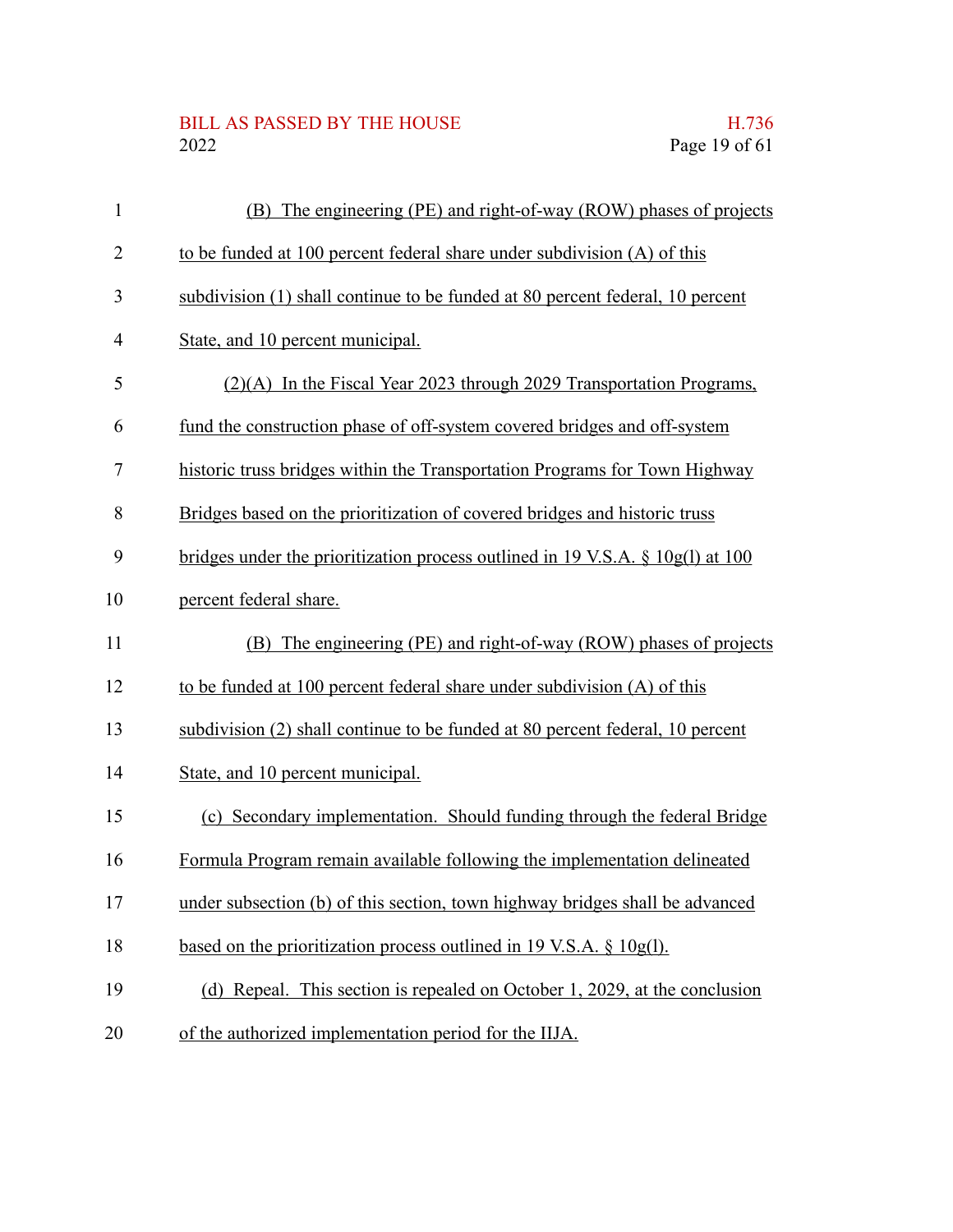## BILL AS PASSED BY THE HOUSE H.736<br>2022 Page 19 of 61

| $\mathbf{1}$   | (B) The engineering (PE) and right-of-way (ROW) phases of projects                |
|----------------|-----------------------------------------------------------------------------------|
| $\overline{2}$ | to be funded at 100 percent federal share under subdivision (A) of this           |
| 3              | subdivision (1) shall continue to be funded at 80 percent federal, 10 percent     |
| $\overline{4}$ | State, and 10 percent municipal.                                                  |
| 5              | (2)(A) In the Fiscal Year 2023 through 2029 Transportation Programs,              |
| 6              | fund the construction phase of off-system covered bridges and off-system          |
| 7              | historic truss bridges within the Transportation Programs for Town Highway        |
| 8              | Bridges based on the prioritization of covered bridges and historic truss         |
| 9              | bridges under the prioritization process outlined in 19 V.S.A. $\S$ 10g(1) at 100 |
| 10             | percent federal share.                                                            |
| 11             | (B) The engineering (PE) and right-of-way (ROW) phases of projects                |
| 12             | to be funded at 100 percent federal share under subdivision (A) of this           |
| 13             | subdivision (2) shall continue to be funded at 80 percent federal, 10 percent     |
| 14             | State, and 10 percent municipal.                                                  |
| 15             | (c) Secondary implementation. Should funding through the federal Bridge           |
| 16             | Formula Program remain available following the implementation delineated          |
| 17             | under subsection (b) of this section, town highway bridges shall be advanced      |
| 18             | based on the prioritization process outlined in 19 V.S.A. § 10g(l).               |
| 19             | (d) Repeal. This section is repealed on October 1, 2029, at the conclusion        |
| 20             | of the authorized implementation period for the IIJA.                             |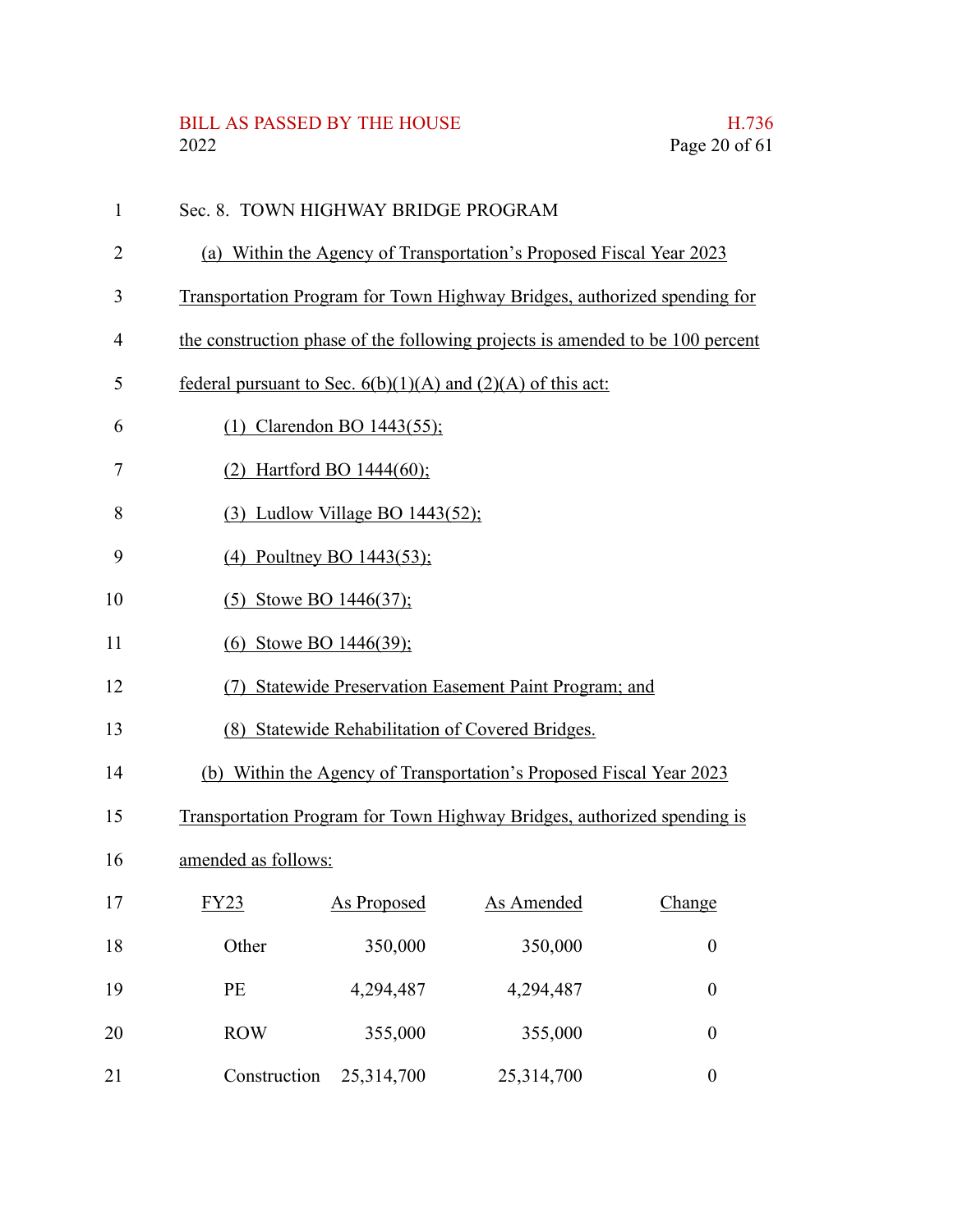# BILL AS PASSED BY THE HOUSE H.736<br>2022 Page 20 of 61

| $\mathbf{1}$ | Sec. 8. TOWN HIGHWAY BRIDGE PROGRAM                                           |                                       |                                                                         |                  |  |
|--------------|-------------------------------------------------------------------------------|---------------------------------------|-------------------------------------------------------------------------|------------------|--|
| 2            | (a) Within the Agency of Transportation's Proposed Fiscal Year 2023           |                                       |                                                                         |                  |  |
| 3            | Transportation Program for Town Highway Bridges, authorized spending for      |                                       |                                                                         |                  |  |
| 4            | the construction phase of the following projects is amended to be 100 percent |                                       |                                                                         |                  |  |
| 5            | federal pursuant to Sec. $6(b)(1)(A)$ and $(2)(A)$ of this act:               |                                       |                                                                         |                  |  |
| 6            |                                                                               | (1) Clarendon BO 1443(55);            |                                                                         |                  |  |
| 7            | (2) Hartford BO $1444(60)$ ;                                                  |                                       |                                                                         |                  |  |
| 8            |                                                                               | $(3)$ Ludlow Village BO 1443 $(52)$ ; |                                                                         |                  |  |
| 9            | $(4)$ Poultney BO 1443(53);                                                   |                                       |                                                                         |                  |  |
| 10           | $(5)$ Stowe BO 1446 $(37)$ ;                                                  |                                       |                                                                         |                  |  |
| 11           | (6) Stowe BO 1446(39);                                                        |                                       |                                                                         |                  |  |
| 12           | Statewide Preservation Easement Paint Program; and                            |                                       |                                                                         |                  |  |
| 13           | (8) Statewide Rehabilitation of Covered Bridges.                              |                                       |                                                                         |                  |  |
| 14           |                                                                               |                                       | (b) Within the Agency of Transportation's Proposed Fiscal Year 2023     |                  |  |
| 15           |                                                                               |                                       | Transportation Program for Town Highway Bridges, authorized spending is |                  |  |
| 16           | amended as follows:                                                           |                                       |                                                                         |                  |  |
| 17           | FY23                                                                          | <b>As Proposed</b>                    | As Amended                                                              | Change           |  |
| 18           | Other                                                                         | 350,000                               | 350,000                                                                 | $\boldsymbol{0}$ |  |
| 19           | PE                                                                            | 4,294,487                             | 4,294,487                                                               | $\boldsymbol{0}$ |  |
| 20           | <b>ROW</b>                                                                    | 355,000                               | 355,000                                                                 | $\boldsymbol{0}$ |  |
| 21           | Construction                                                                  | 25,314,700                            | 25,314,700                                                              | $\boldsymbol{0}$ |  |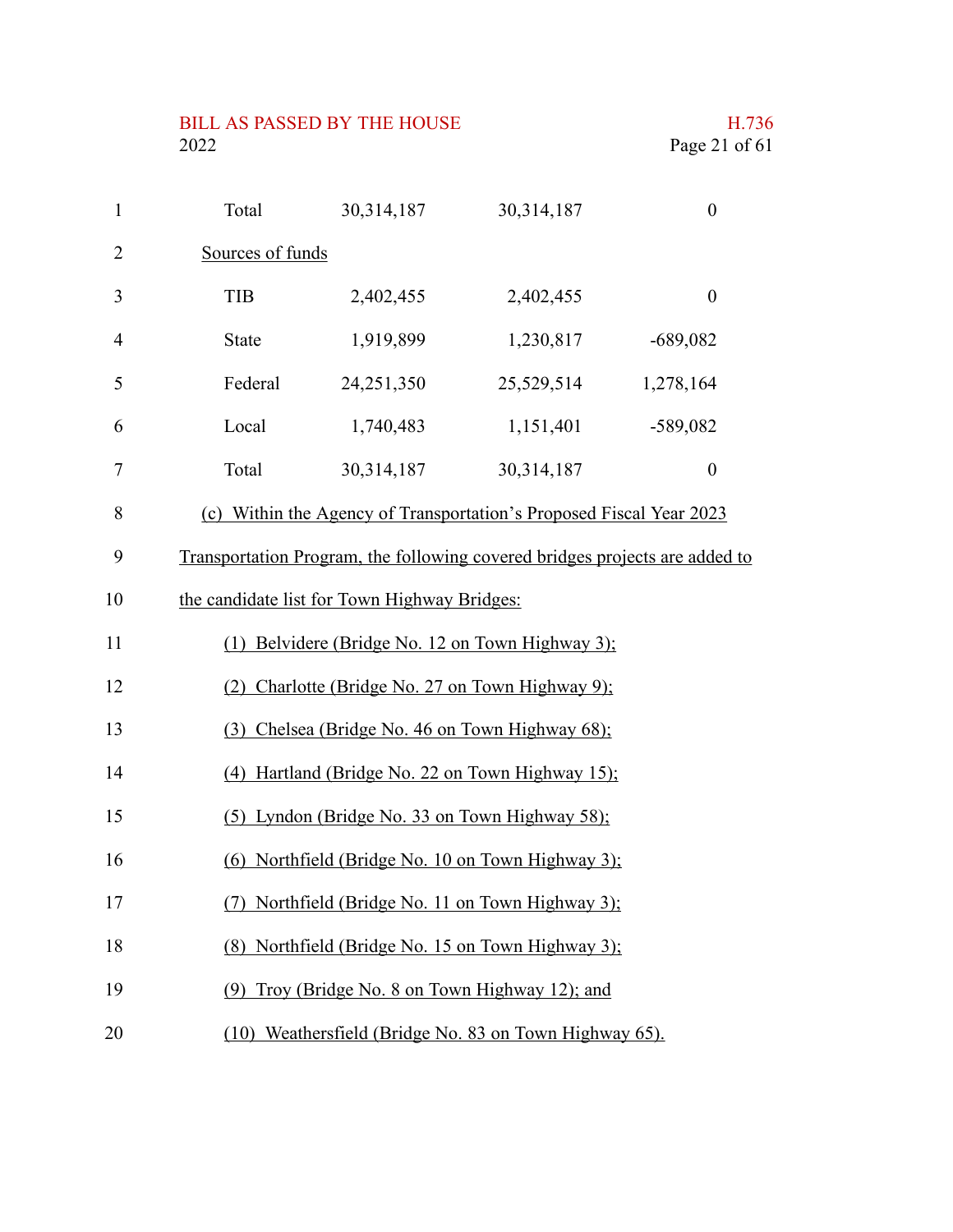| $\mathbf{1}$   | Total                                             | 30,314,187                                   | 30,314,187                                                                  | $\boldsymbol{0}$ |
|----------------|---------------------------------------------------|----------------------------------------------|-----------------------------------------------------------------------------|------------------|
| $\overline{2}$ | Sources of funds                                  |                                              |                                                                             |                  |
| 3              | <b>TIB</b>                                        | 2,402,455                                    | 2,402,455                                                                   | $\boldsymbol{0}$ |
| $\overline{4}$ | <b>State</b>                                      | 1,919,899                                    | 1,230,817                                                                   | $-689,082$       |
| 5              | Federal                                           | 24,251,350                                   | 25,529,514                                                                  | 1,278,164        |
| 6              | Local                                             | 1,740,483                                    | 1,151,401                                                                   | $-589,082$       |
| 7              | Total                                             | 30,314,187                                   | 30,314,187                                                                  | $\boldsymbol{0}$ |
| 8              |                                                   |                                              | (c) Within the Agency of Transportation's Proposed Fiscal Year 2023         |                  |
| 9              |                                                   |                                              | Transportation Program, the following covered bridges projects are added to |                  |
| 10             |                                                   | the candidate list for Town Highway Bridges: |                                                                             |                  |
| 11             |                                                   |                                              | (1) Belvidere (Bridge No. 12 on Town Highway 3);                            |                  |
| 12             |                                                   |                                              | (2) Charlotte (Bridge No. 27 on Town Highway 9);                            |                  |
| 13             | (3) Chelsea (Bridge No. 46 on Town Highway 68);   |                                              |                                                                             |                  |
| 14             |                                                   |                                              | (4) Hartland (Bridge No. 22 on Town Highway 15);                            |                  |
| 15             |                                                   |                                              | (5) Lyndon (Bridge No. 33 on Town Highway 58);                              |                  |
| 16             |                                                   |                                              | (6) Northfield (Bridge No. 10 on Town Highway 3);                           |                  |
| 17             |                                                   |                                              | Northfield (Bridge No. 11 on Town Highway 3);                               |                  |
| 18             | (8) Northfield (Bridge No. 15 on Town Highway 3); |                                              |                                                                             |                  |
| 19             | (9) Troy (Bridge No. 8 on Town Highway 12); and   |                                              |                                                                             |                  |
| 20             |                                                   |                                              | (10) Weathersfield (Bridge No. 83 on Town Highway 65).                      |                  |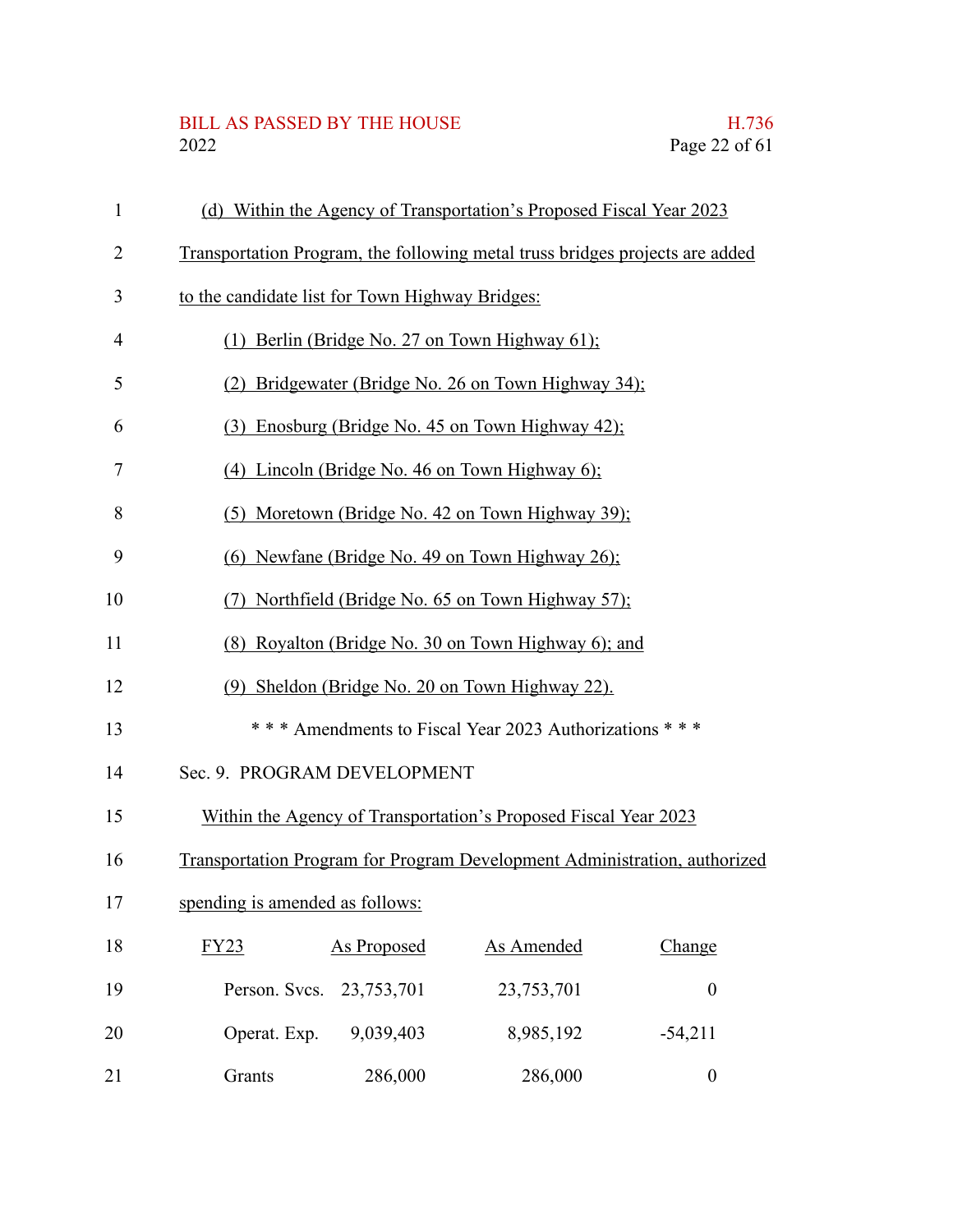# BILL AS PASSED BY THE HOUSE H.736<br>2022 Page 22 of 61

| 1              | (d) Within the Agency of Transportation's Proposed Fiscal Year 2023          |  |  |  |  |  |
|----------------|------------------------------------------------------------------------------|--|--|--|--|--|
| $\overline{2}$ | Transportation Program, the following metal truss bridges projects are added |  |  |  |  |  |
| 3              | to the candidate list for Town Highway Bridges:                              |  |  |  |  |  |
| $\overline{4}$ | (1) Berlin (Bridge No. 27 on Town Highway $61$ );                            |  |  |  |  |  |
| 5              | (2) Bridgewater (Bridge No. 26 on Town Highway 34);                          |  |  |  |  |  |
| 6              | (3) Enosburg (Bridge No. 45 on Town Highway 42);                             |  |  |  |  |  |
| 7              | (4) Lincoln (Bridge No. 46 on Town Highway $6$ );                            |  |  |  |  |  |
| 8              | (5) Moretown (Bridge No. 42 on Town Highway 39);                             |  |  |  |  |  |
| 9              | (6) Newfane (Bridge No. 49 on Town Highway 26);                              |  |  |  |  |  |
| 10             | (7) Northfield (Bridge No. 65 on Town Highway 57);                           |  |  |  |  |  |
| 11             | (8) Royalton (Bridge No. 30 on Town Highway 6); and                          |  |  |  |  |  |
| 12             | (9) Sheldon (Bridge No. 20 on Town Highway 22).                              |  |  |  |  |  |
| 13             | *** Amendments to Fiscal Year 2023 Authorizations ***                        |  |  |  |  |  |
| 14             | Sec. 9. PROGRAM DEVELOPMENT                                                  |  |  |  |  |  |
| 15             | Within the Agency of Transportation's Proposed Fiscal Year 2023              |  |  |  |  |  |
| 16             | Transportation Program for Program Development Administration, authorized    |  |  |  |  |  |
| 17             | spending is amended as follows:                                              |  |  |  |  |  |
| 18             | As Amended<br><b>As Proposed</b><br>Change<br>FY23                           |  |  |  |  |  |
| 19             | Person. Svcs. 23,753,701<br>23,753,701<br>$\boldsymbol{0}$                   |  |  |  |  |  |
| 20             | Operat. Exp.<br>9,039,403<br>8,985,192<br>$-54,211$                          |  |  |  |  |  |
| 21             | 286,000<br>286,000<br>Grants<br>$\boldsymbol{0}$                             |  |  |  |  |  |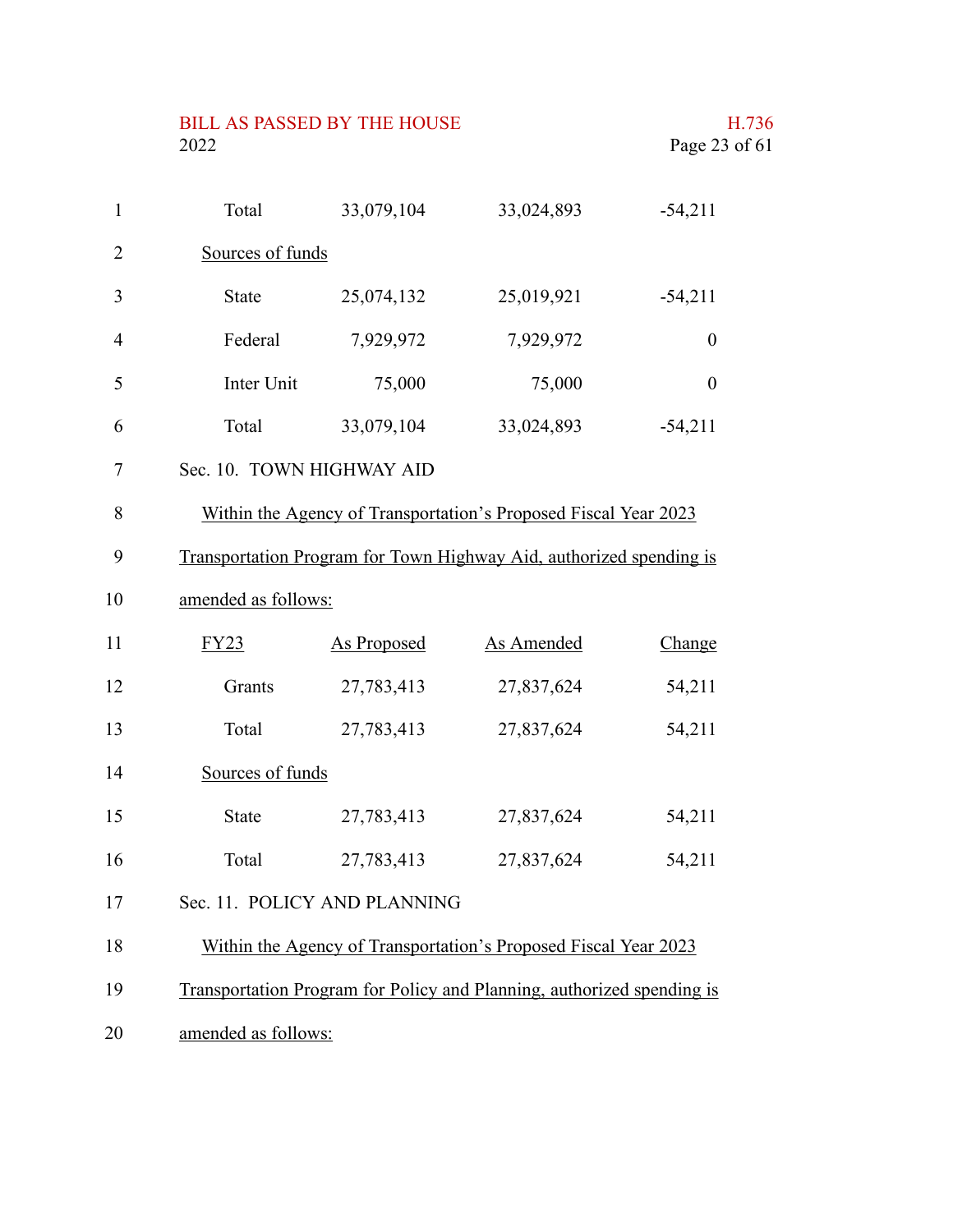| 2022                      |                    |                                                                     | Page 23 of 61    |  |
|---------------------------|--------------------|---------------------------------------------------------------------|------------------|--|
| Total                     | 33,079,104         | 33,024,893                                                          | $-54,211$        |  |
| Sources of funds          |                    |                                                                     |                  |  |
| <b>State</b>              | 25,074,132         | 25,019,921                                                          | $-54,211$        |  |
| Federal                   | 7,929,972          | 7,929,972                                                           | $\boldsymbol{0}$ |  |
| Inter Unit                | 75,000             | 75,000                                                              | $\overline{0}$   |  |
| Total                     | 33,079,104         | 33,024,893                                                          | $-54,211$        |  |
| Sec. 10. TOWN HIGHWAY AID |                    |                                                                     |                  |  |
|                           |                    | Within the Agency of Transportation's Proposed Fiscal Year 2023     |                  |  |
|                           |                    | Transportation Program for Town Highway Aid, authorized spending is |                  |  |
| amended as follows:       |                    |                                                                     |                  |  |
| FY23                      | <b>As Proposed</b> | <b>As Amended</b>                                                   | Change           |  |
| Grants                    | 27,783,413         | 27,837,624                                                          | 54,211           |  |
| Total                     | 27,783,413         | 27,837,624                                                          | 54,211           |  |
| Sources of funds          |                    |                                                                     |                  |  |
| State                     | 27,783,413         | 27,837,624                                                          | 54,211           |  |
| Total                     | 27,783,413         | 27,837,624                                                          | 54,211           |  |

BILL AS PASSED BY THE HOUSE H.736

- Sec. 11. POLICY AND PLANNING 17
- Within the Agency of Transportation's Proposed Fiscal Year 2023 18
- Transportation Program for Policy and Planning, authorized spending is 19
- amended as follows: 20

1

2

3

4

5

6

7

8

9

10

11

12

13

14

15

16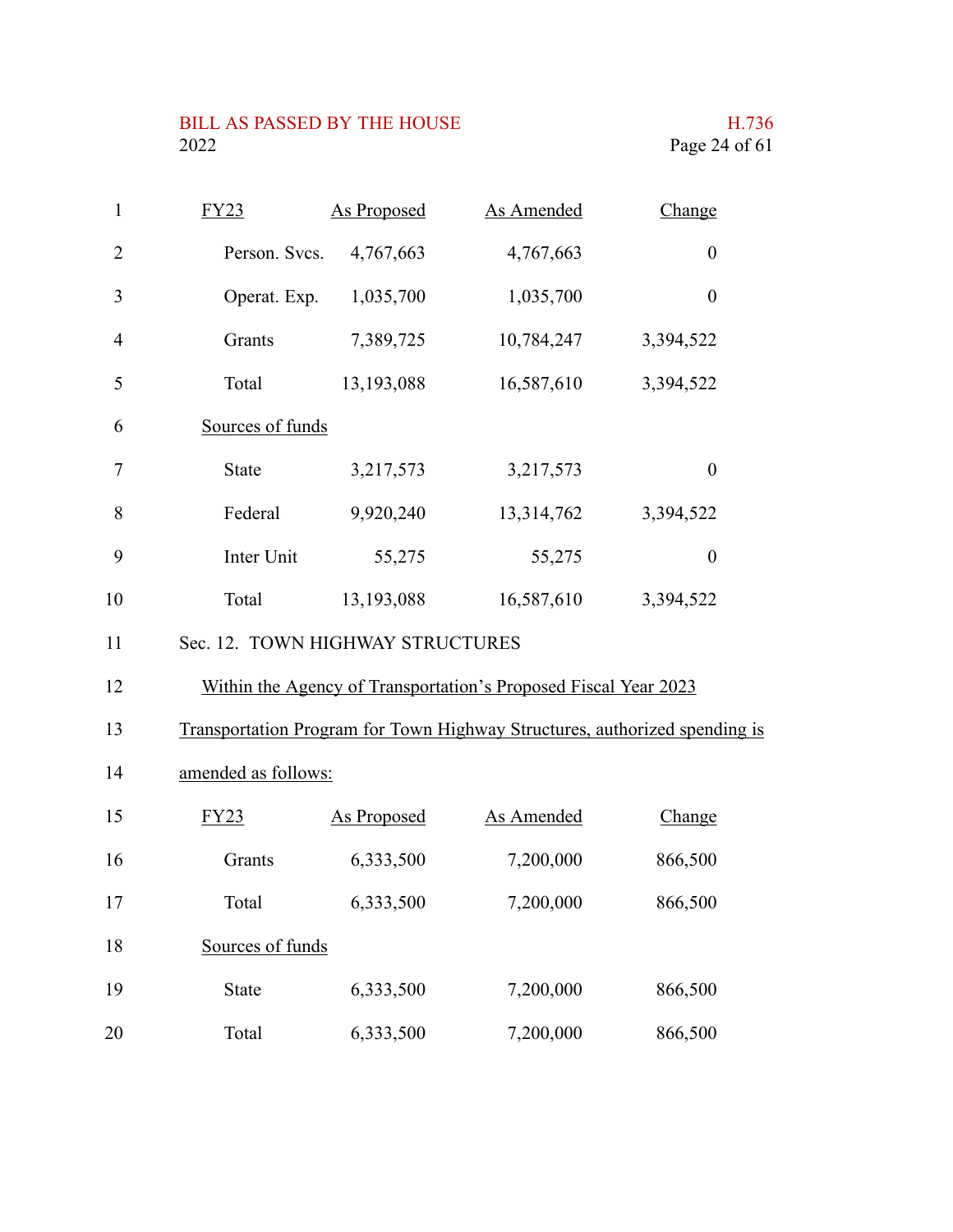# BILL AS PASSED BY THE HOUSE H.736<br>2022 Page 24 of 61

| $\mathbf{1}$   | FY23                             | <b>As Proposed</b> | <b>As Amended</b>                                                          | Change           |  |
|----------------|----------------------------------|--------------------|----------------------------------------------------------------------------|------------------|--|
| $\overline{2}$ | Person. Svcs.                    | 4,767,663          | 4,767,663                                                                  | $\boldsymbol{0}$ |  |
| $\mathfrak{Z}$ | Operat. Exp.                     | 1,035,700          | 1,035,700                                                                  | $\boldsymbol{0}$ |  |
| $\overline{4}$ | Grants                           | 7,389,725          | 10,784,247                                                                 | 3,394,522        |  |
| 5              | Total                            | 13,193,088         | 16,587,610                                                                 | 3,394,522        |  |
| 6              | Sources of funds                 |                    |                                                                            |                  |  |
| 7              | <b>State</b>                     | 3,217,573          | 3,217,573                                                                  | $\boldsymbol{0}$ |  |
| 8              | Federal                          | 9,920,240          | 13,314,762                                                                 | 3,394,522        |  |
| 9              | Inter Unit                       | 55,275             | 55,275                                                                     | $\boldsymbol{0}$ |  |
| 10             | Total                            | 13,193,088         | 16,587,610                                                                 | 3,394,522        |  |
| 11             | Sec. 12. TOWN HIGHWAY STRUCTURES |                    |                                                                            |                  |  |
| 12             |                                  |                    | Within the Agency of Transportation's Proposed Fiscal Year 2023            |                  |  |
| 13             |                                  |                    | Transportation Program for Town Highway Structures, authorized spending is |                  |  |
| 14             | amended as follows:              |                    |                                                                            |                  |  |
| 15             | FY23                             | <b>As Proposed</b> | As Amended                                                                 | Change           |  |
| 16             | Grants                           | 6,333,500          | 7,200,000                                                                  | 866,500          |  |
| 17             | Total                            | 6,333,500          | 7,200,000                                                                  | 866,500          |  |
| 18             | Sources of funds                 |                    |                                                                            |                  |  |
| 19             | <b>State</b>                     | 6,333,500          | 7,200,000                                                                  | 866,500          |  |
| 20             | Total                            | 6,333,500          | 7,200,000                                                                  | 866,500          |  |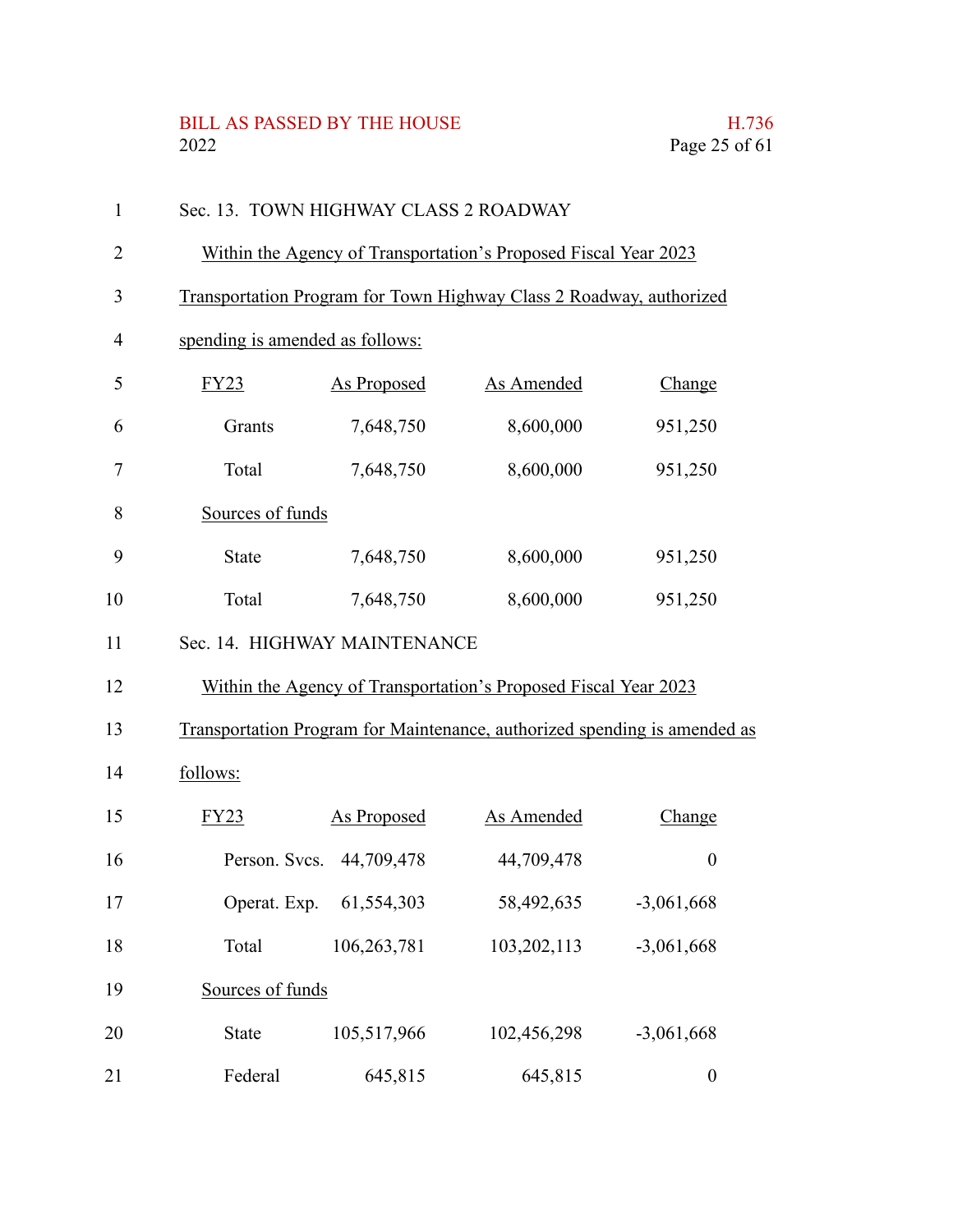# BILL AS PASSED BY THE HOUSE H.736<br>2022 Page 25 of 61

| 1              | Sec. 13. TOWN HIGHWAY CLASS 2 ROADWAY                                     |                          |                   |                  |  |
|----------------|---------------------------------------------------------------------------|--------------------------|-------------------|------------------|--|
| $\overline{2}$ | Within the Agency of Transportation's Proposed Fiscal Year 2023           |                          |                   |                  |  |
| 3              | Transportation Program for Town Highway Class 2 Roadway, authorized       |                          |                   |                  |  |
| $\overline{4}$ | spending is amended as follows:                                           |                          |                   |                  |  |
| 5              | FY23                                                                      | <b>As Proposed</b>       | <b>As Amended</b> | Change           |  |
| 6              | Grants                                                                    | 7,648,750                | 8,600,000         | 951,250          |  |
| 7              | Total                                                                     | 7,648,750                | 8,600,000         | 951,250          |  |
| 8              | Sources of funds                                                          |                          |                   |                  |  |
| 9              | <b>State</b>                                                              | 7,648,750                | 8,600,000         | 951,250          |  |
| 10             | Total                                                                     | 7,648,750                | 8,600,000         | 951,250          |  |
| 11             | Sec. 14. HIGHWAY MAINTENANCE                                              |                          |                   |                  |  |
| 12             | Within the Agency of Transportation's Proposed Fiscal Year 2023           |                          |                   |                  |  |
| 13             | Transportation Program for Maintenance, authorized spending is amended as |                          |                   |                  |  |
| 14             | follows:                                                                  |                          |                   |                  |  |
| 15             | FY23                                                                      | <b>As Proposed</b>       | As Amended        | Change           |  |
| 16             |                                                                           | Person. Svcs. 44,709,478 | 44,709,478        | $\boldsymbol{0}$ |  |
| 17             | Operat. Exp.                                                              | 61,554,303               | 58,492,635        | $-3,061,668$     |  |
| 18             | Total                                                                     | 106,263,781              | 103,202,113       | $-3,061,668$     |  |
| 19             | Sources of funds                                                          |                          |                   |                  |  |
| 20             | State                                                                     | 105,517,966              | 102,456,298       | $-3,061,668$     |  |
| 21             | Federal                                                                   | 645,815                  | 645,815           | $\boldsymbol{0}$ |  |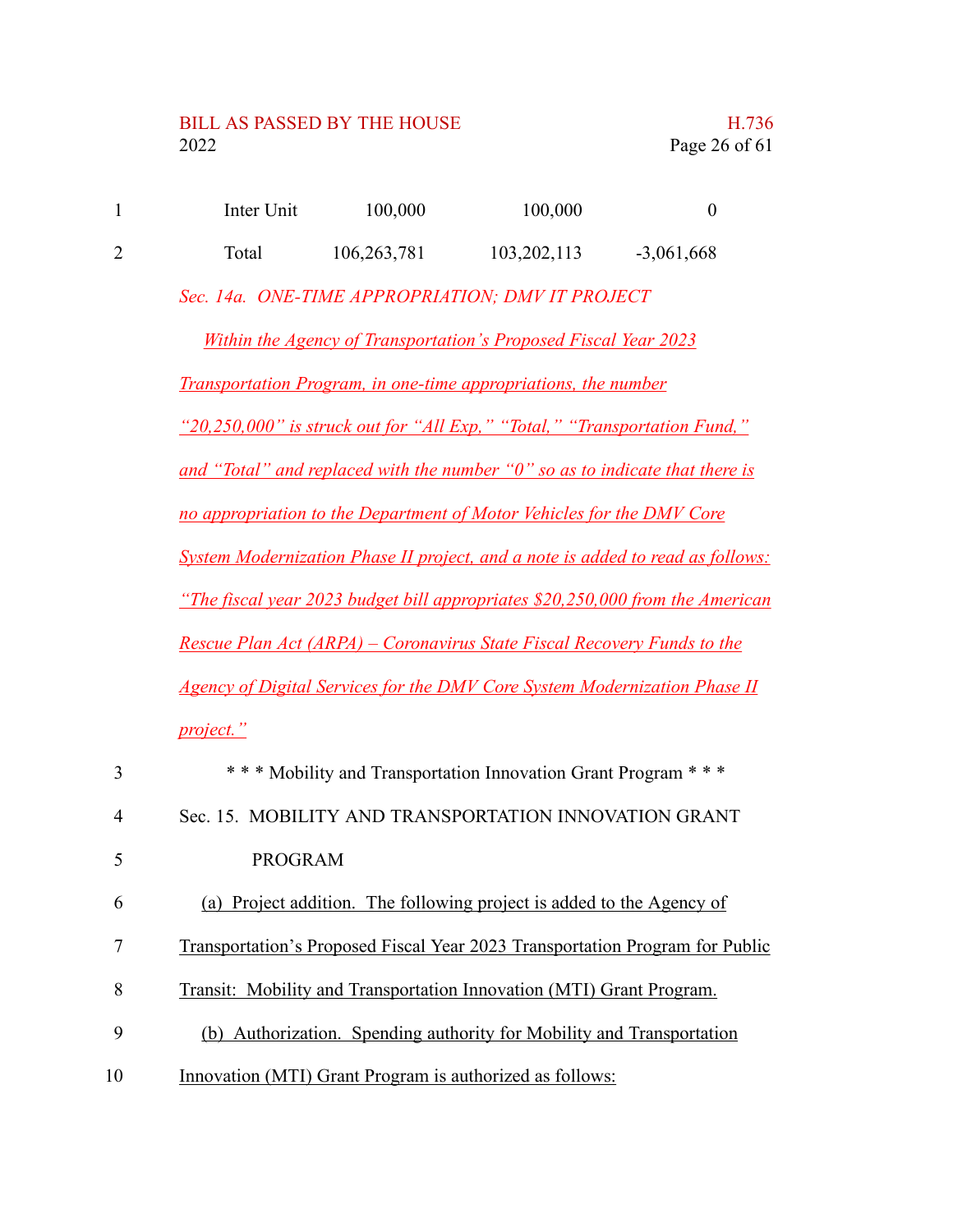| Inter Unit | 100,000     | 100,000       |              |
|------------|-------------|---------------|--------------|
| Total      | 106,263,781 | 103, 202, 113 | $-3,061,668$ |

*Sec. 14a. ONE-TIME APPROPRIATION; DMV IT PROJECT*

*Within the Agency of Transportation's Proposed Fiscal Year 2023 Transportation Program, in one-time appropriations, the number "20,250,000" is struck out for "All Exp," "Total," "Transportation Fund," and "Total" and replaced with the number "0" so as to indicate that there is no appropriation to the Department of Motor Vehicles for the DMV Core System Modernization Phase II project, and a note is added to read as follows: "The fiscal year 2023 budget bill appropriates \$20,250,000 from the American Rescue Plan Act (ARPA) – Coronavirus State Fiscal Recovery Funds to the Agency of Digital Services for the DMV Core System Modernization Phase II project."*

| 3              | *** Mobility and Transportation Innovation Grant Program ***                 |
|----------------|------------------------------------------------------------------------------|
| $\overline{4}$ | Sec. 15. MOBILITY AND TRANSPORTATION INNOVATION GRANT                        |
|                | PROGRAM                                                                      |
| 6              | (a) Project addition. The following project is added to the Agency of        |
| 7              | Transportation's Proposed Fiscal Year 2023 Transportation Program for Public |
| 8              | Transit: Mobility and Transportation Innovation (MTI) Grant Program.         |
| 9              | (b) Authorization. Spending authority for Mobility and Transportation        |
| 10             | Innovation (MTI) Grant Program is authorized as follows:                     |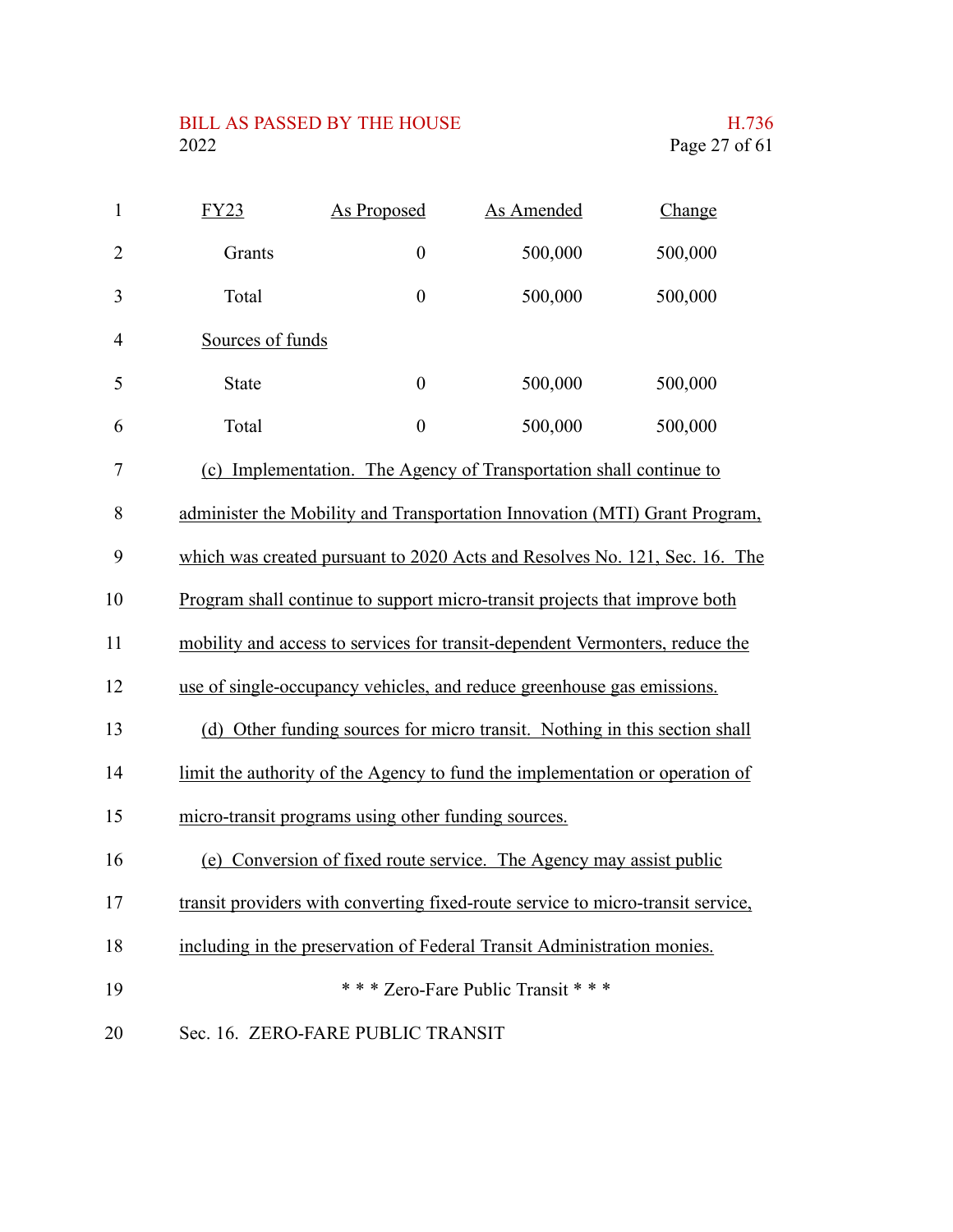### BILL AS PASSED BY THE HOUSE H.736<br>2022 Page 27 of 61

| $\mathbf{1}$   | <u>FY23</u>      | <b>As Proposed</b>                                  | <b>As Amended</b>                                                               | Change  |
|----------------|------------------|-----------------------------------------------------|---------------------------------------------------------------------------------|---------|
| $\overline{2}$ | Grants           | $\boldsymbol{0}$                                    | 500,000                                                                         | 500,000 |
| 3              | Total            | $\boldsymbol{0}$                                    | 500,000                                                                         | 500,000 |
| 4              | Sources of funds |                                                     |                                                                                 |         |
| 5              | <b>State</b>     | $\boldsymbol{0}$                                    | 500,000                                                                         | 500,000 |
| 6              | Total            | $\boldsymbol{0}$                                    | 500,000                                                                         | 500,000 |
| 7              |                  |                                                     | (c) Implementation. The Agency of Transportation shall continue to              |         |
| 8              |                  |                                                     | administer the Mobility and Transportation Innovation (MTI) Grant Program,      |         |
| 9              |                  |                                                     | which was created pursuant to 2020 Acts and Resolves No. 121, Sec. 16. The      |         |
| 10             |                  |                                                     | Program shall continue to support micro-transit projects that improve both      |         |
| 11             |                  |                                                     | mobility and access to services for transit-dependent Vermonters, reduce the    |         |
| 12             |                  |                                                     | use of single-occupancy vehicles, and reduce greenhouse gas emissions.          |         |
| 13             |                  |                                                     | (d) Other funding sources for micro transit. Nothing in this section shall      |         |
| 14             |                  |                                                     | limit the authority of the Agency to fund the implementation or operation of    |         |
| 15             |                  | micro-transit programs using other funding sources. |                                                                                 |         |
| 16             |                  |                                                     | (e) Conversion of fixed route service. The Agency may assist public             |         |
| 17             |                  |                                                     | transit providers with converting fixed-route service to micro-transit service, |         |
| 18             |                  |                                                     | including in the preservation of Federal Transit Administration monies.         |         |
| 19             |                  |                                                     | *** Zero-Fare Public Transit ***                                                |         |
| 20             |                  | Sec. 16. ZERO-FARE PUBLIC TRANSIT                   |                                                                                 |         |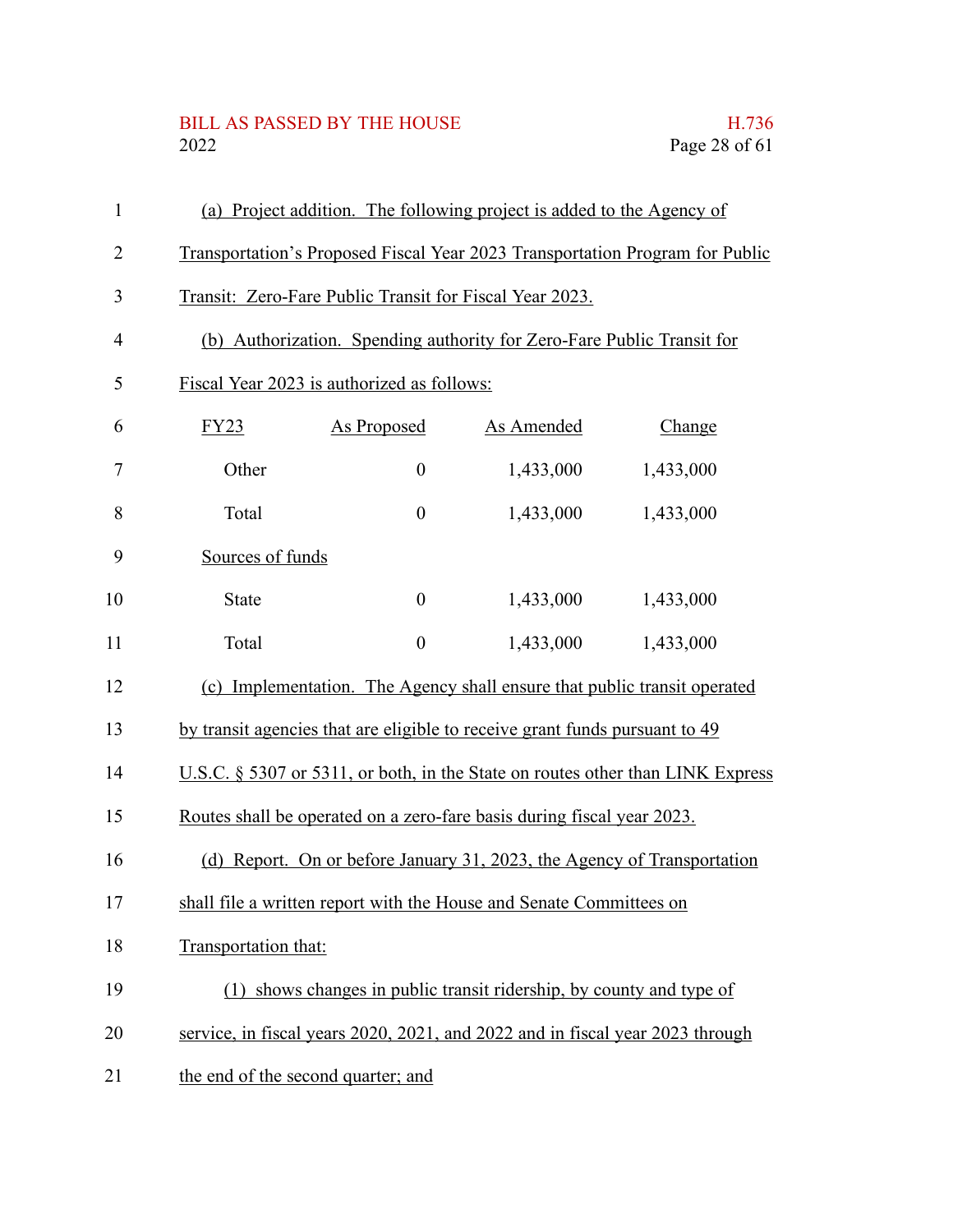# BILL AS PASSED BY THE HOUSE H.736<br>2022 Page 28 of 61

| $\mathbf{1}$   |                      | (a) Project addition. The following project is added to the Agency of         |            |                                                                                |
|----------------|----------------------|-------------------------------------------------------------------------------|------------|--------------------------------------------------------------------------------|
| $\overline{2}$ |                      |                                                                               |            | Transportation's Proposed Fiscal Year 2023 Transportation Program for Public   |
| 3              |                      | Transit: Zero-Fare Public Transit for Fiscal Year 2023.                       |            |                                                                                |
| $\overline{4}$ |                      | (b) Authorization. Spending authority for Zero-Fare Public Transit for        |            |                                                                                |
| 5              |                      | Fiscal Year 2023 is authorized as follows:                                    |            |                                                                                |
| 6              | FY23                 | <b>As Proposed</b>                                                            | As Amended | Change                                                                         |
| 7              | Other                | $\boldsymbol{0}$                                                              | 1,433,000  | 1,433,000                                                                      |
| 8              | Total                | $\boldsymbol{0}$                                                              | 1,433,000  | 1,433,000                                                                      |
| 9              | Sources of funds     |                                                                               |            |                                                                                |
| 10             | <b>State</b>         | $\boldsymbol{0}$                                                              | 1,433,000  | 1,433,000                                                                      |
| 11             | Total                | $\boldsymbol{0}$                                                              | 1,433,000  | 1,433,000                                                                      |
| 12             |                      | (c) Implementation. The Agency shall ensure that public transit operated      |            |                                                                                |
| 13             |                      | by transit agencies that are eligible to receive grant funds pursuant to 49   |            |                                                                                |
| 14             |                      |                                                                               |            | U.S.C. § 5307 or 5311, or both, in the State on routes other than LINK Express |
| 15             |                      | Routes shall be operated on a zero-fare basis during fiscal year 2023.        |            |                                                                                |
| 16             |                      | (d) Report. On or before January 31, 2023, the Agency of Transportation       |            |                                                                                |
| 17             |                      | shall file a written report with the House and Senate Committees on           |            |                                                                                |
| 18             | Transportation that: |                                                                               |            |                                                                                |
| 19             |                      | (1) shows changes in public transit ridership, by county and type of          |            |                                                                                |
| 20             |                      | service, in fiscal years 2020, 2021, and 2022 and in fiscal year 2023 through |            |                                                                                |
| 21             |                      | the end of the second quarter; and                                            |            |                                                                                |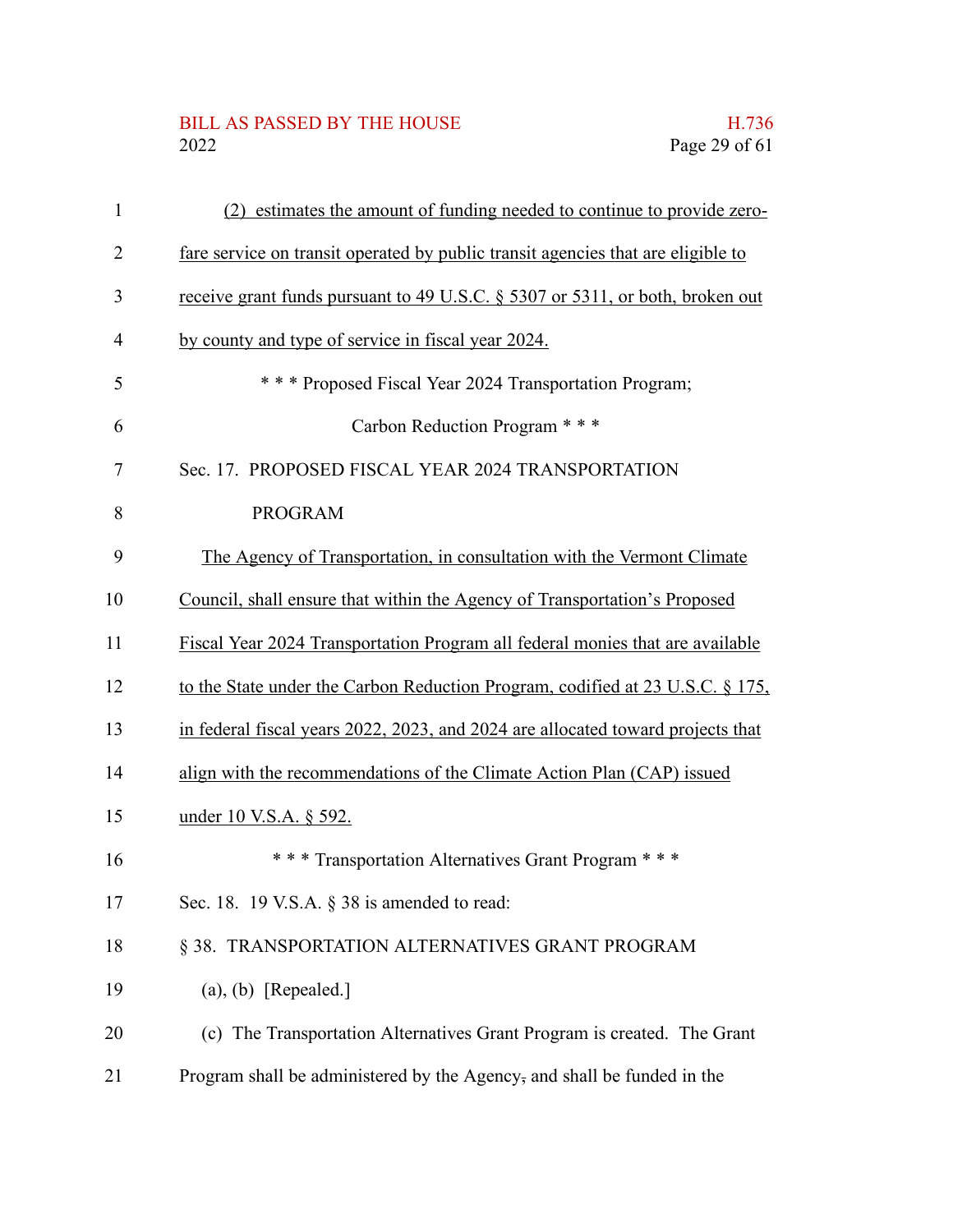### BILL AS PASSED BY THE HOUSE H.736<br>2022 Page 29 of 61

| $\mathbf{1}$   | (2) estimates the amount of funding needed to continue to provide zero-          |
|----------------|----------------------------------------------------------------------------------|
| 2              | fare service on transit operated by public transit agencies that are eligible to |
| 3              | receive grant funds pursuant to 49 U.S.C. § 5307 or 5311, or both, broken out    |
| $\overline{4}$ | by county and type of service in fiscal year 2024.                               |
| 5              | *** Proposed Fiscal Year 2024 Transportation Program;                            |
| 6              | Carbon Reduction Program ***                                                     |
| $\tau$         | Sec. 17. PROPOSED FISCAL YEAR 2024 TRANSPORTATION                                |
| 8              | <b>PROGRAM</b>                                                                   |
| 9              | The Agency of Transportation, in consultation with the Vermont Climate           |
| 10             | Council, shall ensure that within the Agency of Transportation's Proposed        |
| 11             | Fiscal Year 2024 Transportation Program all federal monies that are available    |
| 12             | to the State under the Carbon Reduction Program, codified at 23 U.S.C. § 175,    |
| 13             | in federal fiscal years 2022, 2023, and 2024 are allocated toward projects that  |
| 14             | align with the recommendations of the Climate Action Plan (CAP) issued           |
| 15             | under 10 V.S.A. § 592.                                                           |
| 16             | *** Transportation Alternatives Grant Program ***                                |
| 17             | Sec. 18. 19 V.S.A. § 38 is amended to read:                                      |
| 18             | § 38. TRANSPORTATION ALTERNATIVES GRANT PROGRAM                                  |
| 19             | $(a), (b)$ [Repealed.]                                                           |
| 20             | (c) The Transportation Alternatives Grant Program is created. The Grant          |
| 21             | Program shall be administered by the Agency, and shall be funded in the          |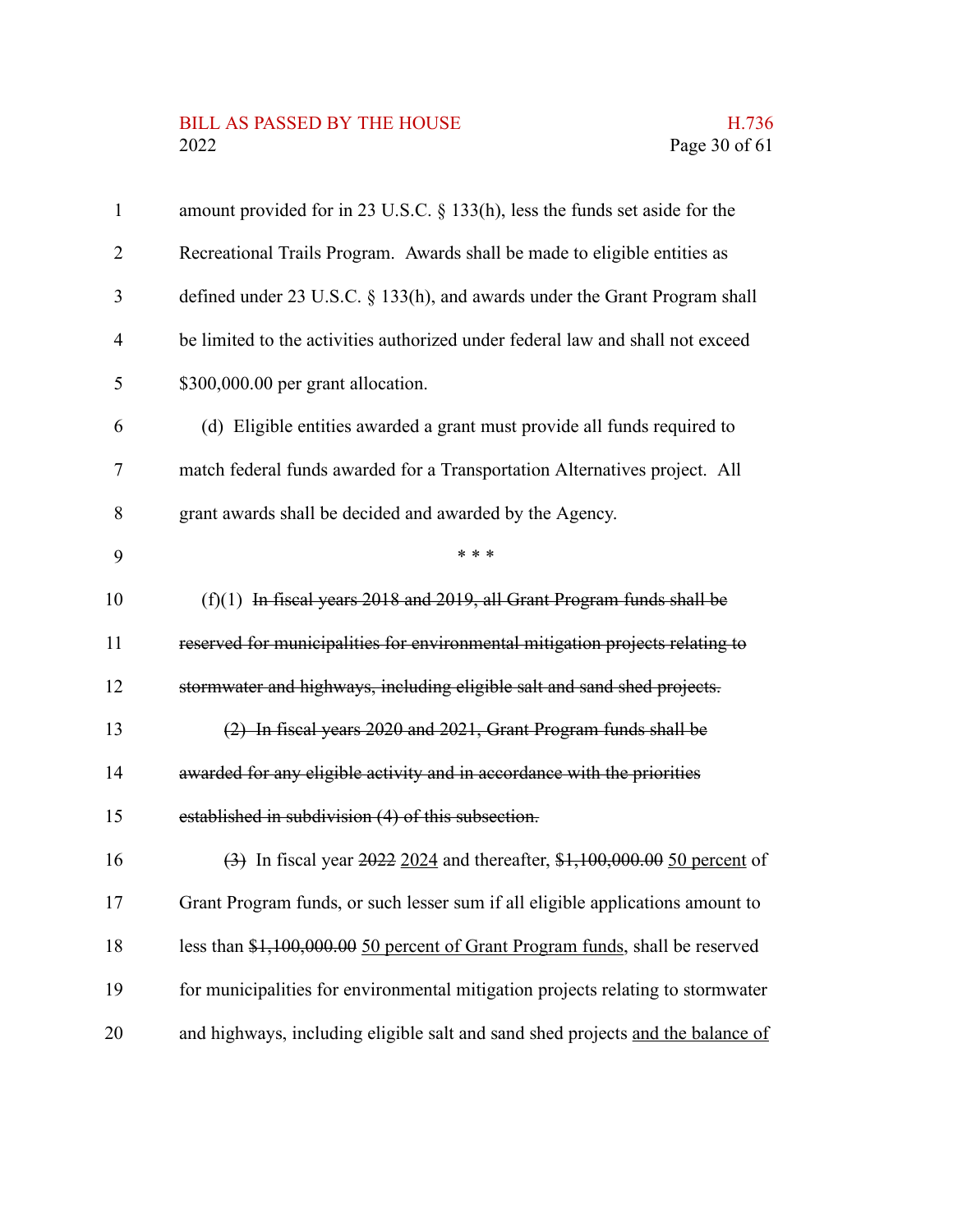# BILL AS PASSED BY THE HOUSE H.736<br>2022 Page 30 of 61

| $\mathbf{1}$ | amount provided for in 23 U.S.C. § 133(h), less the funds set aside for the     |
|--------------|---------------------------------------------------------------------------------|
| 2            | Recreational Trails Program. Awards shall be made to eligible entities as       |
| 3            | defined under 23 U.S.C. § 133(h), and awards under the Grant Program shall      |
| 4            | be limited to the activities authorized under federal law and shall not exceed  |
| 5            | \$300,000.00 per grant allocation.                                              |
| 6            | (d) Eligible entities awarded a grant must provide all funds required to        |
| 7            | match federal funds awarded for a Transportation Alternatives project. All      |
| 8            | grant awards shall be decided and awarded by the Agency.                        |
| 9            | * * *                                                                           |
| 10           | $(f)(1)$ In fiscal years 2018 and 2019, all Grant Program funds shall be        |
| 11           | reserved for municipalities for environmental mitigation projects relating to   |
| 12           | stormwater and highways, including eligible salt and sand shed projects.        |
| 13           | (2) In fiscal years 2020 and 2021, Grant Program funds shall be                 |
| 14           | awarded for any eligible activity and in accordance with the priorities         |
| 15           | established in subdivision (4) of this subsection.                              |
| 16           | (3) In fiscal year 2022 2024 and thereafter, \$1,100,000.00 50 percent of       |
| 17           | Grant Program funds, or such lesser sum if all eligible applications amount to  |
| 18           | less than \$1,100,000.00 50 percent of Grant Program funds, shall be reserved   |
| 19           | for municipalities for environmental mitigation projects relating to stormwater |
| 20           | and highways, including eligible salt and sand shed projects and the balance of |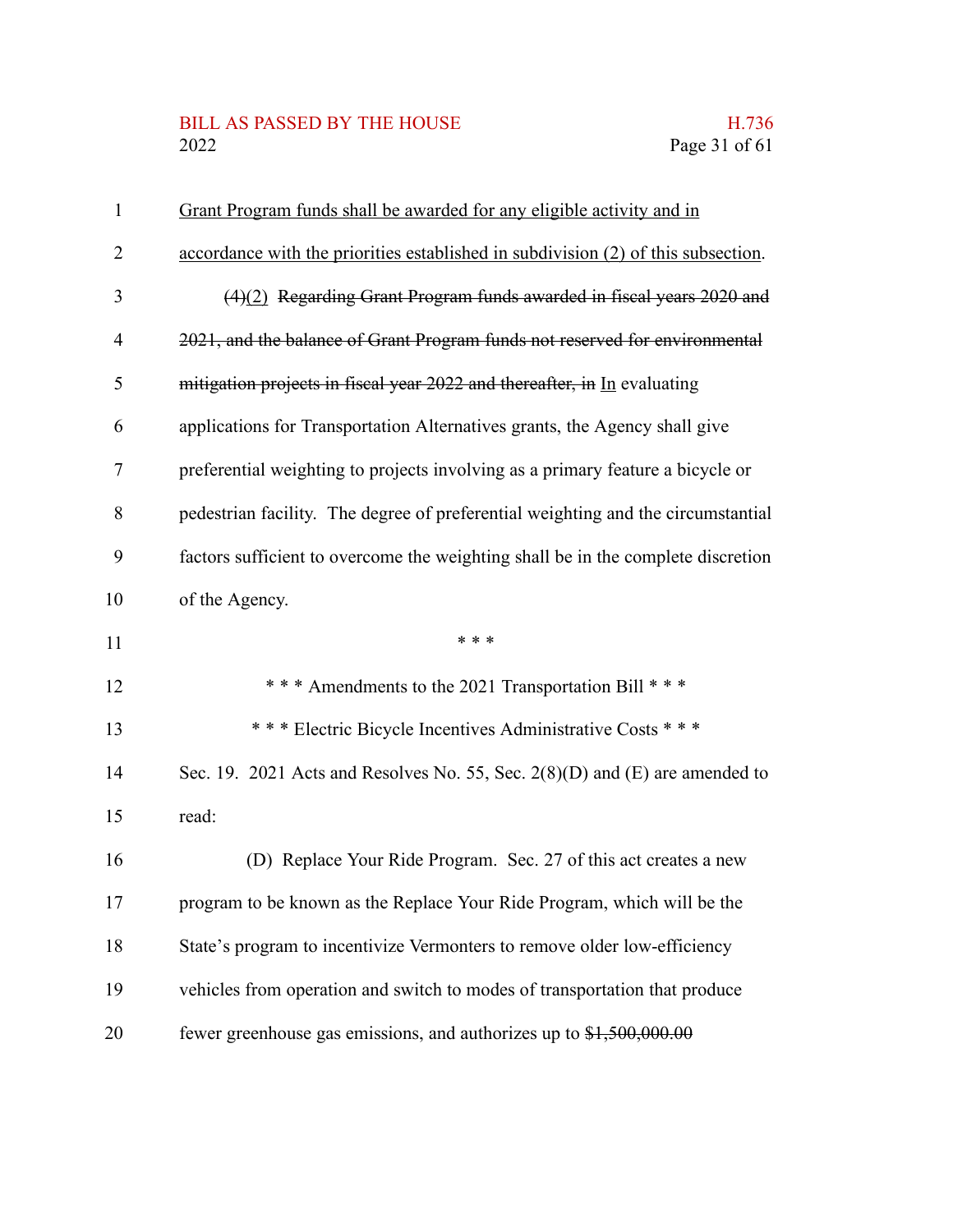## BILL AS PASSED BY THE HOUSE H.736<br>2022 Page 31 of 61

| $\mathbf{1}$ | Grant Program funds shall be awarded for any eligible activity and in             |
|--------------|-----------------------------------------------------------------------------------|
| 2            | accordance with the priorities established in subdivision (2) of this subsection. |
| 3            | $(4)(2)$ Regarding Grant Program funds awarded in fiscal years 2020 and           |
| 4            | 2021, and the balance of Grant Program funds not reserved for environmental       |
| 5            | mitigation projects in fiscal year 2022 and thereafter, in In evaluating          |
| 6            | applications for Transportation Alternatives grants, the Agency shall give        |
| 7            | preferential weighting to projects involving as a primary feature a bicycle or    |
| 8            | pedestrian facility. The degree of preferential weighting and the circumstantial  |
| 9            | factors sufficient to overcome the weighting shall be in the complete discretion  |
| 10           | of the Agency.                                                                    |
| 11           | * * *                                                                             |
| 12           | *** Amendments to the 2021 Transportation Bill ***                                |
| 13           | *** Electric Bicycle Incentives Administrative Costs ***                          |
| 14           |                                                                                   |
|              | Sec. 19. 2021 Acts and Resolves No. 55, Sec. $2(8)(D)$ and $(E)$ are amended to   |
| 15           | read:                                                                             |
| 16           | (D) Replace Your Ride Program. Sec. 27 of this act creates a new                  |
| 17           | program to be known as the Replace Your Ride Program, which will be the           |
| 18           | State's program to incentivize Vermonters to remove older low-efficiency          |
| 19           | vehicles from operation and switch to modes of transportation that produce        |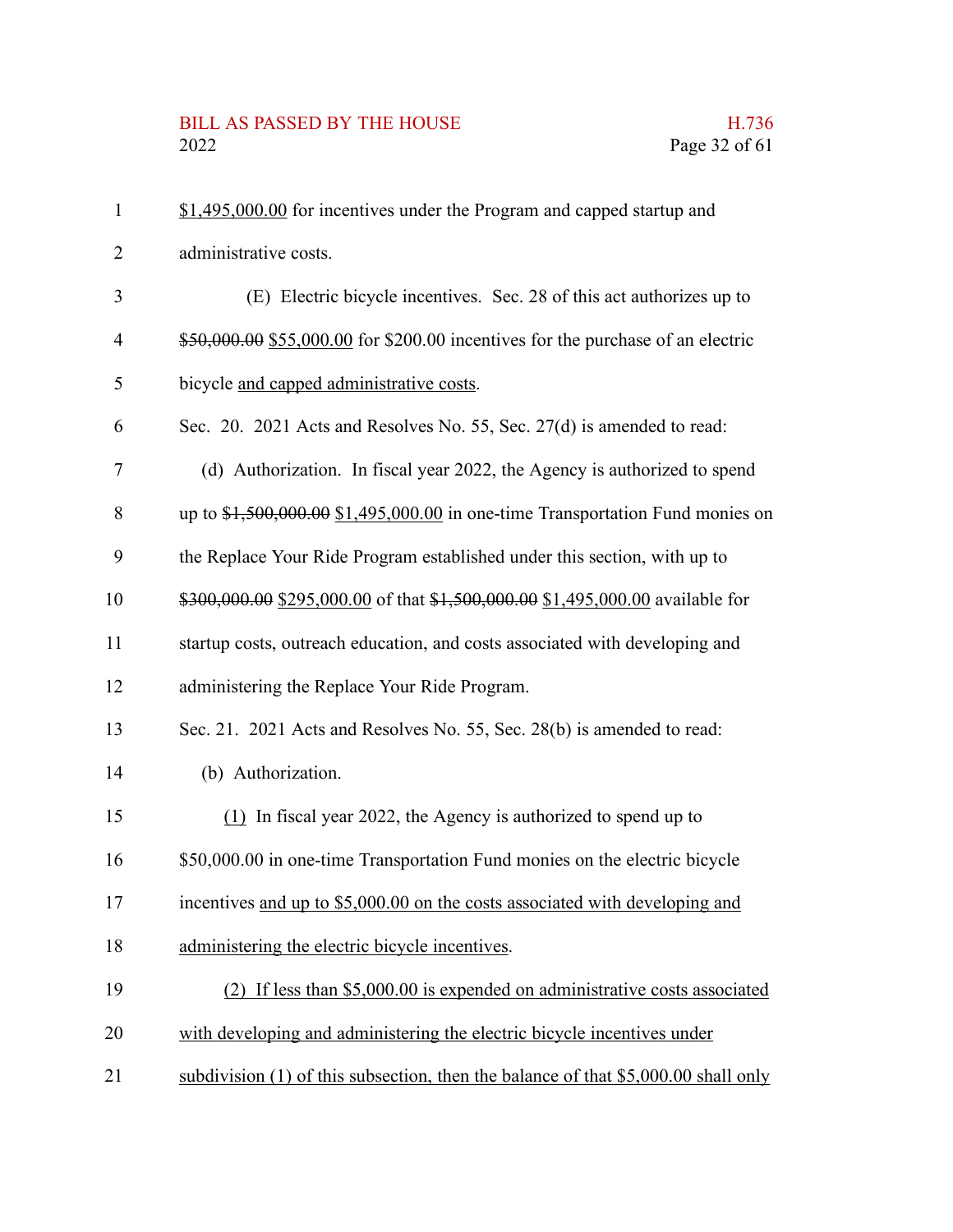# BILL AS PASSED BY THE HOUSE H.736<br>2022 Page 32 of 61

| $\mathbf{1}$ | \$1,495,000.00 for incentives under the Program and capped startup and               |
|--------------|--------------------------------------------------------------------------------------|
| 2            | administrative costs.                                                                |
| 3            | (E) Electric bicycle incentives. Sec. 28 of this act authorizes up to                |
| 4            | \$50,000.00 \$55,000.00 for \$200.00 incentives for the purchase of an electric      |
| 5            | bicycle and capped administrative costs.                                             |
| 6            | Sec. 20. 2021 Acts and Resolves No. 55, Sec. 27(d) is amended to read:               |
| 7            | (d) Authorization. In fiscal year 2022, the Agency is authorized to spend            |
| 8            | up to $$1,500,000.00$ $$1,495,000.00$ in one-time Transportation Fund monies on      |
| 9            | the Replace Your Ride Program established under this section, with up to             |
| 10           | \$300,000.00 \$295,000.00 of that \$1,500,000.00 \$1,495,000.00 available for        |
| 11           | startup costs, outreach education, and costs associated with developing and          |
| 12           | administering the Replace Your Ride Program.                                         |
| 13           | Sec. 21. 2021 Acts and Resolves No. 55, Sec. 28(b) is amended to read:               |
| 14           | (b) Authorization.                                                                   |
| 15           | $(1)$ In fiscal year 2022, the Agency is authorized to spend up to                   |
| 16           | \$50,000.00 in one-time Transportation Fund monies on the electric bicycle           |
| 17           | incentives and up to \$5,000.00 on the costs associated with developing and          |
| 18           | administering the electric bicycle incentives.                                       |
| 19           | $(2)$ If less than \$5,000.00 is expended on administrative costs associated         |
| 20           | with developing and administering the electric bicycle incentives under              |
| 21           | subdivision $(1)$ of this subsection, then the balance of that \$5,000.00 shall only |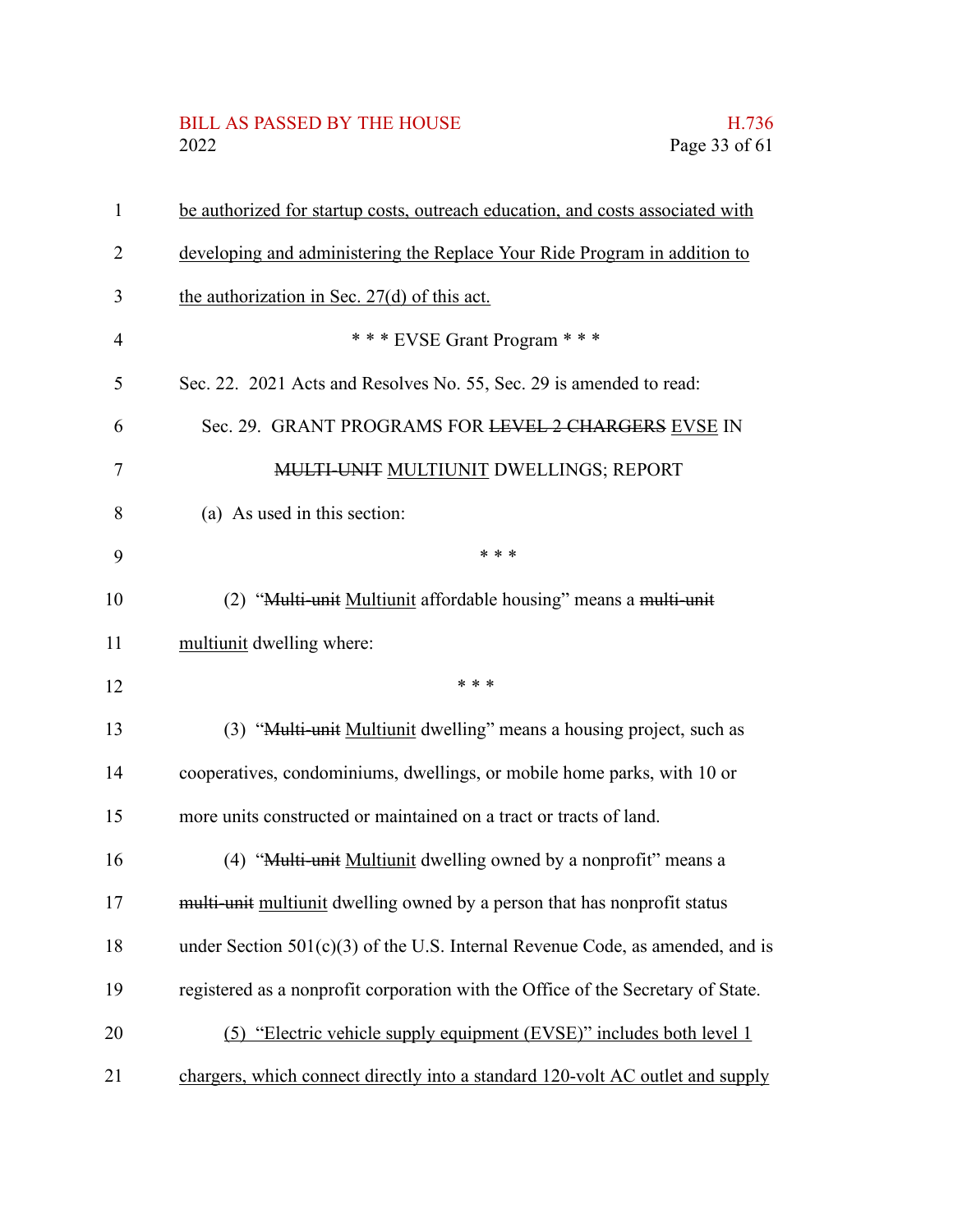# BILL AS PASSED BY THE HOUSE H.736<br>2022 Page 33 of 61

| 1  | be authorized for startup costs, outreach education, and costs associated with   |
|----|----------------------------------------------------------------------------------|
| 2  | developing and administering the Replace Your Ride Program in addition to        |
| 3  | the authorization in Sec. 27(d) of this act.                                     |
| 4  | *** EVSE Grant Program ***                                                       |
| 5  | Sec. 22. 2021 Acts and Resolves No. 55, Sec. 29 is amended to read:              |
| 6  | Sec. 29. GRANT PROGRAMS FOR LEVEL 2 CHARGERS EVSE IN                             |
| 7  | <b>MULTI-UNIT MULTIUNIT DWELLINGS; REPORT</b>                                    |
| 8  | (a) As used in this section:                                                     |
| 9  | * * *                                                                            |
| 10 | (2) "Multi-unit Multiunit affordable housing" means a multi-unit                 |
| 11 | multiunit dwelling where:                                                        |
| 12 | * * *                                                                            |
| 13 | (3) "Multi-unit Multiunit dwelling" means a housing project, such as             |
| 14 | cooperatives, condominiums, dwellings, or mobile home parks, with 10 or          |
| 15 | more units constructed or maintained on a tract or tracts of land.               |
| 16 | (4) "Multi-unit Multiunit dwelling owned by a nonprofit" means a                 |
| 17 | multi-unit multiunit dwelling owned by a person that has nonprofit status        |
| 18 | under Section $501(c)(3)$ of the U.S. Internal Revenue Code, as amended, and is  |
| 19 | registered as a nonprofit corporation with the Office of the Secretary of State. |
| 20 | (5) "Electric vehicle supply equipment (EVSE)" includes both level 1             |
| 21 | chargers, which connect directly into a standard 120-volt AC outlet and supply   |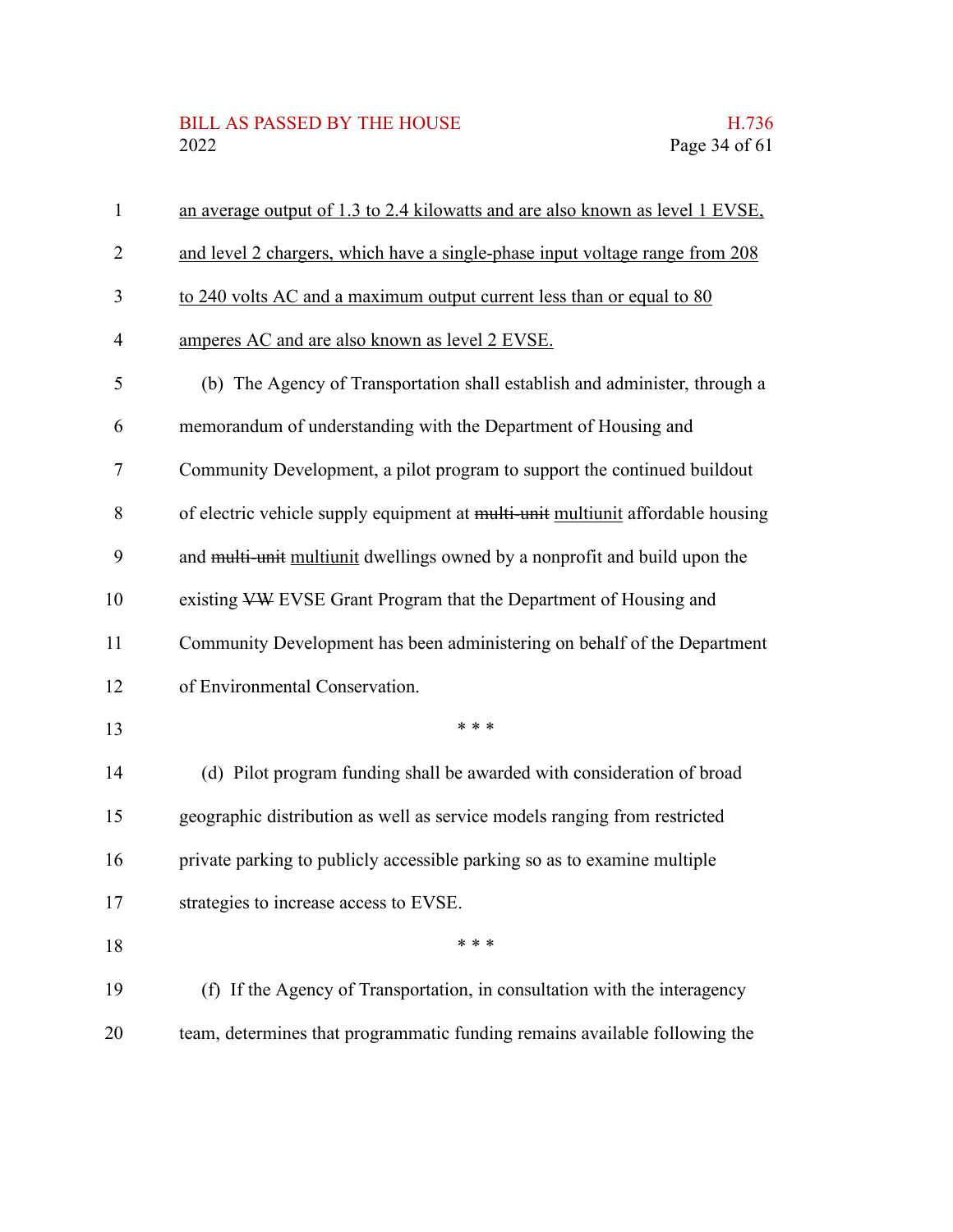### BILL AS PASSED BY THE HOUSE H.736<br>2022 Page 34 of 61

| $\mathbf{1}$   | an average output of 1.3 to 2.4 kilowatts and are also known as level 1 EVSE,   |
|----------------|---------------------------------------------------------------------------------|
| $\overline{2}$ | and level 2 chargers, which have a single-phase input voltage range from 208    |
| 3              | to 240 volts AC and a maximum output current less than or equal to 80           |
| 4              | amperes AC and are also known as level 2 EVSE.                                  |
| 5              | (b) The Agency of Transportation shall establish and administer, through a      |
| 6              | memorandum of understanding with the Department of Housing and                  |
| 7              | Community Development, a pilot program to support the continued buildout        |
| 8              | of electric vehicle supply equipment at multi-unit multiunit affordable housing |
| 9              | and multi-unit multiunit dwellings owned by a nonprofit and build upon the      |
| 10             | existing VW EVSE Grant Program that the Department of Housing and               |
| 11             | Community Development has been administering on behalf of the Department        |
| 12             | of Environmental Conservation.                                                  |
| 13             | * * *                                                                           |
| 14             | (d) Pilot program funding shall be awarded with consideration of broad          |
| 15             | geographic distribution as well as service models ranging from restricted       |
| 16             | private parking to publicly accessible parking so as to examine multiple        |
| 17             | strategies to increase access to EVSE.                                          |
| 18             | * * *                                                                           |
| 19             | (f) If the Agency of Transportation, in consultation with the interagency       |
| 20             | team, determines that programmatic funding remains available following the      |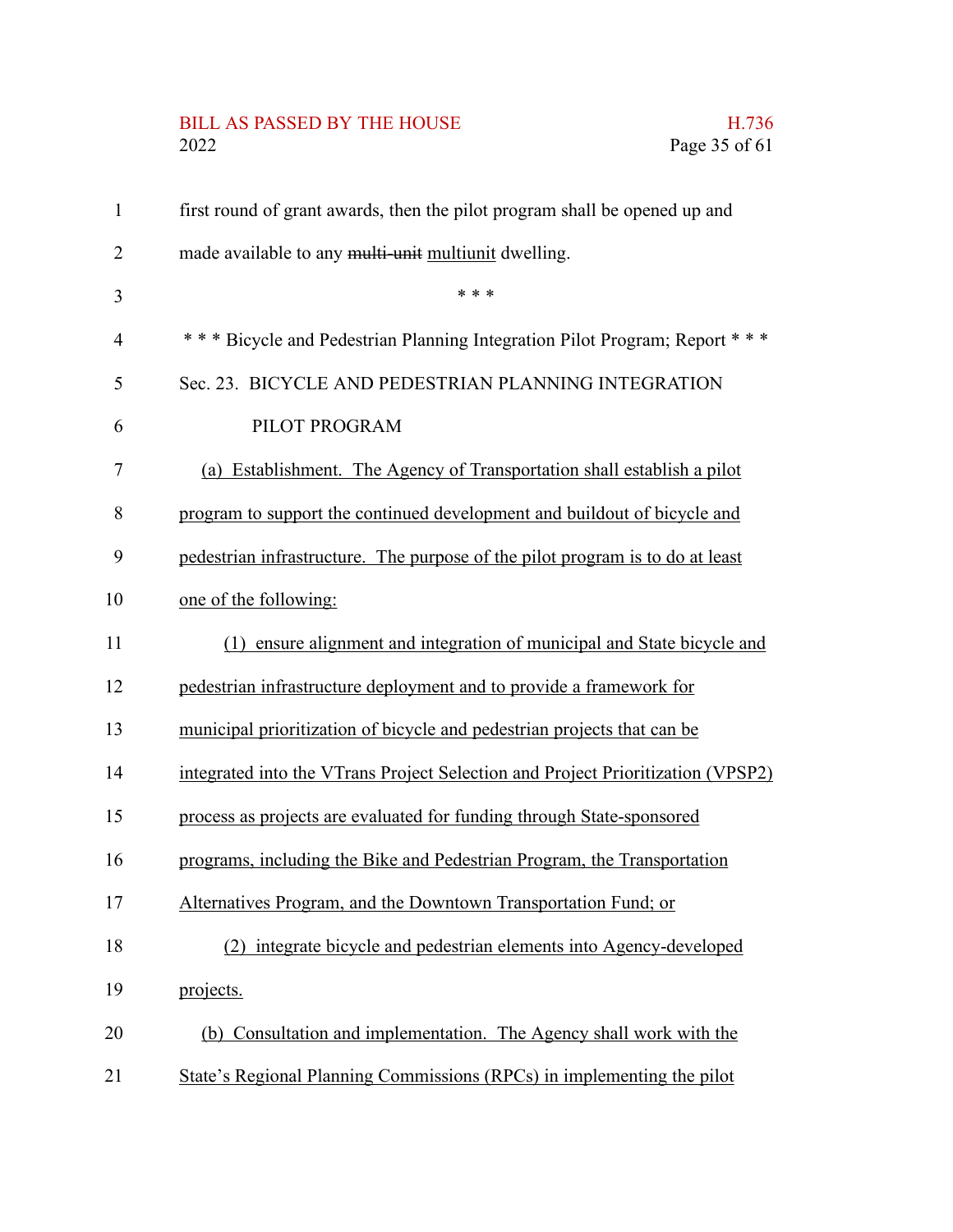# BILL AS PASSED BY THE HOUSE H.736<br>2022 Page 35 of 61

| $\mathbf{1}$   | first round of grant awards, then the pilot program shall be opened up and      |
|----------------|---------------------------------------------------------------------------------|
| $\overline{2}$ | made available to any multi-unit multiunit dwelling.                            |
| 3              | * * *                                                                           |
| $\overline{4}$ | *** Bicycle and Pedestrian Planning Integration Pilot Program; Report ***       |
| 5              | Sec. 23. BICYCLE AND PEDESTRIAN PLANNING INTEGRATION                            |
| 6              | PILOT PROGRAM                                                                   |
| $\tau$         | (a) Establishment. The Agency of Transportation shall establish a pilot         |
| 8              | program to support the continued development and buildout of bicycle and        |
| 9              | pedestrian infrastructure. The purpose of the pilot program is to do at least   |
| 10             | one of the following:                                                           |
| 11             | (1) ensure alignment and integration of municipal and State bicycle and         |
| 12             | pedestrian infrastructure deployment and to provide a framework for             |
| 13             | municipal prioritization of bicycle and pedestrian projects that can be         |
| 14             | integrated into the VTrans Project Selection and Project Prioritization (VPSP2) |
| 15             | process as projects are evaluated for funding through State-sponsored           |
| 16             | programs, including the Bike and Pedestrian Program, the Transportation         |
| 17             | Alternatives Program, and the Downtown Transportation Fund; or                  |
| 18             | integrate bicycle and pedestrian elements into Agency-developed                 |
| 19             | projects.                                                                       |
| 20             | (b) Consultation and implementation. The Agency shall work with the             |
| 21             | State's Regional Planning Commissions (RPCs) in implementing the pilot          |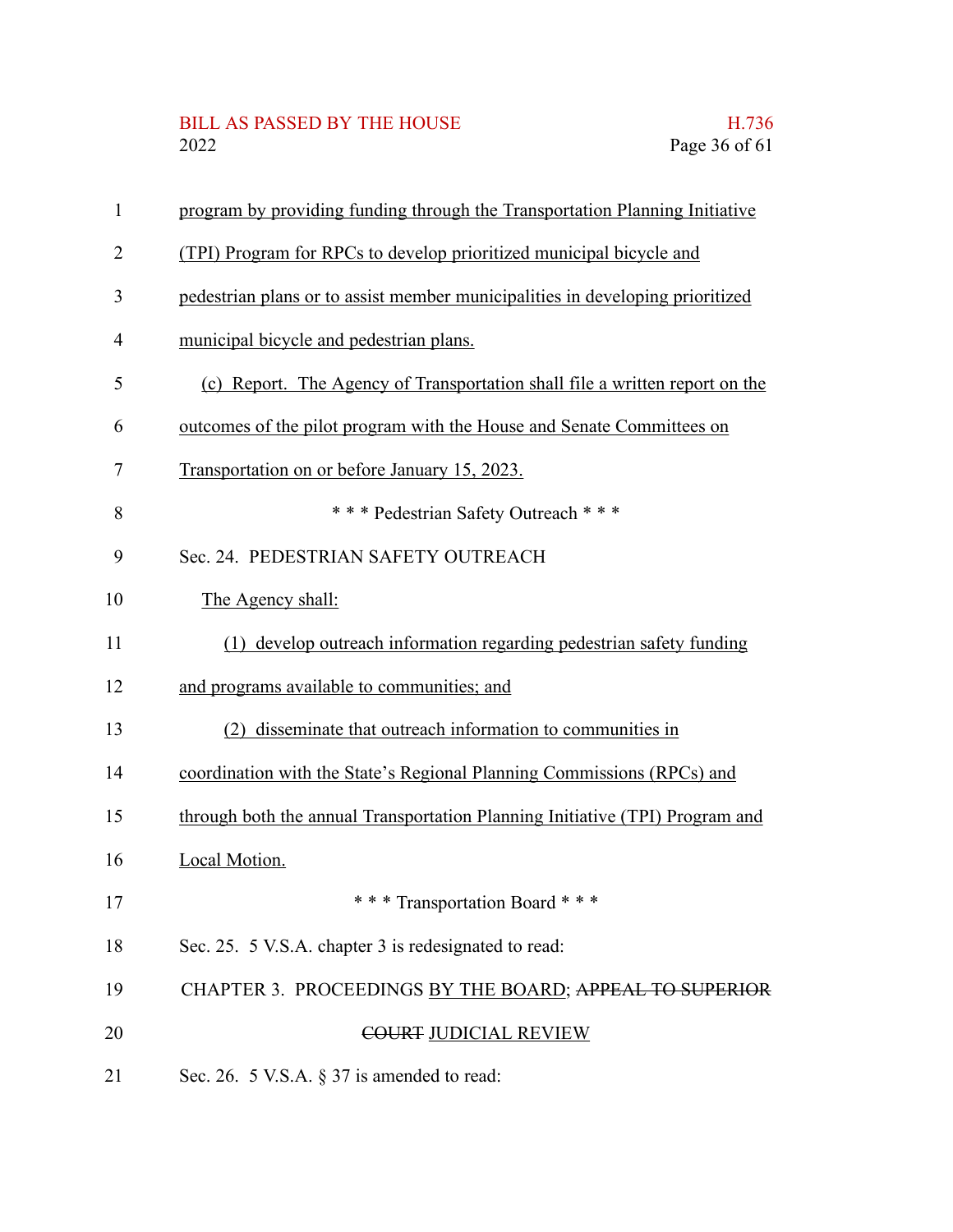# BILL AS PASSED BY THE HOUSE H.736<br>2022 Page 36 of 61

| $\mathbf{1}$   | program by providing funding through the Transportation Planning Initiative   |
|----------------|-------------------------------------------------------------------------------|
| $\overline{2}$ | (TPI) Program for RPCs to develop prioritized municipal bicycle and           |
| 3              | pedestrian plans or to assist member municipalities in developing prioritized |
| $\overline{4}$ | municipal bicycle and pedestrian plans.                                       |
| 5              | (c) Report. The Agency of Transportation shall file a written report on the   |
| 6              | outcomes of the pilot program with the House and Senate Committees on         |
| $\tau$         | Transportation on or before January 15, 2023.                                 |
| 8              | *** Pedestrian Safety Outreach ***                                            |
| 9              | Sec. 24. PEDESTRIAN SAFETY OUTREACH                                           |
| 10             | The Agency shall:                                                             |
| 11             | (1) develop outreach information regarding pedestrian safety funding          |
| 12             | and programs available to communities; and                                    |
| 13             | (2) disseminate that outreach information to communities in                   |
| 14             | coordination with the State's Regional Planning Commissions (RPCs) and        |
| 15             | through both the annual Transportation Planning Initiative (TPI) Program and  |
| 16             | Local Motion.                                                                 |
| 17             | *** Transportation Board ***                                                  |
| 18             | Sec. 25. 5 V.S.A. chapter 3 is redesignated to read:                          |
| 19             | CHAPTER 3. PROCEEDINGS BY THE BOARD; APPEAL TO SUPERIOR                       |
| 20             | COURT JUDICIAL REVIEW                                                         |
| 21             | Sec. 26. 5 V.S.A. $\S 37$ is amended to read:                                 |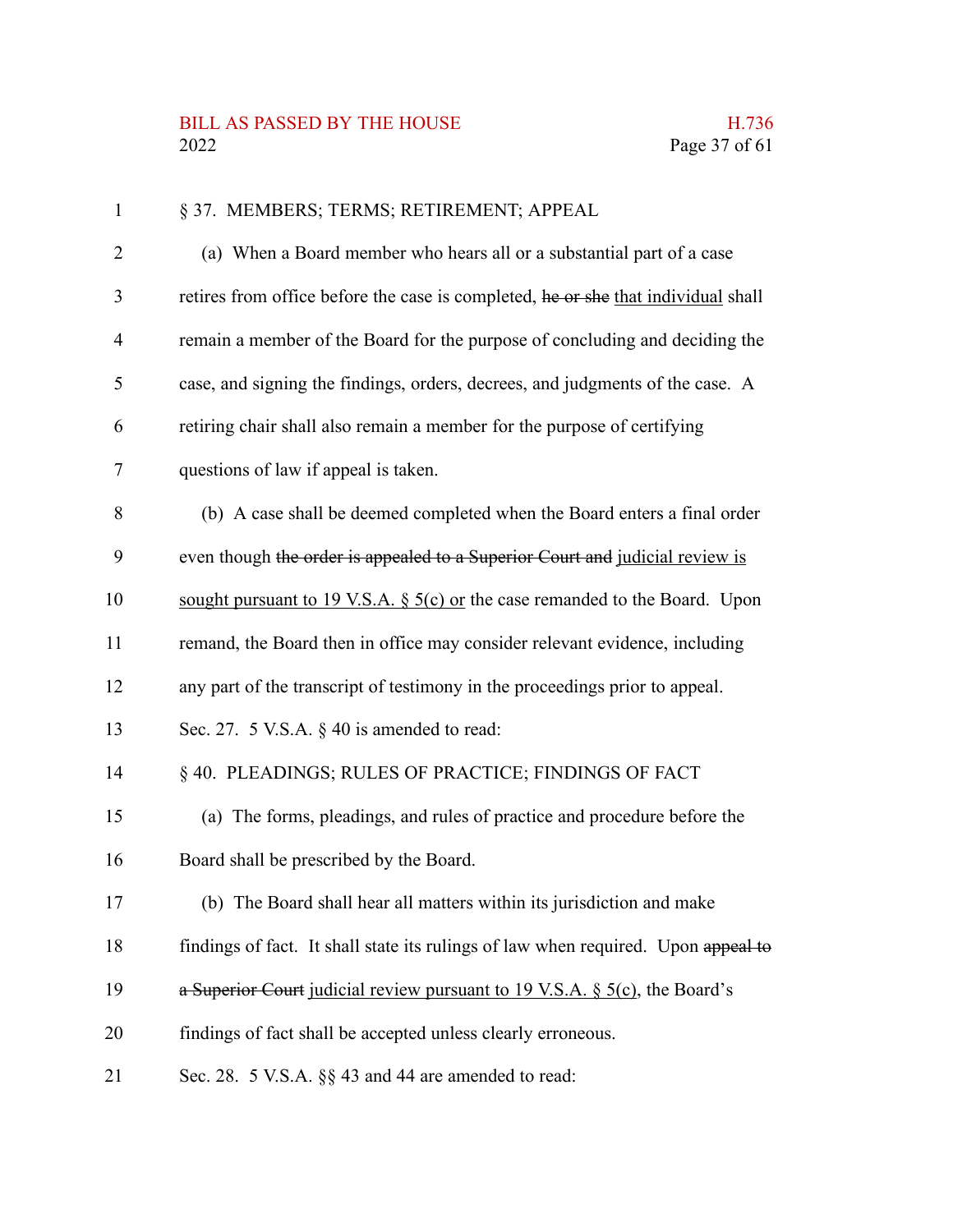| $\mathbf{1}$   | § 37. MEMBERS; TERMS; RETIREMENT; APPEAL                                          |
|----------------|-----------------------------------------------------------------------------------|
| $\overline{2}$ | (a) When a Board member who hears all or a substantial part of a case             |
| 3              | retires from office before the case is completed, he or she that individual shall |
| 4              | remain a member of the Board for the purpose of concluding and deciding the       |
| 5              | case, and signing the findings, orders, decrees, and judgments of the case. A     |
| 6              | retiring chair shall also remain a member for the purpose of certifying           |
| 7              | questions of law if appeal is taken.                                              |
| 8              | (b) A case shall be deemed completed when the Board enters a final order          |
| 9              | even though the order is appealed to a Superior Court and judicial review is      |
| 10             | sought pursuant to 19 V.S.A. $\S$ 5(c) or the case remanded to the Board. Upon    |
| 11             | remand, the Board then in office may consider relevant evidence, including        |
| 12             | any part of the transcript of testimony in the proceedings prior to appeal.       |
| 13             | Sec. 27. 5 V.S.A. $\S$ 40 is amended to read:                                     |
| 14             | § 40. PLEADINGS; RULES OF PRACTICE; FINDINGS OF FACT                              |
| 15             | (a) The forms, pleadings, and rules of practice and procedure before the          |
| 16             | Board shall be prescribed by the Board.                                           |
| 17             | (b) The Board shall hear all matters within its jurisdiction and make             |
| 18             | findings of fact. It shall state its rulings of law when required. Upon appeal to |
| 19             | a Superior Court judicial review pursuant to 19 V.S.A. $\S$ 5(c), the Board's     |
| 20             | findings of fact shall be accepted unless clearly erroneous.                      |
| 21             | Sec. 28. 5 V.S.A. §§ 43 and 44 are amended to read:                               |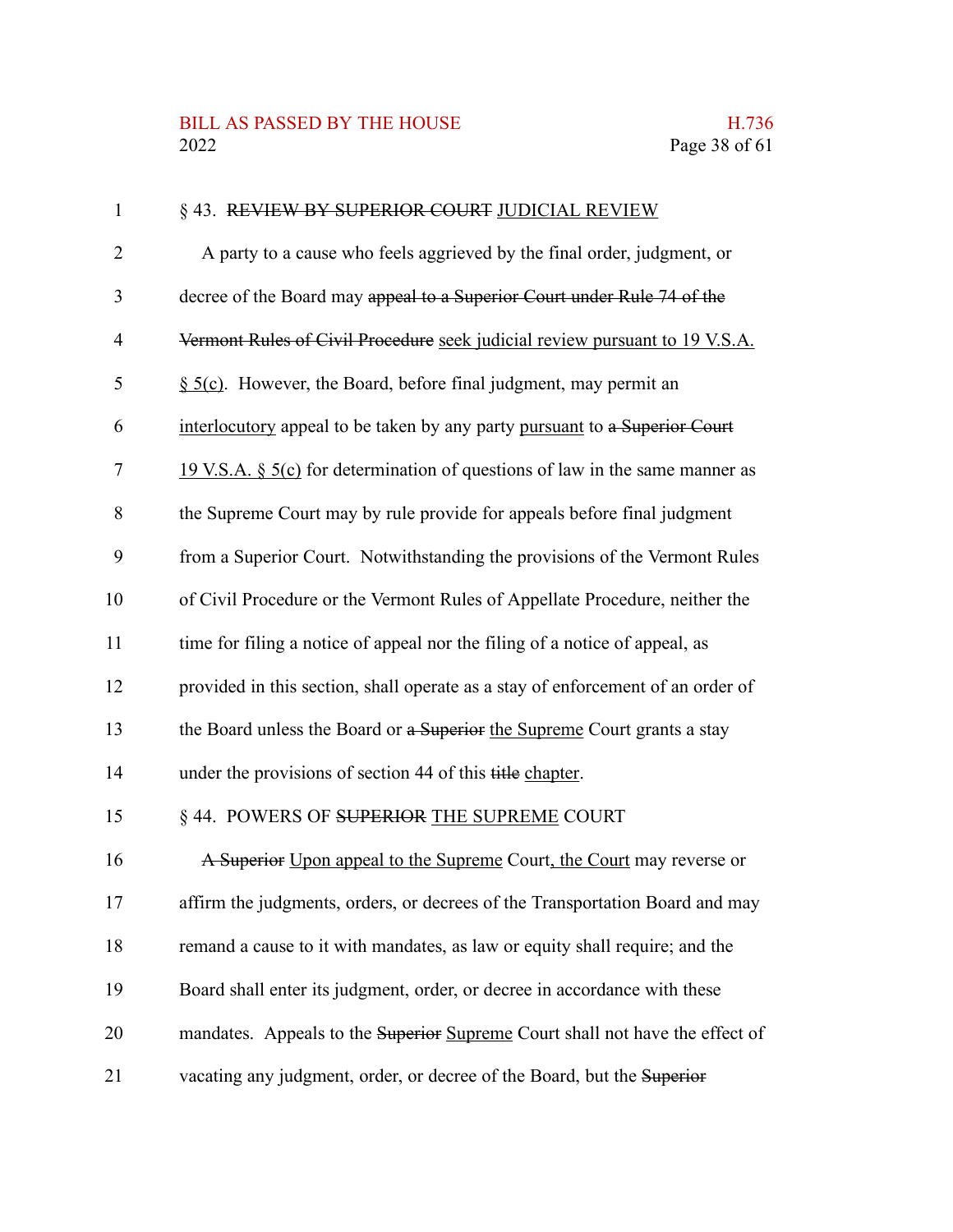### BILL AS PASSED BY THE HOUSE H.736<br>2022 Page 38 of 61

| $\mathbf{1}$   | § 43. REVIEW BY SUPERIOR COURT JUDICIAL REVIEW                                  |
|----------------|---------------------------------------------------------------------------------|
| $\overline{2}$ | A party to a cause who feels aggrieved by the final order, judgment, or         |
| 3              | decree of the Board may appeal to a Superior Court under Rule 74 of the         |
| 4              | Vermont Rules of Civil Procedure seek judicial review pursuant to 19 V.S.A.     |
| 5              | $\S$ 5(c). However, the Board, before final judgment, may permit an             |
| 6              | interlocutory appeal to be taken by any party pursuant to a Superior Court      |
| 7              | 19 V.S.A. $\S$ 5(c) for determination of questions of law in the same manner as |
| 8              | the Supreme Court may by rule provide for appeals before final judgment         |
| 9              | from a Superior Court. Notwithstanding the provisions of the Vermont Rules      |
| 10             | of Civil Procedure or the Vermont Rules of Appellate Procedure, neither the     |
| 11             | time for filing a notice of appeal nor the filing of a notice of appeal, as     |
| 12             | provided in this section, shall operate as a stay of enforcement of an order of |
| 13             | the Board unless the Board or a Superior the Supreme Court grants a stay        |
| 14             | under the provisions of section 44 of this title chapter.                       |
| 15             | § 44. POWERS OF SUPERIOR THE SUPREME COURT                                      |
| 16             | A Superior Upon appeal to the Supreme Court, the Court may reverse or           |
| 17             | affirm the judgments, orders, or decrees of the Transportation Board and may    |
| 18             | remand a cause to it with mandates, as law or equity shall require; and the     |
| 19             | Board shall enter its judgment, order, or decree in accordance with these       |
| 20             | mandates. Appeals to the Superior Supreme Court shall not have the effect of    |
| 21             | vacating any judgment, order, or decree of the Board, but the Superior          |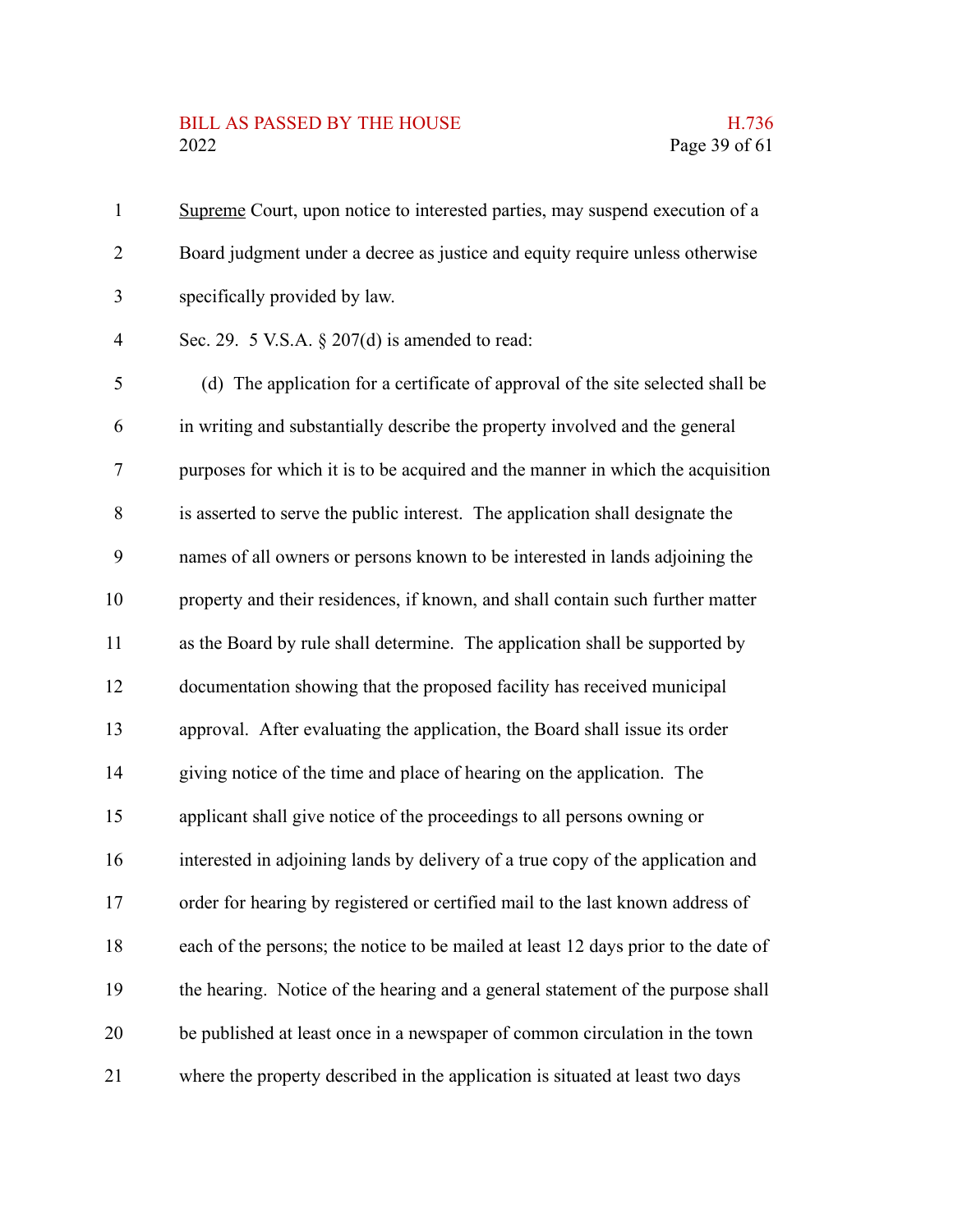#### BILL AS PASSED BY THE HOUSE **H.736** 2022 Page 39 of 61

Supreme Court, upon notice to interested parties, may suspend execution of a Board judgment under a decree as justice and equity require unless otherwise specifically provided by law. 1 2 3

Sec. 29. 5 V.S.A. § 207(d) is amended to read: 4

(d) The application for a certificate of approval of the site selected shall be in writing and substantially describe the property involved and the general purposes for which it is to be acquired and the manner in which the acquisition is asserted to serve the public interest. The application shall designate the names of all owners or persons known to be interested in lands adjoining the property and their residences, if known, and shall contain such further matter as the Board by rule shall determine. The application shall be supported by documentation showing that the proposed facility has received municipal approval. After evaluating the application, the Board shall issue its order giving notice of the time and place of hearing on the application. The applicant shall give notice of the proceedings to all persons owning or interested in adjoining lands by delivery of a true copy of the application and order for hearing by registered or certified mail to the last known address of each of the persons; the notice to be mailed at least 12 days prior to the date of the hearing. Notice of the hearing and a general statement of the purpose shall be published at least once in a newspaper of common circulation in the town where the property described in the application is situated at least two days 5 6 7 8 9 10 11 12 13 14 15 16 17 18 19 20 21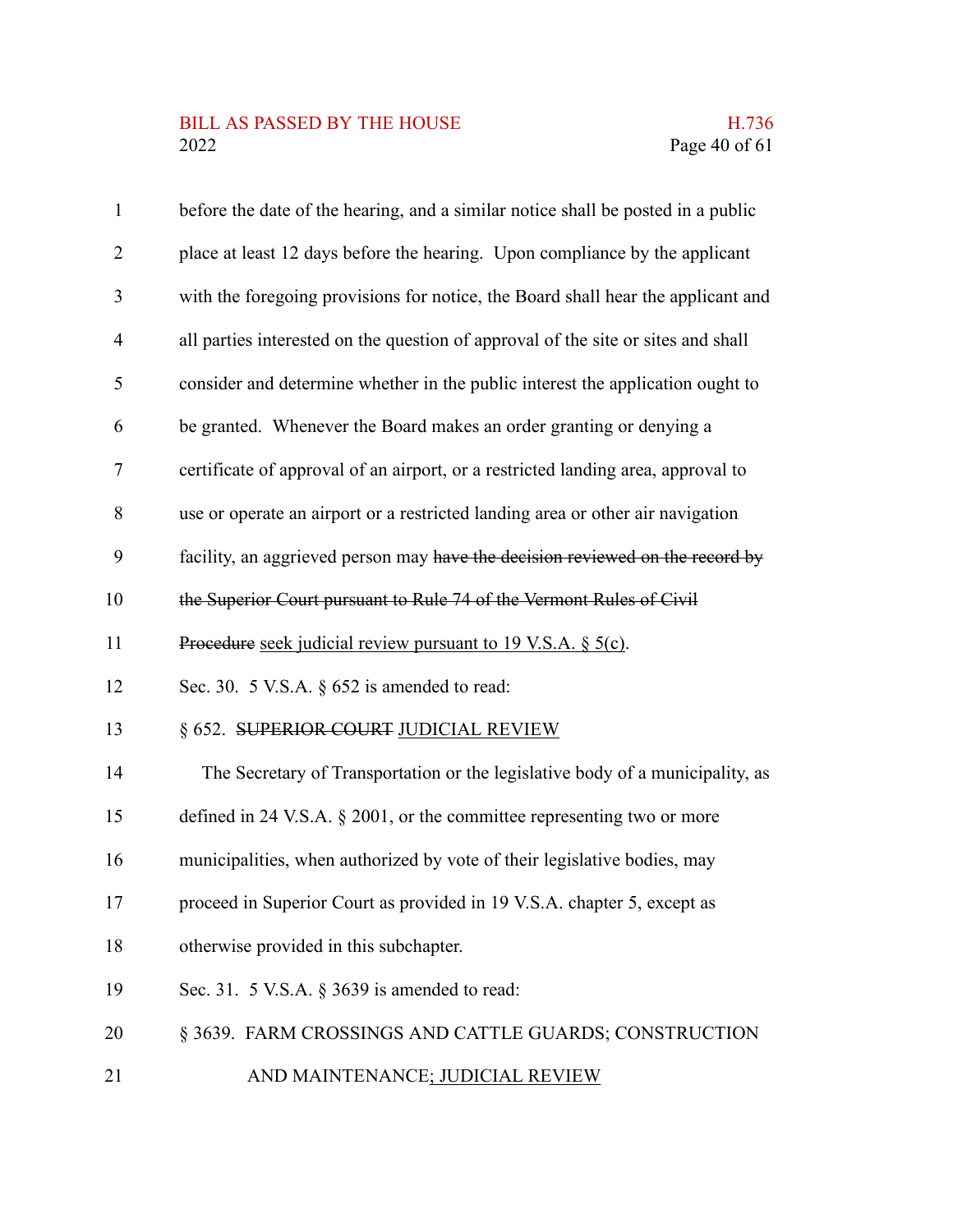# BILL AS PASSED BY THE HOUSE H.736<br>2022 Page 40 of 61

| $\mathbf{1}$   | before the date of the hearing, and a similar notice shall be posted in a public  |
|----------------|-----------------------------------------------------------------------------------|
| $\overline{2}$ | place at least 12 days before the hearing. Upon compliance by the applicant       |
| 3              | with the foregoing provisions for notice, the Board shall hear the applicant and  |
| $\overline{4}$ | all parties interested on the question of approval of the site or sites and shall |
| 5              | consider and determine whether in the public interest the application ought to    |
| 6              | be granted. Whenever the Board makes an order granting or denying a               |
| $\tau$         | certificate of approval of an airport, or a restricted landing area, approval to  |
| 8              | use or operate an airport or a restricted landing area or other air navigation    |
| 9              | facility, an aggrieved person may have the decision reviewed on the record by     |
| 10             | the Superior Court pursuant to Rule 74 of the Vermont Rules of Civil              |
| 11             | Procedure seek judicial review pursuant to 19 V.S.A. § 5(c).                      |
| 12             | Sec. 30. 5 V.S.A. $\S$ 652 is amended to read:                                    |
| 13             | § 652. SUPERIOR COURT JUDICIAL REVIEW                                             |
| 14             | The Secretary of Transportation or the legislative body of a municipality, as     |
| 15             | defined in 24 V.S.A. $\S$ 2001, or the committee representing two or more         |
| 16             | municipalities, when authorized by vote of their legislative bodies, may          |
| 17             | proceed in Superior Court as provided in 19 V.S.A. chapter 5, except as           |
| 18             | otherwise provided in this subchapter.                                            |
| 19             | Sec. 31. 5 V.S.A. $\S$ 3639 is amended to read:                                   |
| 20             | § 3639. FARM CROSSINGS AND CATTLE GUARDS; CONSTRUCTION                            |
| 21             | AND MAINTENANCE; JUDICIAL REVIEW                                                  |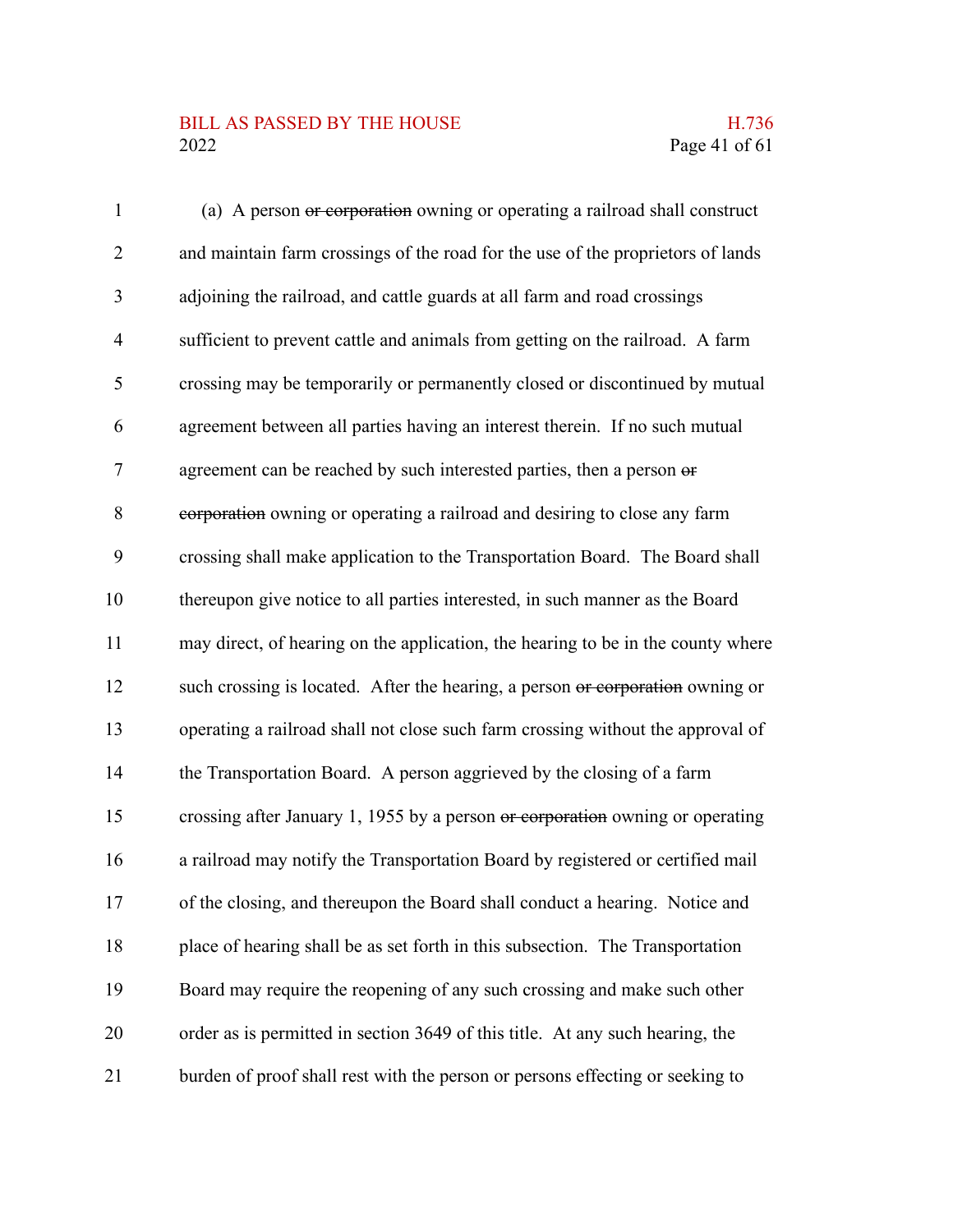### BILL AS PASSED BY THE HOUSE H.736<br>2022 Page 41 of 61

| $\mathbf{1}$   | (a) A person or corporation owning or operating a railroad shall construct       |
|----------------|----------------------------------------------------------------------------------|
| $\overline{2}$ | and maintain farm crossings of the road for the use of the proprietors of lands  |
| 3              | adjoining the railroad, and cattle guards at all farm and road crossings         |
| $\overline{4}$ | sufficient to prevent cattle and animals from getting on the railroad. A farm    |
| 5              | crossing may be temporarily or permanently closed or discontinued by mutual      |
| 6              | agreement between all parties having an interest therein. If no such mutual      |
| 7              | agreement can be reached by such interested parties, then a person or            |
| 8              | corporation owning or operating a railroad and desiring to close any farm        |
| 9              | crossing shall make application to the Transportation Board. The Board shall     |
| 10             | thereupon give notice to all parties interested, in such manner as the Board     |
| 11             | may direct, of hearing on the application, the hearing to be in the county where |
| 12             | such crossing is located. After the hearing, a person or corporation owning or   |
| 13             | operating a railroad shall not close such farm crossing without the approval of  |
| 14             | the Transportation Board. A person aggrieved by the closing of a farm            |
| 15             | crossing after January 1, 1955 by a person or corporation owning or operating    |
| 16             | a railroad may notify the Transportation Board by registered or certified mail   |
| 17             | of the closing, and thereupon the Board shall conduct a hearing. Notice and      |
| 18             | place of hearing shall be as set forth in this subsection. The Transportation    |
| 19             | Board may require the reopening of any such crossing and make such other         |
| 20             | order as is permitted in section 3649 of this title. At any such hearing, the    |
| 21             | burden of proof shall rest with the person or persons effecting or seeking to    |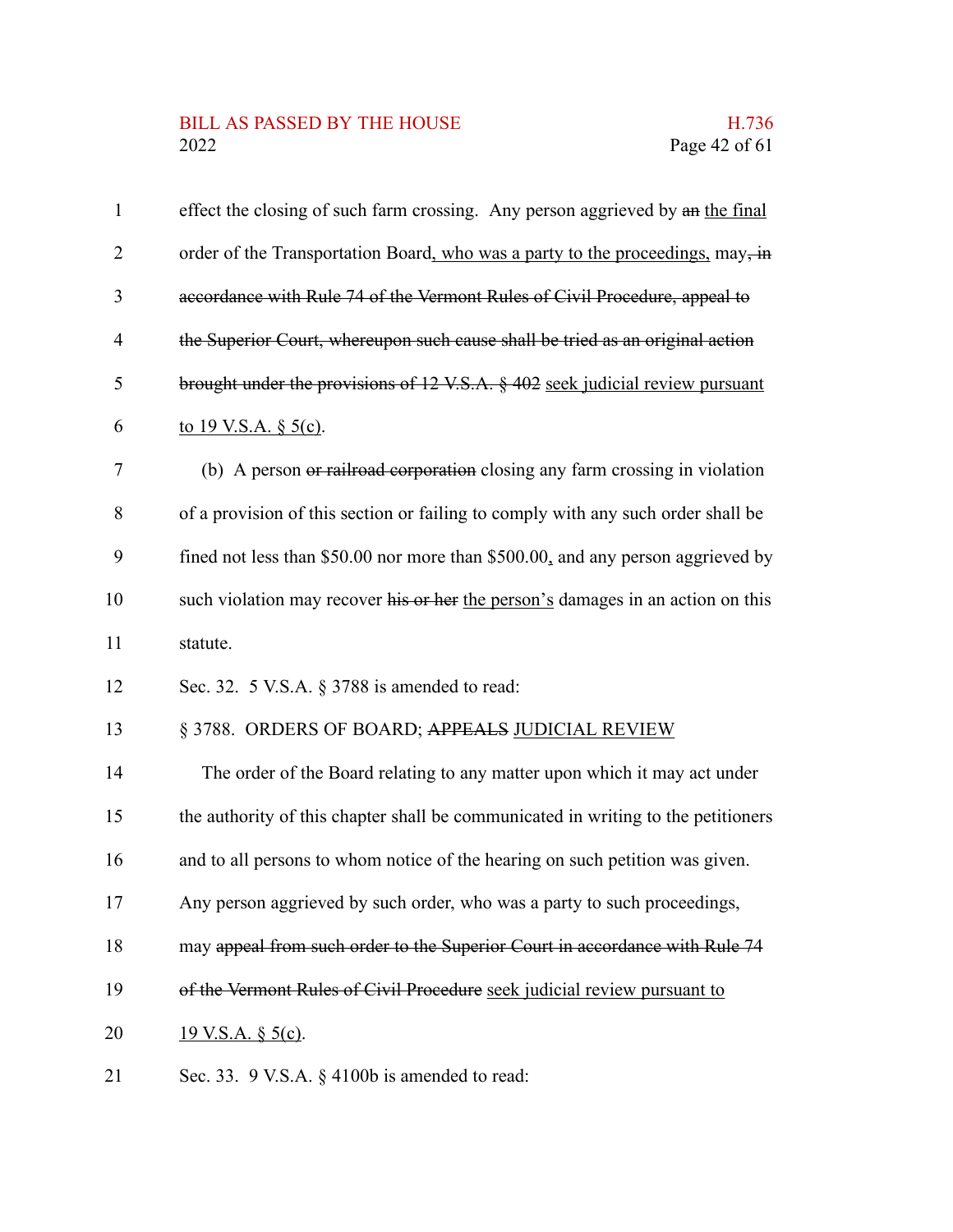#### BILL AS PASSED BY THE HOUSE H.736<br>2022 Page 42 of 61

| $\mathbf{1}$   | effect the closing of such farm crossing. Any person aggrieved by an the final    |
|----------------|-----------------------------------------------------------------------------------|
| $\overline{2}$ | order of the Transportation Board, who was a party to the proceedings, may, in    |
| 3              | accordance with Rule 74 of the Vermont Rules of Civil Procedure, appeal to        |
| 4              | the Superior Court, whereupon such cause shall be tried as an original action     |
| 5              | brought under the provisions of 12 V.S.A. § 402 seek judicial review pursuant     |
| 6              | to 19 V.S.A. $\S$ 5(c).                                                           |
| 7              | (b) A person or railroad corporation closing any farm crossing in violation       |
| 8              | of a provision of this section or failing to comply with any such order shall be  |
| 9              | fined not less than \$50.00 nor more than \$500.00, and any person aggrieved by   |
| 10             | such violation may recover his or her the person's damages in an action on this   |
| 11             | statute.                                                                          |
| 12             | Sec. 32. 5 V.S.A. § 3788 is amended to read:                                      |
| 13             | § 3788. ORDERS OF BOARD; APPEALS JUDICIAL REVIEW                                  |
| 14             | The order of the Board relating to any matter upon which it may act under         |
| 15             | the authority of this chapter shall be communicated in writing to the petitioners |
| 16             | and to all persons to whom notice of the hearing on such petition was given.      |
| 17             | Any person aggrieved by such order, who was a party to such proceedings,          |
| 18             | may appeal from such order to the Superior Court in accordance with Rule 74       |
| 19             | of the Vermont Rules of Civil Procedure seek judicial review pursuant to          |
| 20             | $19$ V.S.A. § 5(c).                                                               |
| 21             | Sec. 33. 9 V.S.A. $\S$ 4100b is amended to read:                                  |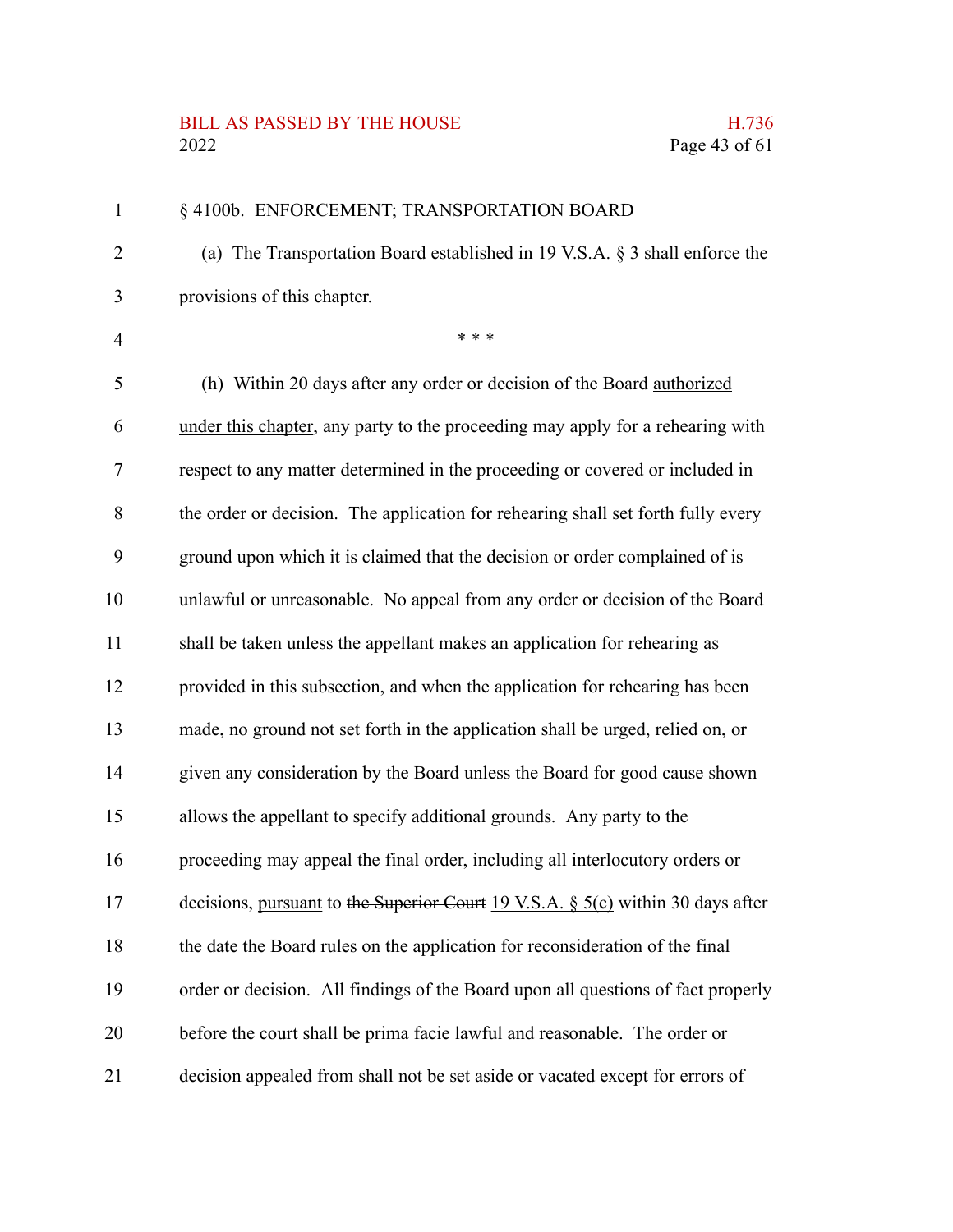#### BILL AS PASSED BY THE HOUSE **H.736** 2022 Page 43 of 61

#### § 4100b. ENFORCEMENT; TRANSPORTATION BOARD (a) The Transportation Board established in 19 V.S.A. § 3 shall enforce the provisions of this chapter. \* \* \* (h) Within 20 days after any order or decision of the Board authorized under this chapter, any party to the proceeding may apply for a rehearing with respect to any matter determined in the proceeding or covered or included in the order or decision. The application for rehearing shall set forth fully every ground upon which it is claimed that the decision or order complained of is unlawful or unreasonable. No appeal from any order or decision of the Board shall be taken unless the appellant makes an application for rehearing as provided in this subsection, and when the application for rehearing has been made, no ground not set forth in the application shall be urged, relied on, or given any consideration by the Board unless the Board for good cause shown allows the appellant to specify additional grounds. Any party to the proceeding may appeal the final order, including all interlocutory orders or decisions, pursuant to the Superior Court 19 V.S.A. § 5(c) within 30 days after the date the Board rules on the application for reconsideration of the final order or decision. All findings of the Board upon all questions of fact properly before the court shall be prima facie lawful and reasonable. The order or decision appealed from shall not be set aside or vacated except for errors of 1 2 3 4 5 6 7 8 9 10 11 12 13 14 15 16 17 18 19 20 21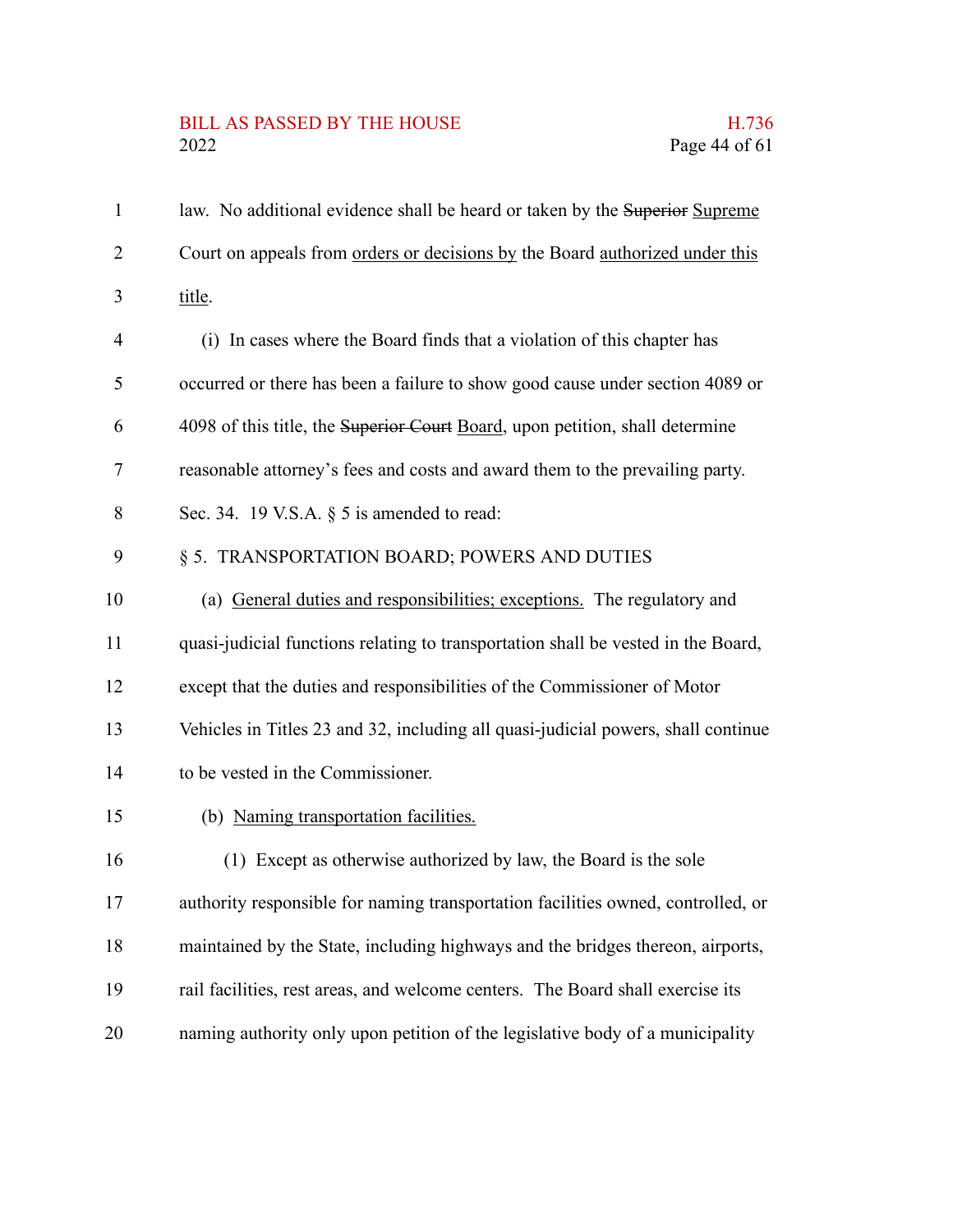# BILL AS PASSED BY THE HOUSE H.736<br>2022 Page 44 of 61

| $\mathbf{1}$   | law. No additional evidence shall be heard or taken by the Superior Supreme       |
|----------------|-----------------------------------------------------------------------------------|
| $\overline{2}$ | Court on appeals from orders or decisions by the Board authorized under this      |
| 3              | title.                                                                            |
| $\overline{4}$ | (i) In cases where the Board finds that a violation of this chapter has           |
| 5              | occurred or there has been a failure to show good cause under section 4089 or     |
| 6              | 4098 of this title, the Superior Court Board, upon petition, shall determine      |
| 7              | reasonable attorney's fees and costs and award them to the prevailing party.      |
| 8              | Sec. 34. 19 V.S.A. $\S$ 5 is amended to read:                                     |
| 9              | § 5. TRANSPORTATION BOARD; POWERS AND DUTIES                                      |
| 10             | (a) General duties and responsibilities; exceptions. The regulatory and           |
| 11             | quasi-judicial functions relating to transportation shall be vested in the Board, |
| 12             | except that the duties and responsibilities of the Commissioner of Motor          |
| 13             | Vehicles in Titles 23 and 32, including all quasi-judicial powers, shall continue |
| 14             | to be vested in the Commissioner.                                                 |
| 15             | (b) Naming transportation facilities.                                             |
| 16             | (1) Except as otherwise authorized by law, the Board is the sole                  |
| 17             | authority responsible for naming transportation facilities owned, controlled, or  |
| 18             | maintained by the State, including highways and the bridges thereon, airports,    |
| 19             | rail facilities, rest areas, and welcome centers. The Board shall exercise its    |
| 20             | naming authority only upon petition of the legislative body of a municipality     |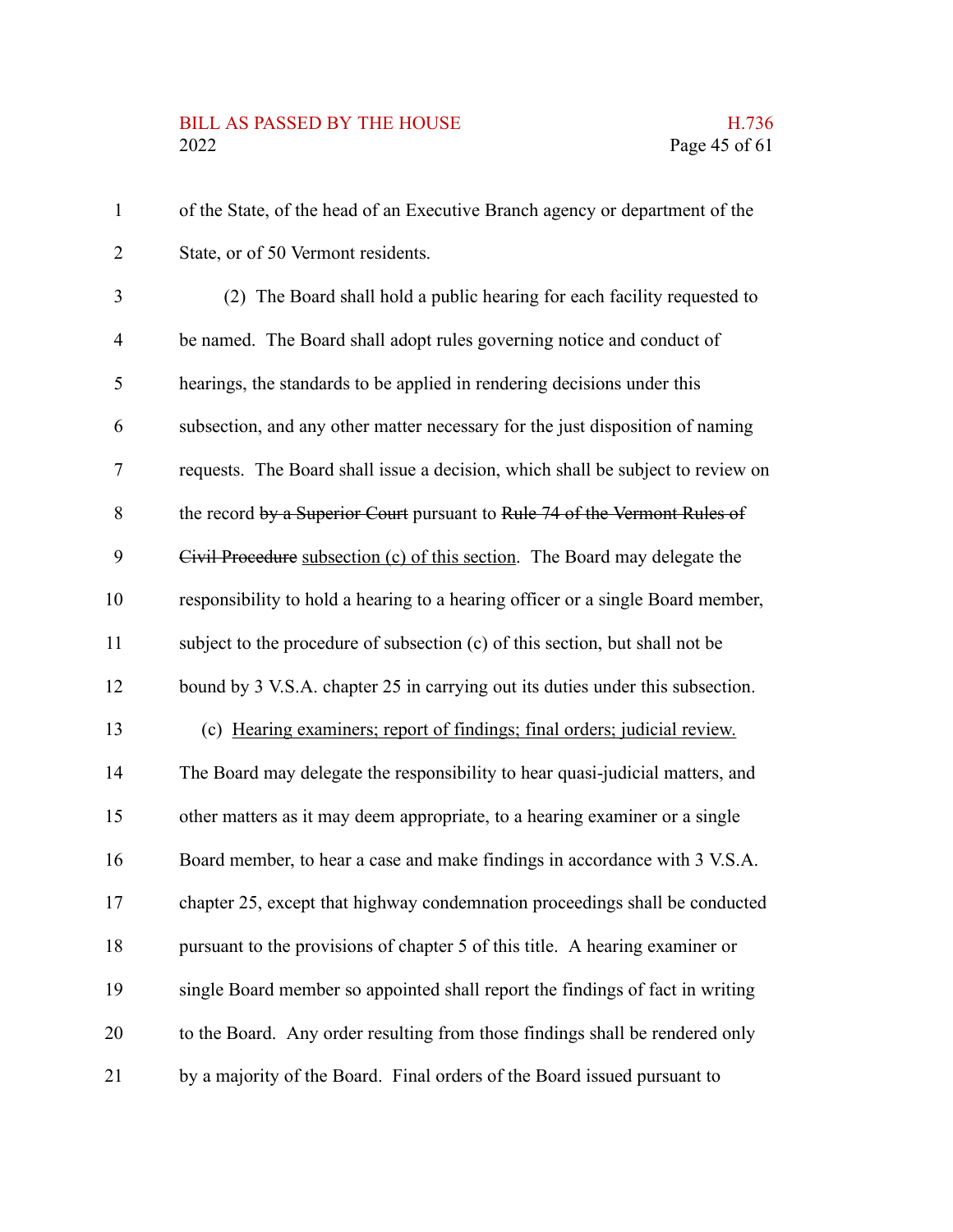# BILL AS PASSED BY THE HOUSE H.736<br>2022 Page 45 of 61

| $\mathbf{1}$             | of the State, of the head of an Executive Branch agency or department of the    |
|--------------------------|---------------------------------------------------------------------------------|
| $\overline{2}$           | State, or of 50 Vermont residents.                                              |
| 3                        | (2) The Board shall hold a public hearing for each facility requested to        |
| $\overline{\mathcal{A}}$ | be named. The Board shall adopt rules governing notice and conduct of           |
| 5                        | hearings, the standards to be applied in rendering decisions under this         |
| 6                        | subsection, and any other matter necessary for the just disposition of naming   |
| 7                        | requests. The Board shall issue a decision, which shall be subject to review on |
| 8                        | the record by a Superior Court pursuant to Rule 74 of the Vermont Rules of      |
| 9                        | Civil Procedure subsection (c) of this section. The Board may delegate the      |
| 10                       | responsibility to hold a hearing to a hearing officer or a single Board member, |
| 11                       | subject to the procedure of subsection (c) of this section, but shall not be    |
| 12                       | bound by 3 V.S.A. chapter 25 in carrying out its duties under this subsection.  |
| 13                       | (c) Hearing examiners; report of findings; final orders; judicial review.       |
| 14                       | The Board may delegate the responsibility to hear quasi-judicial matters, and   |
| 15                       | other matters as it may deem appropriate, to a hearing examiner or a single     |
| 16                       | Board member, to hear a case and make findings in accordance with 3 V.S.A.      |
| 17                       | chapter 25, except that highway condemnation proceedings shall be conducted     |
| 18                       | pursuant to the provisions of chapter 5 of this title. A hearing examiner or    |
| 19                       | single Board member so appointed shall report the findings of fact in writing   |
| 20                       | to the Board. Any order resulting from those findings shall be rendered only    |
| 21                       | by a majority of the Board. Final orders of the Board issued pursuant to        |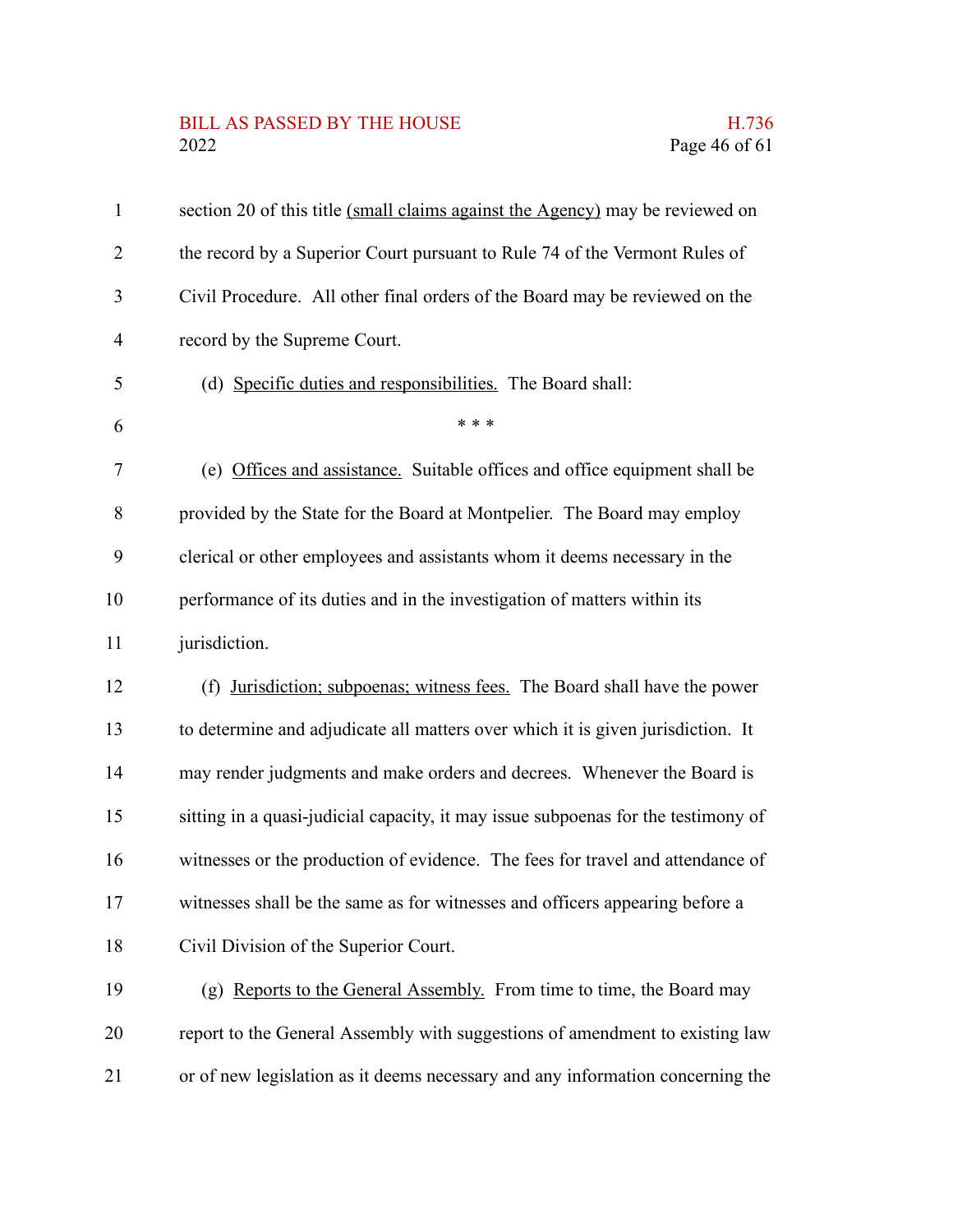# BILL AS PASSED BY THE HOUSE H.736<br>2022 Page 46 of 61

| $\mathbf{1}$   | section 20 of this title (small claims against the Agency) may be reviewed on     |
|----------------|-----------------------------------------------------------------------------------|
| $\overline{2}$ | the record by a Superior Court pursuant to Rule 74 of the Vermont Rules of        |
| 3              | Civil Procedure. All other final orders of the Board may be reviewed on the       |
| $\overline{4}$ | record by the Supreme Court.                                                      |
| 5              | (d) Specific duties and responsibilities. The Board shall:                        |
| 6              | * * *                                                                             |
| 7              | (e) Offices and assistance. Suitable offices and office equipment shall be        |
| 8              | provided by the State for the Board at Montpelier. The Board may employ           |
| 9              | clerical or other employees and assistants whom it deems necessary in the         |
| 10             | performance of its duties and in the investigation of matters within its          |
| 11             | jurisdiction.                                                                     |
| 12             | (f) Jurisdiction; subpoenas; witness fees. The Board shall have the power         |
| 13             | to determine and adjudicate all matters over which it is given jurisdiction. It   |
| 14             | may render judgments and make orders and decrees. Whenever the Board is           |
| 15             | sitting in a quasi-judicial capacity, it may issue subpoenas for the testimony of |
| 16             | witnesses or the production of evidence. The fees for travel and attendance of    |
| 17             | witnesses shall be the same as for witnesses and officers appearing before a      |
| 18             | Civil Division of the Superior Court.                                             |
| 19             | (g) Reports to the General Assembly. From time to time, the Board may             |
| 20             | report to the General Assembly with suggestions of amendment to existing law      |
| 21             | or of new legislation as it deems necessary and any information concerning the    |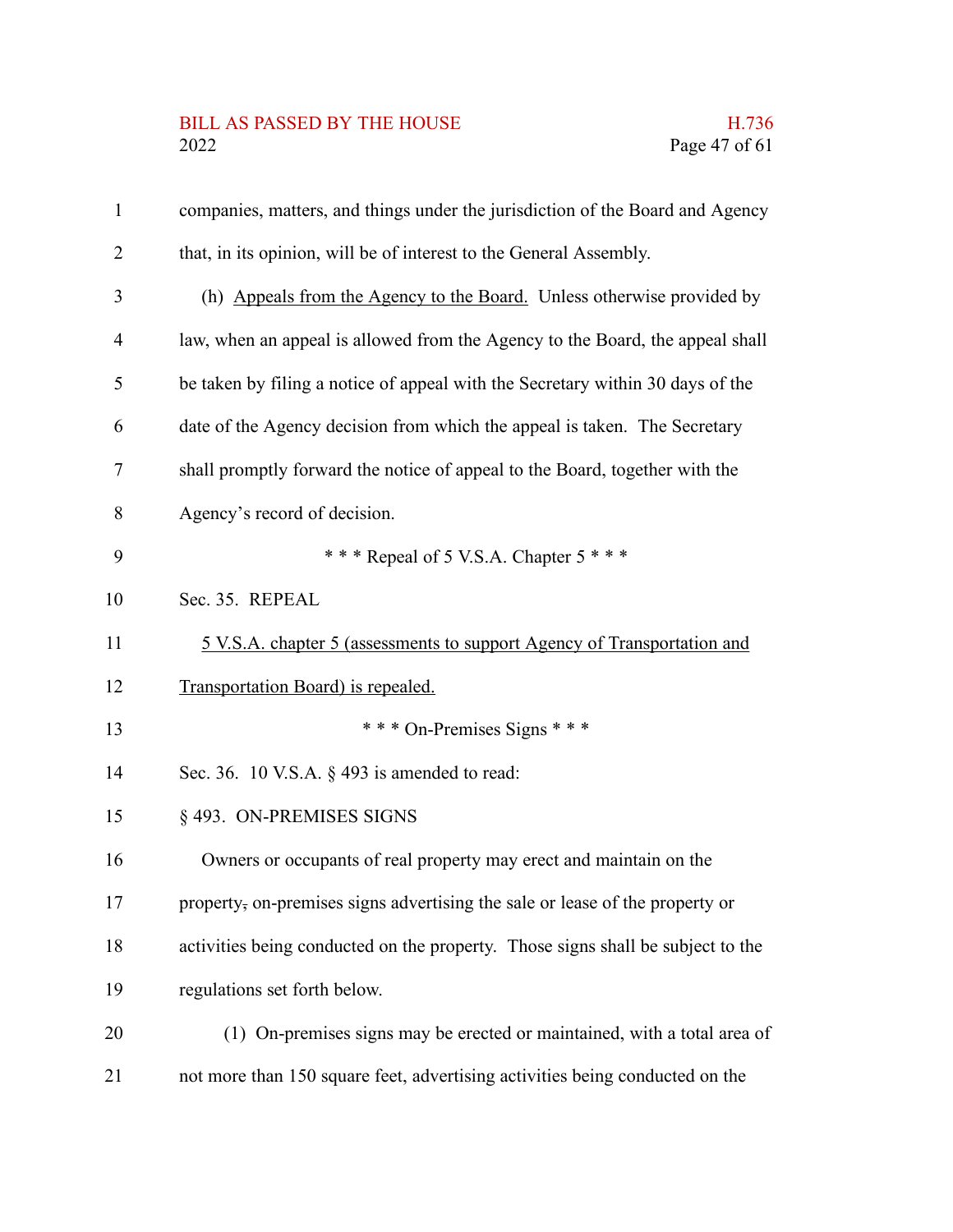# BILL AS PASSED BY THE HOUSE H.736<br>2022 Page 47 of 61

| $\mathbf{1}$   | companies, matters, and things under the jurisdiction of the Board and Agency   |
|----------------|---------------------------------------------------------------------------------|
| $\overline{2}$ | that, in its opinion, will be of interest to the General Assembly.              |
| 3              | (h) Appeals from the Agency to the Board. Unless otherwise provided by          |
| $\overline{4}$ | law, when an appeal is allowed from the Agency to the Board, the appeal shall   |
| 5              | be taken by filing a notice of appeal with the Secretary within 30 days of the  |
| 6              | date of the Agency decision from which the appeal is taken. The Secretary       |
| 7              | shall promptly forward the notice of appeal to the Board, together with the     |
| 8              | Agency's record of decision.                                                    |
| 9              | *** Repeal of 5 V.S.A. Chapter 5 ***                                            |
| 10             | Sec. 35. REPEAL                                                                 |
| 11             | <u>5 V.S.A. chapter 5 (assessments to support Agency of Transportation and</u>  |
| 12             | Transportation Board) is repealed.                                              |
| 13             | *** On-Premises Signs ***                                                       |
| 14             | Sec. 36. 10 V.S.A. $\S$ 493 is amended to read:                                 |
| 15             | §493. ON-PREMISES SIGNS                                                         |
| 16             | Owners or occupants of real property may erect and maintain on the              |
| 17             | property, on-premises signs advertising the sale or lease of the property or    |
| 18             | activities being conducted on the property. Those signs shall be subject to the |
| 19             | regulations set forth below.                                                    |
| 20             | (1) On-premises signs may be erected or maintained, with a total area of        |
| 21             | not more than 150 square feet, advertising activities being conducted on the    |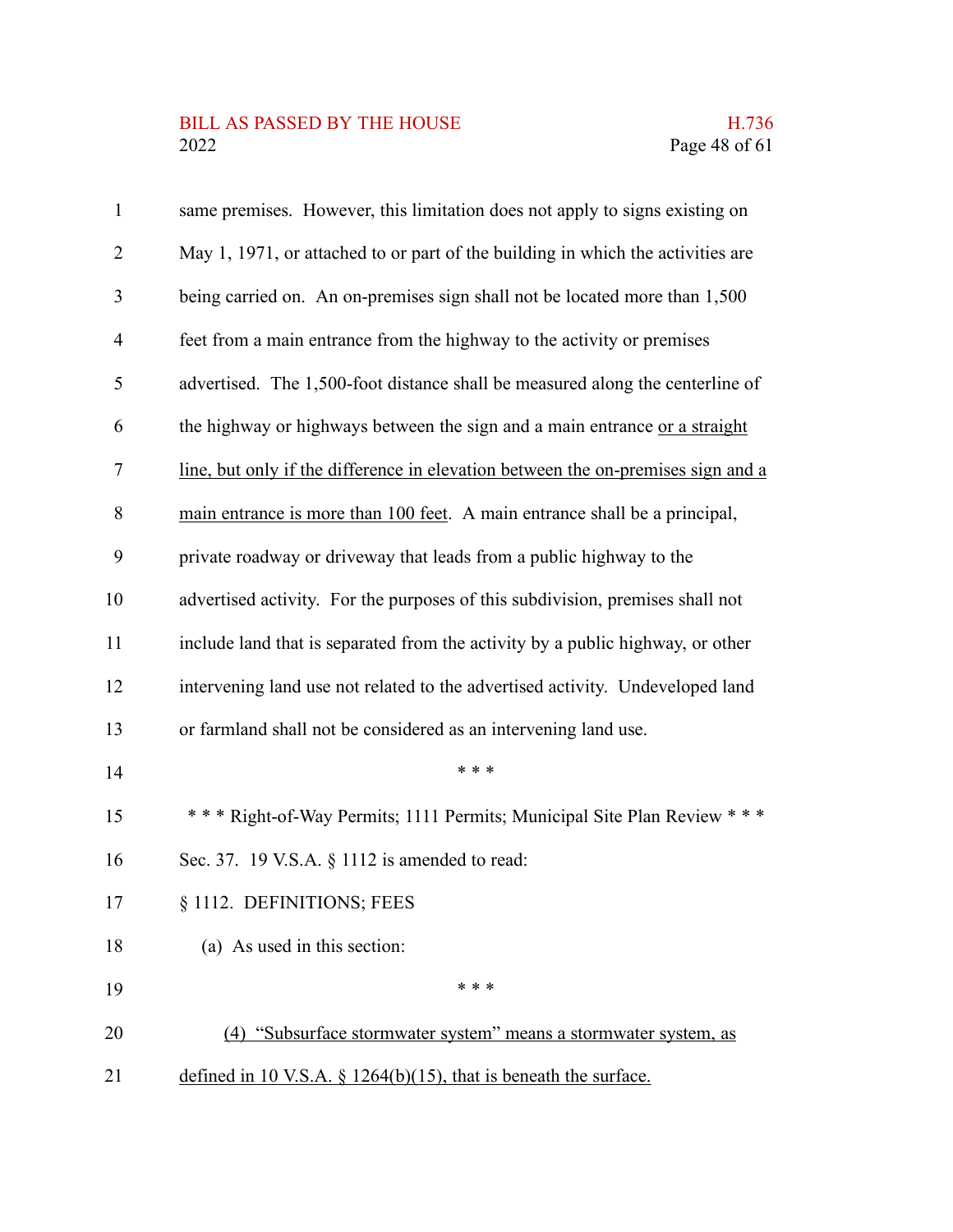# BILL AS PASSED BY THE HOUSE H.736<br>2022 Page 48 of 61

| $\mathbf{1}$   | same premises. However, this limitation does not apply to signs existing on      |
|----------------|----------------------------------------------------------------------------------|
| $\overline{2}$ | May 1, 1971, or attached to or part of the building in which the activities are  |
| 3              | being carried on. An on-premises sign shall not be located more than 1,500       |
| $\overline{4}$ | feet from a main entrance from the highway to the activity or premises           |
| 5              | advertised. The 1,500-foot distance shall be measured along the centerline of    |
| 6              | the highway or highways between the sign and a main entrance or a straight       |
| 7              | line, but only if the difference in elevation between the on-premises sign and a |
| 8              | main entrance is more than 100 feet. A main entrance shall be a principal,       |
| 9              | private roadway or driveway that leads from a public highway to the              |
| 10             | advertised activity. For the purposes of this subdivision, premises shall not    |
| 11             | include land that is separated from the activity by a public highway, or other   |
| 12             | intervening land use not related to the advertised activity. Undeveloped land    |
| 13             | or farmland shall not be considered as an intervening land use.                  |
| 14             | * * *                                                                            |
| 15             | *** Right-of-Way Permits; 1111 Permits; Municipal Site Plan Review ***           |
| 16             | Sec. 37. 19 V.S.A. § 1112 is amended to read:                                    |
| 17             | § 1112. DEFINITIONS; FEES                                                        |
| 18             | (a) As used in this section:                                                     |
| 19             | * * *                                                                            |
| 20             | (4) "Subsurface stormwater system" means a stormwater system, as                 |
| 21             | defined in 10 V.S.A. $\S$ 1264(b)(15), that is beneath the surface.              |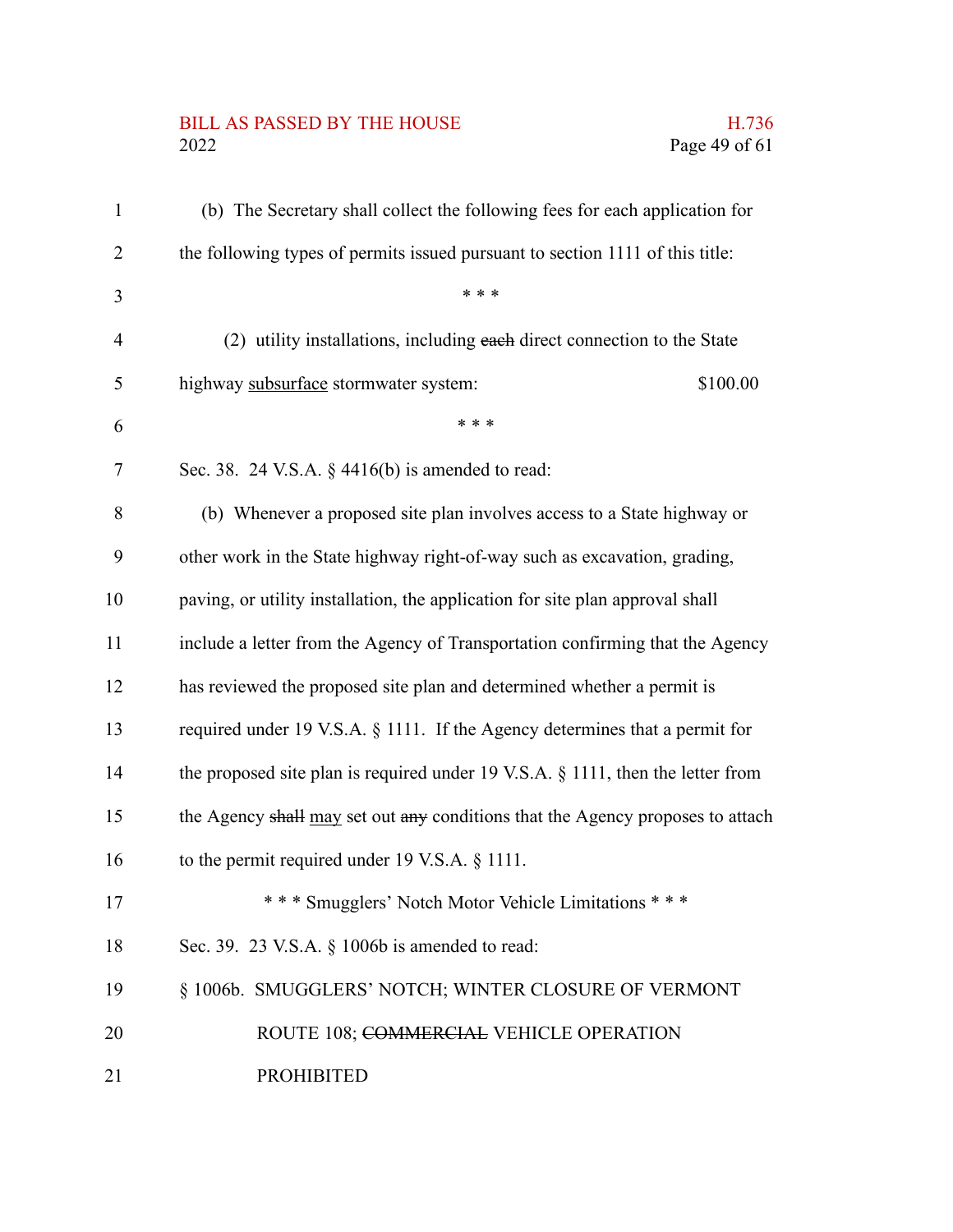# BILL AS PASSED BY THE HOUSE H.736<br>2022 Page 49 of 61

| $\mathbf{1}$   | (b) The Secretary shall collect the following fees for each application for        |
|----------------|------------------------------------------------------------------------------------|
| 2              | the following types of permits issued pursuant to section 1111 of this title:      |
| 3              | * * *                                                                              |
| $\overline{4}$ | (2) utility installations, including each direct connection to the State           |
| 5              | highway subsurface stormwater system:<br>\$100.00                                  |
| 6              | * * *                                                                              |
| 7              | Sec. 38. 24 V.S.A. $\S$ 4416(b) is amended to read:                                |
| 8              | (b) Whenever a proposed site plan involves access to a State highway or            |
| 9              | other work in the State highway right-of-way such as excavation, grading,          |
| 10             | paving, or utility installation, the application for site plan approval shall      |
| 11             | include a letter from the Agency of Transportation confirming that the Agency      |
| 12             | has reviewed the proposed site plan and determined whether a permit is             |
| 13             | required under 19 V.S.A. § 1111. If the Agency determines that a permit for        |
| 14             | the proposed site plan is required under 19 V.S.A. $\S$ 1111, then the letter from |
| 15             | the Agency shall may set out any conditions that the Agency proposes to attach     |
| 16             | to the permit required under 19 V.S.A. $\S$ 1111.                                  |
| 17             | *** Smugglers' Notch Motor Vehicle Limitations ***                                 |
| 18             | Sec. 39. 23 V.S.A. § 1006b is amended to read:                                     |
| 19             | § 1006b. SMUGGLERS' NOTCH; WINTER CLOSURE OF VERMONT                               |
| 20             | ROUTE 108; COMMERCIAL VEHICLE OPERATION                                            |
| 21             | <b>PROHIBITED</b>                                                                  |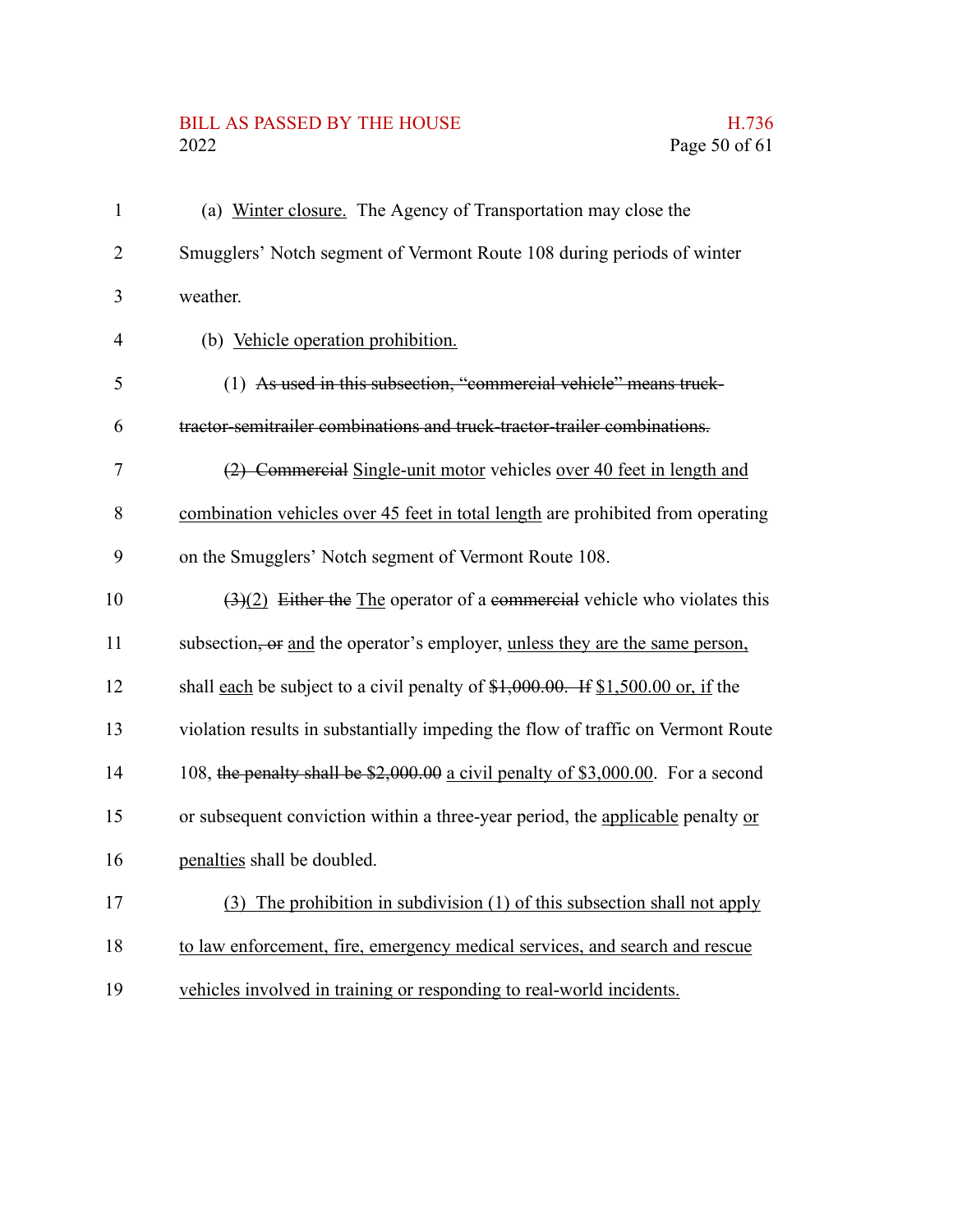# BILL AS PASSED BY THE HOUSE H.736<br>2022 Page 50 of 61

| $\mathbf{1}$   | (a) Winter closure. The Agency of Transportation may close the                               |
|----------------|----------------------------------------------------------------------------------------------|
| $\overline{2}$ | Smugglers' Notch segment of Vermont Route 108 during periods of winter                       |
| 3              | weather.                                                                                     |
| $\overline{4}$ | (b) Vehicle operation prohibition.                                                           |
| 5              | (1) As used in this subsection, "commercial vehicle" means truck-                            |
| 6              | tractor-semitrailer combinations and truck-tractor-trailer combinations.                     |
| $\tau$         | (2) Commercial Single-unit motor vehicles over 40 feet in length and                         |
| 8              | combination vehicles over 45 feet in total length are prohibited from operating              |
| 9              | on the Smugglers' Notch segment of Vermont Route 108.                                        |
| 10             | $\left(\frac{3}{2}\right)$ Either the The operator of a commercial vehicle who violates this |
| 11             | subsection, or and the operator's employer, unless they are the same person,                 |
| 12             | shall each be subject to a civil penalty of $$1,000.00$ . If $$1,500.00$ or, if the          |
| 13             | violation results in substantially impeding the flow of traffic on Vermont Route             |
| 14             | 108, the penalty shall be \$2,000.00 a civil penalty of \$3,000.00. For a second             |
| 15             | or subsequent conviction within a three-year period, the applicable penalty or               |
| 16             | penalties shall be doubled.                                                                  |
| 17             | (3) The prohibition in subdivision (1) of this subsection shall not apply                    |
| 18             | to law enforcement, fire, emergency medical services, and search and rescue                  |
| 19             | vehicles involved in training or responding to real-world incidents.                         |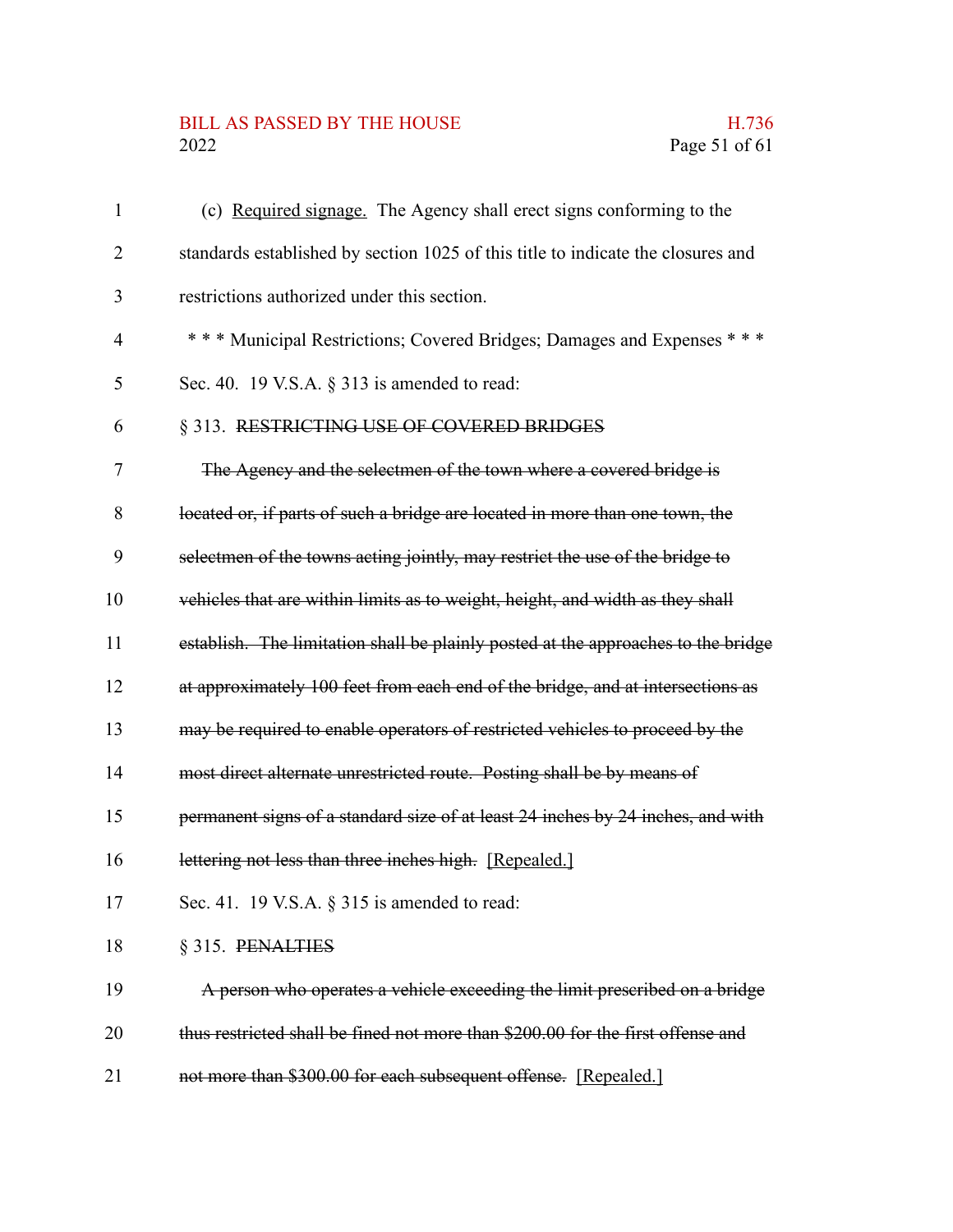# BILL AS PASSED BY THE HOUSE H.736<br>2022 Page 51 of 61

| 1              | (c) Required signage. The Agency shall erect signs conforming to the              |
|----------------|-----------------------------------------------------------------------------------|
| 2              | standards established by section 1025 of this title to indicate the closures and  |
| 3              | restrictions authorized under this section.                                       |
| $\overline{4}$ | *** Municipal Restrictions; Covered Bridges; Damages and Expenses ***             |
| 5              | Sec. 40. 19 V.S.A. $\S$ 313 is amended to read:                                   |
| 6              | § 313. RESTRICTING USE OF COVERED BRIDGES                                         |
| 7              | The Agency and the selectmen of the town where a covered bridge is                |
| 8              | located or, if parts of such a bridge are located in more than one town, the      |
| 9              | selectmen of the towns acting jointly, may restrict the use of the bridge to      |
| 10             | vehicles that are within limits as to weight, height, and width as they shall     |
| 11             | establish. The limitation shall be plainly posted at the approaches to the bridge |
| 12             | at approximately 100 feet from each end of the bridge, and at intersections as    |
| 13             | may be required to enable operators of restricted vehicles to proceed by the      |
| 14             | most direct alternate unrestricted route. Posting shall be by means of            |
| 15             | permanent signs of a standard size of at least 24 inches by 24 inches, and with   |
| 16             | lettering not less than three inches high. [Repealed.]                            |
| 17             | Sec. 41. 19 V.S.A. § 315 is amended to read:                                      |
| 18             | § 315. PENALTIES                                                                  |
| 19             | A person who operates a vehicle exceeding the limit prescribed on a bridge        |
| 20             | thus restricted shall be fined not more than \$200.00 for the first offense and   |
| 21             | not more than \$300.00 for each subsequent offense. [Repealed.]                   |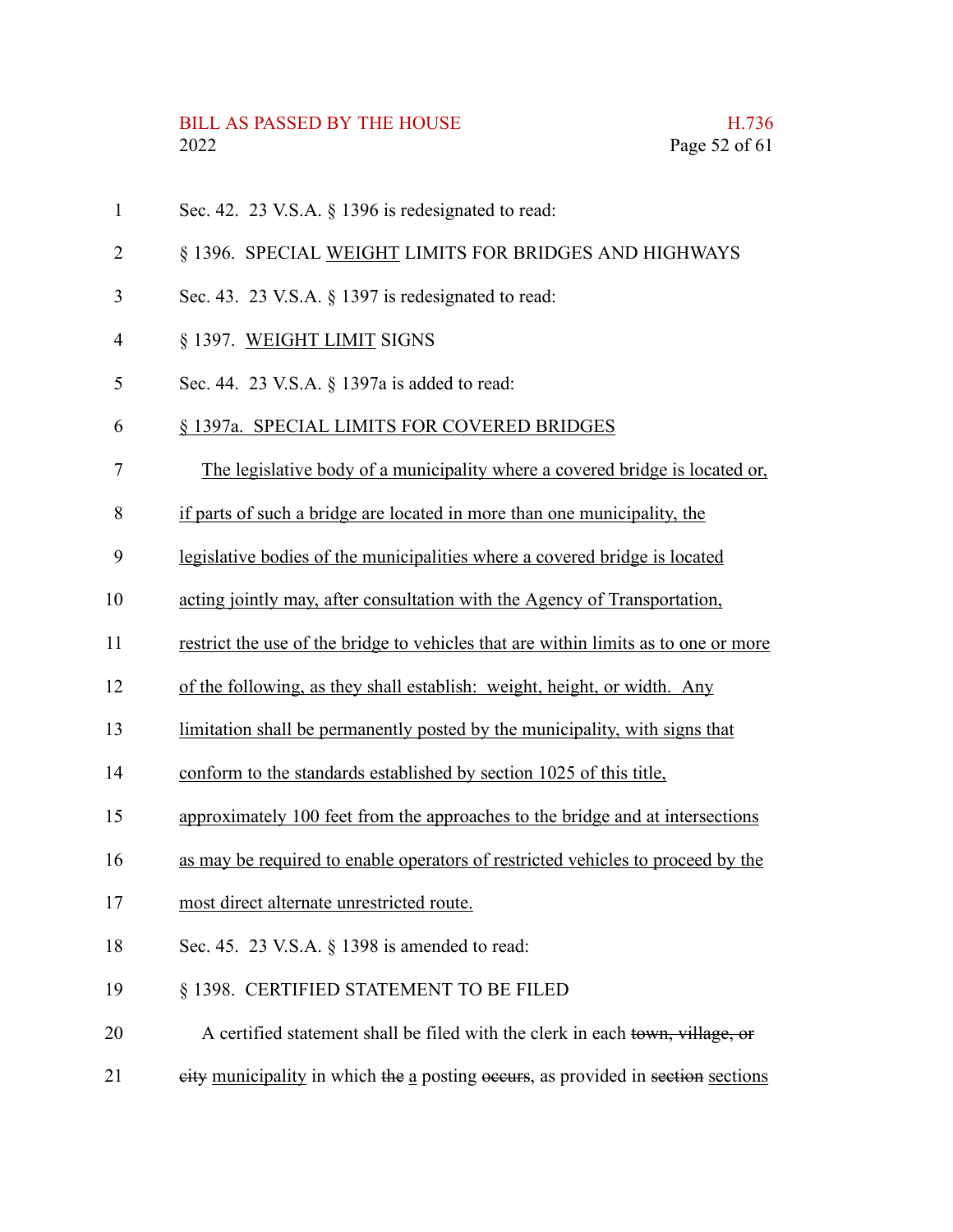- Sec. 42. 23 V.S.A.  $\&$  1396 is redesignated to read: 1
- § 1396. SPECIAL WEIGHT LIMITS FOR BRIDGES AND HIGHWAYS 2
- Sec. 43. 23 V.S.A. § 1397 is redesignated to read: 3
- § 1397. WEIGHT LIMIT SIGNS 4
- Sec. 44. 23 V.S.A. § 1397a is added to read: 5

#### § 1397a. SPECIAL LIMITS FOR COVERED BRIDGES 6

- The legislative body of a municipality where a covered bridge is located or, 7
- if parts of such a bridge are located in more than one municipality, the 8
- legislative bodies of the municipalities where a covered bridge is located 9
- acting jointly may, after consultation with the Agency of Transportation, 10
- restrict the use of the bridge to vehicles that are within limits as to one or more 11
- of the following, as they shall establish: weight, height, or width. Any 12
- limitation shall be permanently posted by the municipality, with signs that 13
- conform to the standards established by section 1025 of this title, 14
- approximately 100 feet from the approaches to the bridge and at intersections 15
- as may be required to enable operators of restricted vehicles to proceed by the 16
- most direct alternate unrestricted route. 17
- Sec. 45. 23 V.S.A. § 1398 is amended to read: 18
- § 1398. CERTIFIED STATEMENT TO BE FILED 19
- A certified statement shall be filed with the clerk in each town, village, or 20
- eity municipality in which the a posting occurs, as provided in section sections 21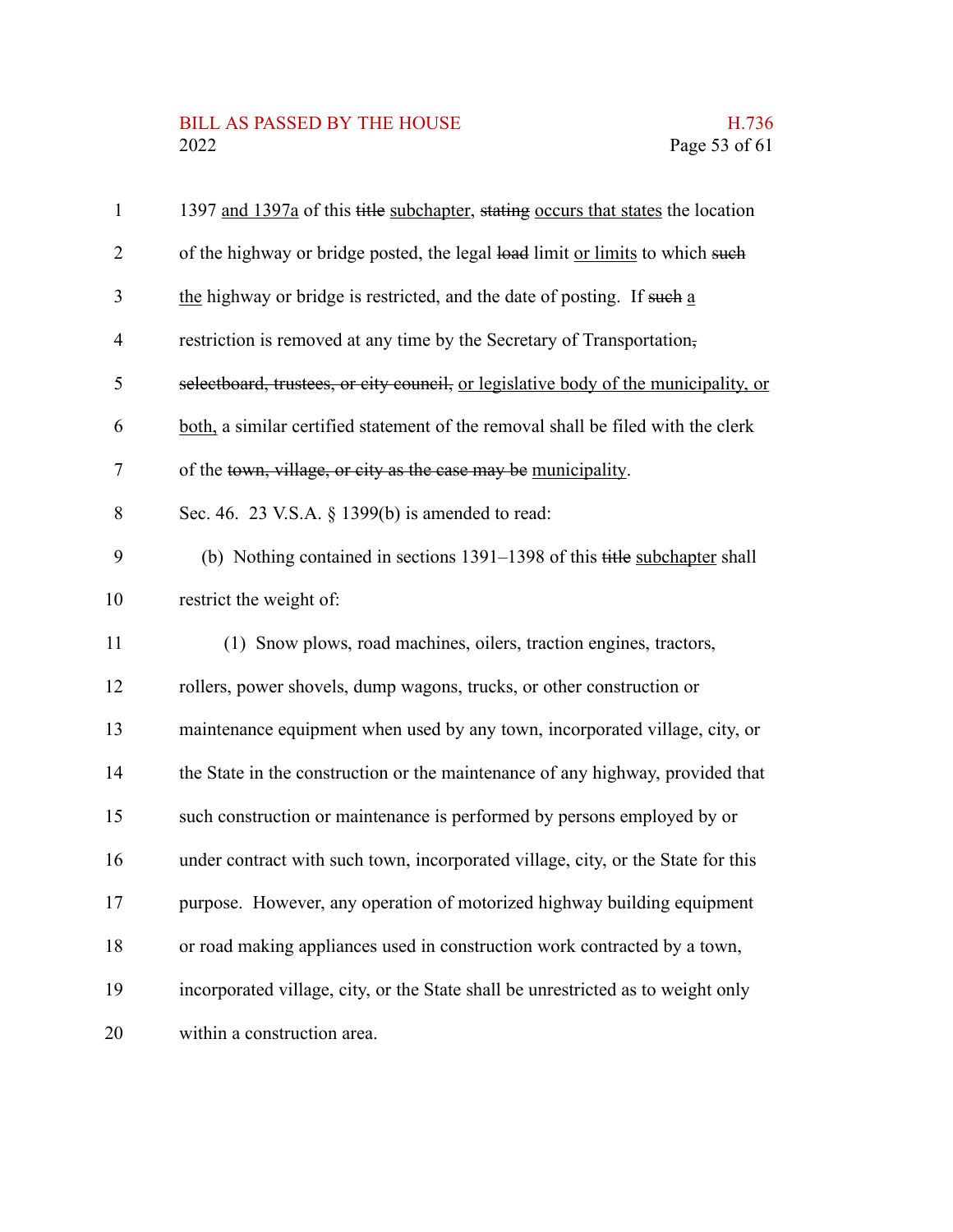### BILL AS PASSED BY THE HOUSE H.736<br>2022 Page 53 of 61

| $\mathbf{1}$   | 1397 and 1397a of this title subchapter, stating occurs that states the location    |
|----------------|-------------------------------------------------------------------------------------|
| $\overline{2}$ | of the highway or bridge posted, the legal load limit or limits to which such       |
| 3              | the highway or bridge is restricted, and the date of posting. If such a             |
| $\overline{4}$ | restriction is removed at any time by the Secretary of Transportation,              |
| 5              | selectboard, trustees, or city council, or legislative body of the municipality, or |
| 6              | both, a similar certified statement of the removal shall be filed with the clerk    |
| 7              | of the town, village, or city as the case may be municipality.                      |
| 8              | Sec. 46. 23 V.S.A. § 1399(b) is amended to read:                                    |
| 9              | (b) Nothing contained in sections 1391-1398 of this title subchapter shall          |
| 10             | restrict the weight of:                                                             |
| 11             | (1) Snow plows, road machines, oilers, traction engines, tractors,                  |
| 12             | rollers, power shovels, dump wagons, trucks, or other construction or               |
| 13             | maintenance equipment when used by any town, incorporated village, city, or         |
| 14             | the State in the construction or the maintenance of any highway, provided that      |
| 15             | such construction or maintenance is performed by persons employed by or             |
| 16             | under contract with such town, incorporated village, city, or the State for this    |
| 17             | purpose. However, any operation of motorized highway building equipment             |
| 18             | or road making appliances used in construction work contracted by a town,           |
| 19             | incorporated village, city, or the State shall be unrestricted as to weight only    |
| 20             | within a construction area.                                                         |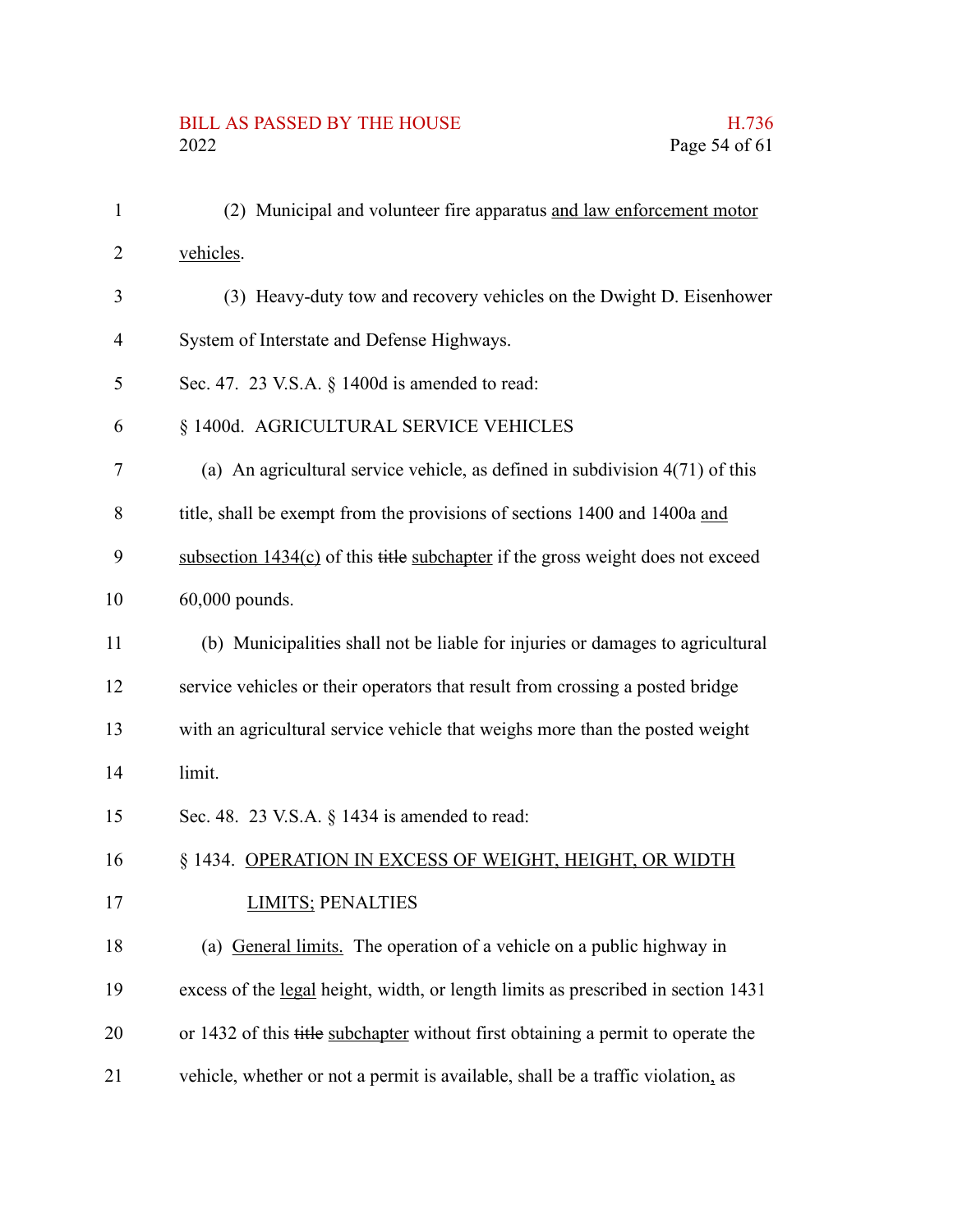# BILL AS PASSED BY THE HOUSE H.736<br>2022 Page 54 of 61

| $\mathbf{1}$   | (2) Municipal and volunteer fire apparatus and law enforcement motor              |
|----------------|-----------------------------------------------------------------------------------|
| $\overline{2}$ | vehicles.                                                                         |
| 3              | (3) Heavy-duty tow and recovery vehicles on the Dwight D. Eisenhower              |
| $\overline{4}$ | System of Interstate and Defense Highways.                                        |
| 5              | Sec. 47. 23 V.S.A. § 1400d is amended to read:                                    |
| 6              | § 1400d. AGRICULTURAL SERVICE VEHICLES                                            |
| 7              | (a) An agricultural service vehicle, as defined in subdivision $4(71)$ of this    |
| 8              | title, shall be exempt from the provisions of sections 1400 and 1400a and         |
| 9              | subsection $1434(c)$ of this title subchapter if the gross weight does not exceed |
| 10             | 60,000 pounds.                                                                    |
| 11             | (b) Municipalities shall not be liable for injuries or damages to agricultural    |
| 12             | service vehicles or their operators that result from crossing a posted bridge     |
| 13             | with an agricultural service vehicle that weighs more than the posted weight      |
| 14             | limit.                                                                            |
| 15             | Sec. 48. 23 V.S.A. § 1434 is amended to read:                                     |
| 16             | § 1434. OPERATION IN EXCESS OF WEIGHT, HEIGHT, OR WIDTH                           |
| 17             | <b>LIMITS; PENALTIES</b>                                                          |
| 18             | (a) General limits. The operation of a vehicle on a public highway in             |
| 19             | excess of the legal height, width, or length limits as prescribed in section 1431 |
| 20             | or 1432 of this title subchapter without first obtaining a permit to operate the  |
| 21             | vehicle, whether or not a permit is available, shall be a traffic violation, as   |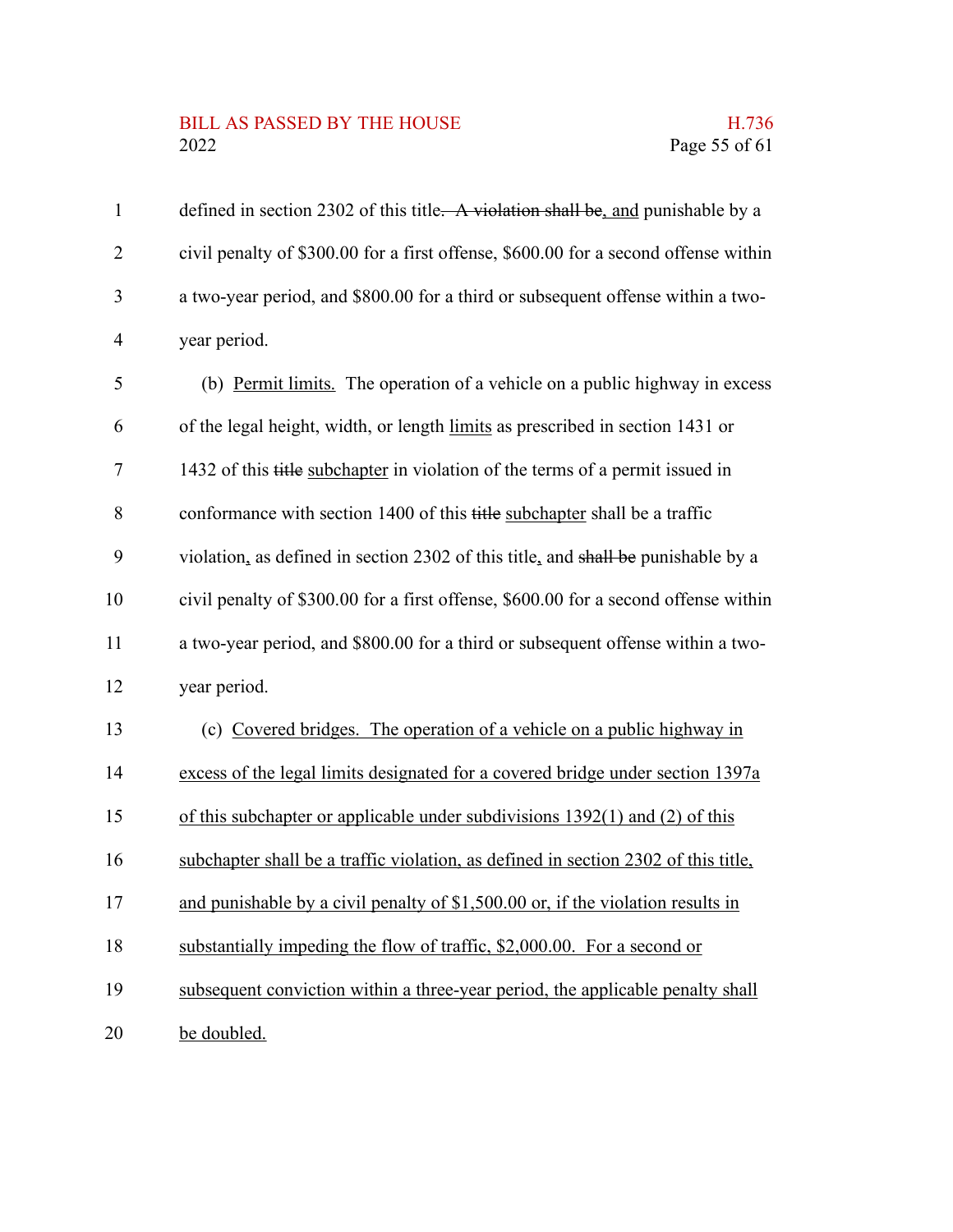#### BILL AS PASSED BY THE HOUSE **H.736** 2022 Page 55 of 61

defined in section 2302 of this title. A violation shall be, and punishable by a civil penalty of \$300.00 for a first offense, \$600.00 for a second offense within a two-year period, and \$800.00 for a third or subsequent offense within a twoyear period. 1 2 3 4

(b) Permit limits. The operation of a vehicle on a public highway in excess of the legal height, width, or length limits as prescribed in section 1431 or 1432 of this title subchapter in violation of the terms of a permit issued in conformance with section 1400 of this title subchapter shall be a traffic violation, as defined in section 2302 of this title, and shall be punishable by a civil penalty of \$300.00 for a first offense, \$600.00 for a second offense within a two-year period, and \$800.00 for a third or subsequent offense within a twoyear period. (c) Covered bridges. The operation of a vehicle on a public highway in excess of the legal limits designated for a covered bridge under section 1397a of this subchapter or applicable under subdivisions 1392(1) and (2) of this subchapter shall be a traffic violation, as defined in section 2302 of this title, and punishable by a civil penalty of \$1,500.00 or, if the violation results in substantially impeding the flow of traffic, \$2,000.00. For a second or 5 6 7 8 9 10 11 12 13 14 15 16 17 18

subsequent conviction within a three-year period, the applicable penalty shall 19

be doubled. 20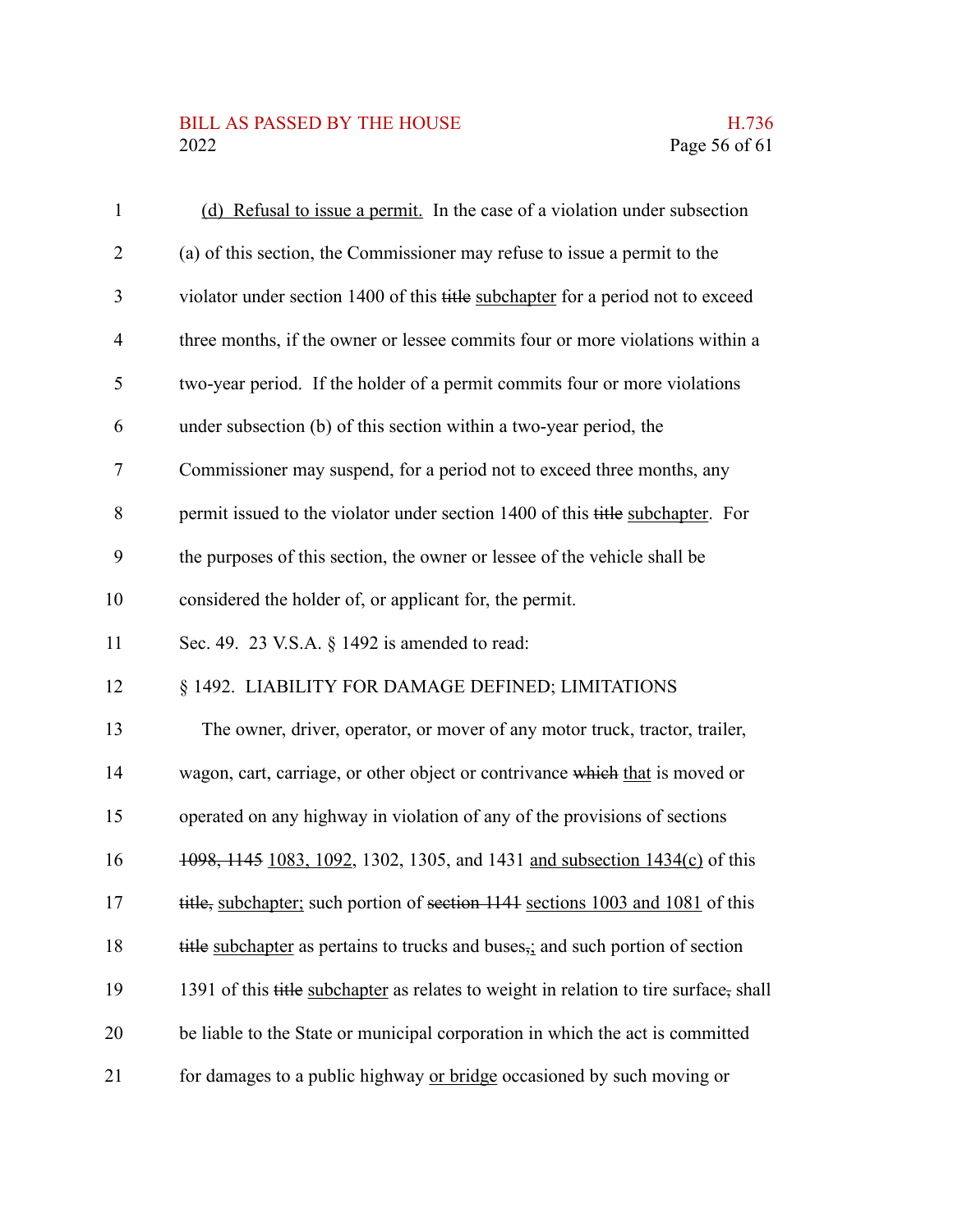### BILL AS PASSED BY THE HOUSE H.736<br>2022 Page 56 of 61

| $\mathbf{1}$   | (d) Refusal to issue a permit. In the case of a violation under subsection                  |
|----------------|---------------------------------------------------------------------------------------------|
| $\overline{2}$ | (a) of this section, the Commissioner may refuse to issue a permit to the                   |
| 3              | violator under section 1400 of this title subchapter for a period not to exceed             |
| $\overline{4}$ | three months, if the owner or lessee commits four or more violations within a               |
| 5              | two-year period. If the holder of a permit commits four or more violations                  |
| 6              | under subsection (b) of this section within a two-year period, the                          |
| $\tau$         | Commissioner may suspend, for a period not to exceed three months, any                      |
| 8              | permit issued to the violator under section 1400 of this title subchapter. For              |
| 9              | the purposes of this section, the owner or lessee of the vehicle shall be                   |
| 10             | considered the holder of, or applicant for, the permit.                                     |
| 11             | Sec. 49. 23 V.S.A. § 1492 is amended to read:                                               |
| 12             | § 1492. LIABILITY FOR DAMAGE DEFINED; LIMITATIONS                                           |
| 13             | The owner, driver, operator, or mover of any motor truck, tractor, trailer,                 |
| 14             | wagon, cart, carriage, or other object or contrivance which that is moved or                |
| 15             | operated on any highway in violation of any of the provisions of sections                   |
| 16             | 1098, 1145 1083, 1092, 1302, 1305, and 1431 and subsection 1434(c) of this                  |
| 17             | title, subchapter; such portion of section 1141 sections 1003 and 1081 of this              |
| 18             | title subchapter as pertains to trucks and buses <sub>5</sub> ; and such portion of section |
| 19             | 1391 of this title subchapter as relates to weight in relation to tire surface, shall       |
| 20             | be liable to the State or municipal corporation in which the act is committed               |
| 21             | for damages to a public highway or bridge occasioned by such moving or                      |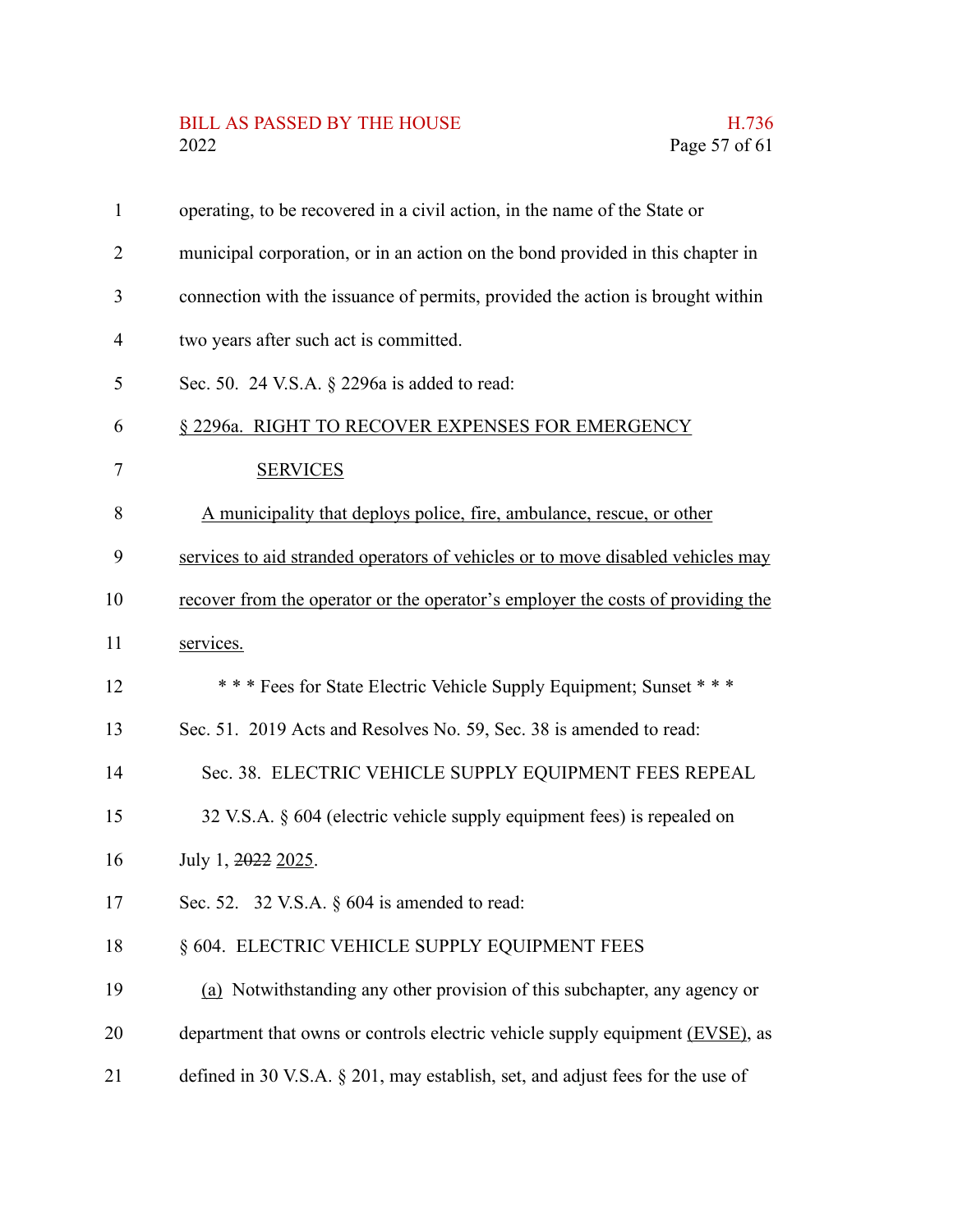# BILL AS PASSED BY THE HOUSE H.736<br>2022 Page 57 of 61

| $\mathbf{1}$ | operating, to be recovered in a civil action, in the name of the State or       |
|--------------|---------------------------------------------------------------------------------|
| 2            | municipal corporation, or in an action on the bond provided in this chapter in  |
| 3            | connection with the issuance of permits, provided the action is brought within  |
| 4            | two years after such act is committed.                                          |
| 5            | Sec. 50. 24 V.S.A. § 2296a is added to read:                                    |
| 6            | § 2296a. RIGHT TO RECOVER EXPENSES FOR EMERGENCY                                |
| 7            | <b>SERVICES</b>                                                                 |
| 8            | A municipality that deploys police, fire, ambulance, rescue, or other           |
| 9            | services to aid stranded operators of vehicles or to move disabled vehicles may |
| 10           | recover from the operator or the operator's employer the costs of providing the |
| 11           | services.                                                                       |
| 12           | *** Fees for State Electric Vehicle Supply Equipment; Sunset ***                |
| 13           | Sec. 51. 2019 Acts and Resolves No. 59, Sec. 38 is amended to read:             |
| 14           | Sec. 38. ELECTRIC VEHICLE SUPPLY EQUIPMENT FEES REPEAL                          |
| 15           | 32 V.S.A. § 604 (electric vehicle supply equipment fees) is repealed on         |
| 16           | July 1, 2022 2025.                                                              |
| 17           | Sec. 52. 32 V.S.A. § 604 is amended to read:                                    |
| 18           | § 604. ELECTRIC VEHICLE SUPPLY EQUIPMENT FEES                                   |
| 19           | (a) Notwithstanding any other provision of this subchapter, any agency or       |
| 20           | department that owns or controls electric vehicle supply equipment (EVSE), as   |
| 21           | defined in 30 V.S.A. § 201, may establish, set, and adjust fees for the use of  |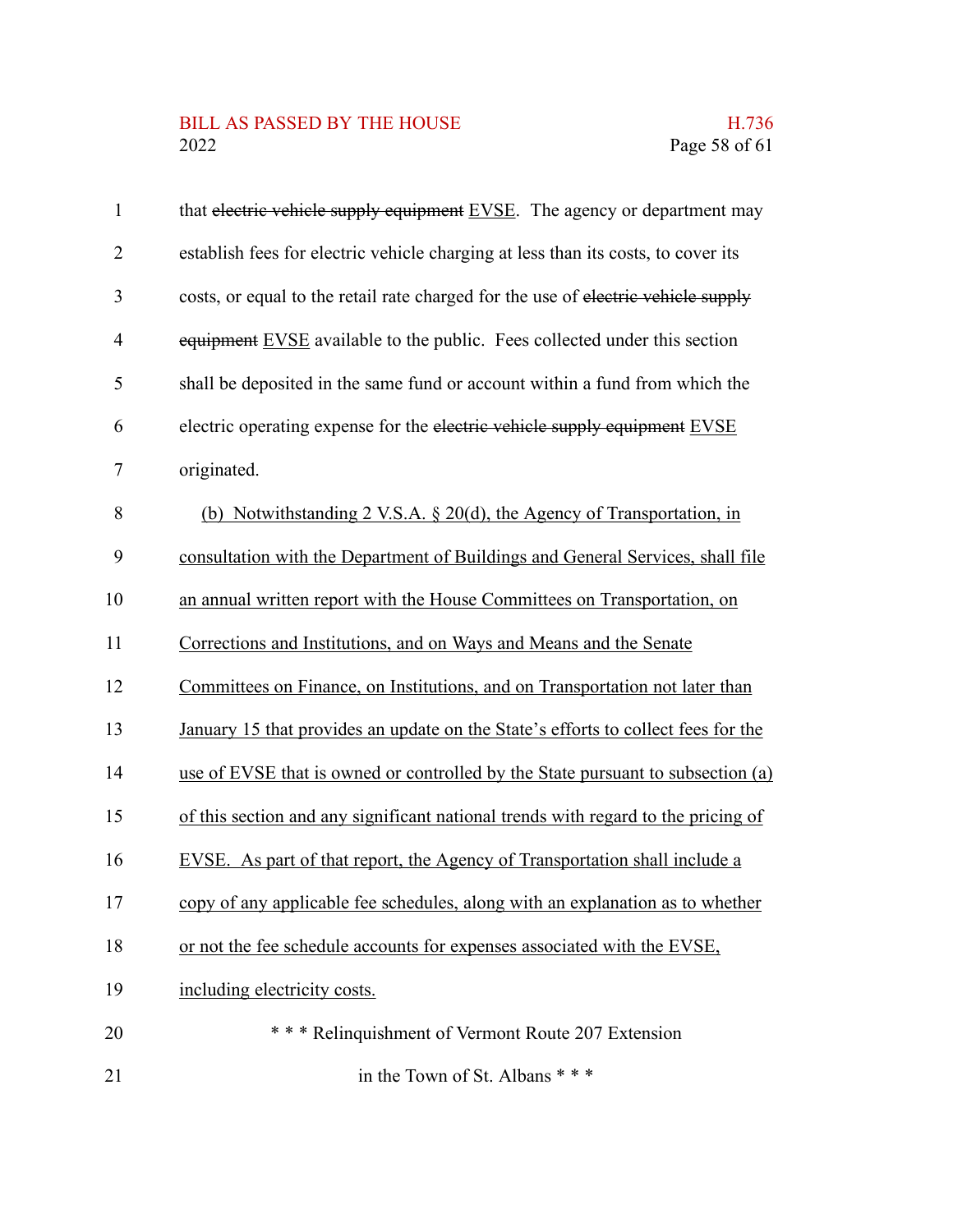## BILL AS PASSED BY THE HOUSE H.736<br>2022 Page 58 of 61

| $\mathbf{1}$   | that electric vehicle supply equipment EVSE. The agency or department may         |
|----------------|-----------------------------------------------------------------------------------|
| $\overline{2}$ | establish fees for electric vehicle charging at less than its costs, to cover its |
| 3              | costs, or equal to the retail rate charged for the use of electric vehicle supply |
| 4              | equipment EVSE available to the public. Fees collected under this section         |
| 5              | shall be deposited in the same fund or account within a fund from which the       |
| 6              | electric operating expense for the electric vehicle supply equipment EVSE         |
| 7              | originated.                                                                       |
| 8              | (b) Notwithstanding 2 V.S.A. $\S 20(d)$ , the Agency of Transportation, in        |
| 9              | consultation with the Department of Buildings and General Services, shall file    |
| 10             | an annual written report with the House Committees on Transportation, on          |
| 11             | Corrections and Institutions, and on Ways and Means and the Senate                |
| 12             | Committees on Finance, on Institutions, and on Transportation not later than      |
| 13             | January 15 that provides an update on the State's efforts to collect fees for the |
| 14             | use of EVSE that is owned or controlled by the State pursuant to subsection (a)   |
| 15             | of this section and any significant national trends with regard to the pricing of |
| 16             | EVSE. As part of that report, the Agency of Transportation shall include a        |
| 17             | copy of any applicable fee schedules, along with an explanation as to whether     |
| 18             | or not the fee schedule accounts for expenses associated with the EVSE,           |
| 19             | including electricity costs.                                                      |
| 20             | *** Relinquishment of Vermont Route 207 Extension                                 |
| 21             | in the Town of St. Albans * * *                                                   |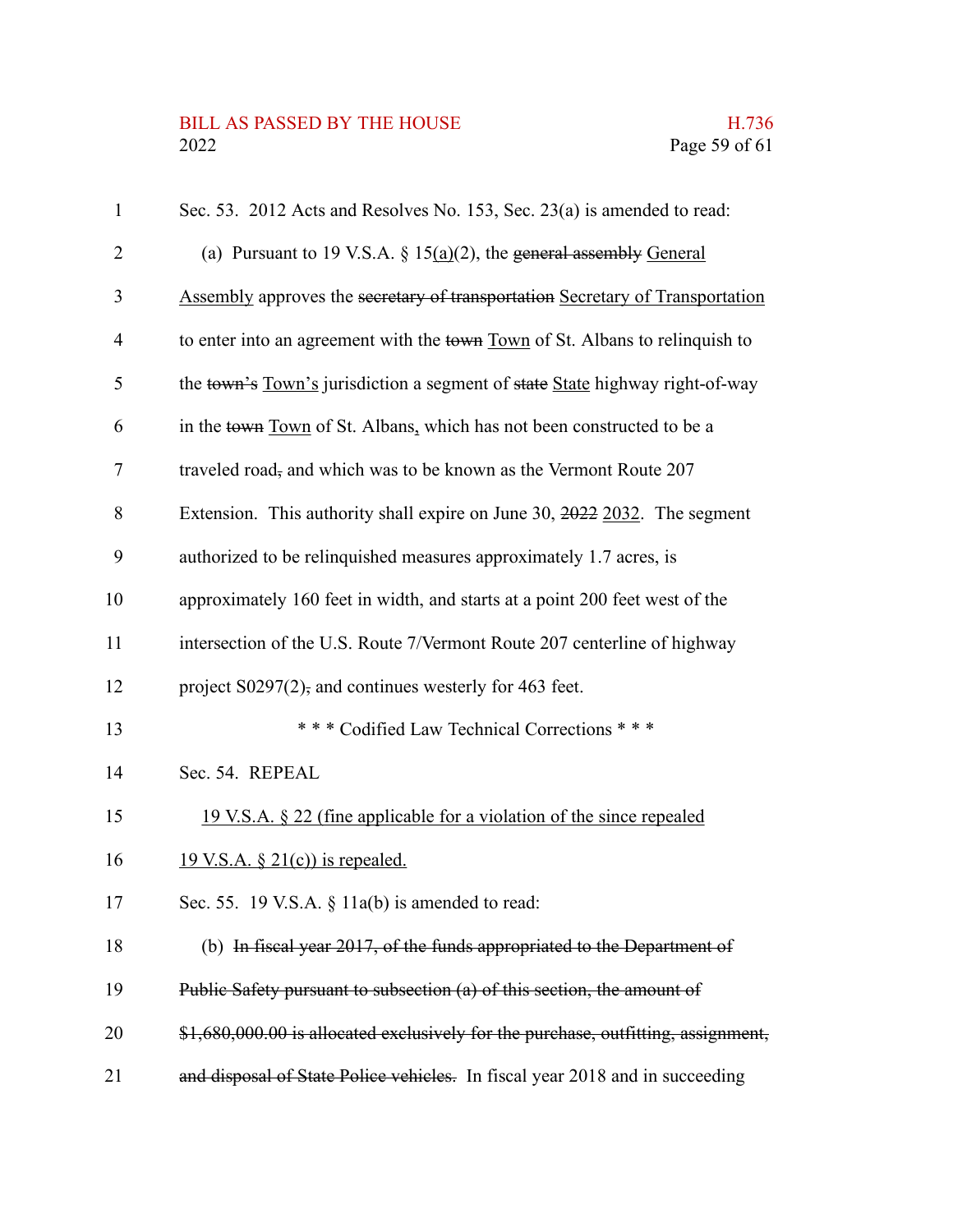### BILL AS PASSED BY THE HOUSE H.736<br>2022 Page 59 of 61

| $\mathbf{1}$ | Sec. 53. 2012 Acts and Resolves No. 153, Sec. 23(a) is amended to read:           |
|--------------|-----------------------------------------------------------------------------------|
| 2            | (a) Pursuant to 19 V.S.A. $\S$ 15(a)(2), the general assembly General             |
| 3            | Assembly approves the secretary of transportation Secretary of Transportation     |
| 4            | to enter into an agreement with the town Town of St. Albans to relinquish to      |
| 5            | the town's Town's jurisdiction a segment of state State highway right-of-way      |
| 6            | in the town Town of St. Albans, which has not been constructed to be a            |
| 7            | traveled road, and which was to be known as the Vermont Route 207                 |
| 8            | Extension. This authority shall expire on June 30, 2022 2032. The segment         |
| 9            | authorized to be relinquished measures approximately 1.7 acres, is                |
| 10           | approximately 160 feet in width, and starts at a point 200 feet west of the       |
| 11           | intersection of the U.S. Route 7/Vermont Route 207 centerline of highway          |
| 12           | project $S0297(2)$ , and continues westerly for 463 feet.                         |
| 13           | *** Codified Law Technical Corrections ***                                        |
| 14           | Sec. 54. REPEAL                                                                   |
| 15           | <u>19 V.S.A. § 22 (fine applicable for a violation of the since repealed</u>      |
| 16           | $\underline{19 \text{ V.S.A. } § 21(c)}$ is repealed.                             |
| 17           | Sec. 55. 19 V.S.A. $\S$ 11a(b) is amended to read:                                |
| 18           | (b) In fiscal year 2017, of the funds appropriated to the Department of           |
| 19           | Public Safety pursuant to subsection (a) of this section, the amount of           |
| 20           | \$1,680,000.00 is allocated exclusively for the purchase, outfitting, assignment, |
| 21           | and disposal of State Police vehicles. In fiscal year 2018 and in succeeding      |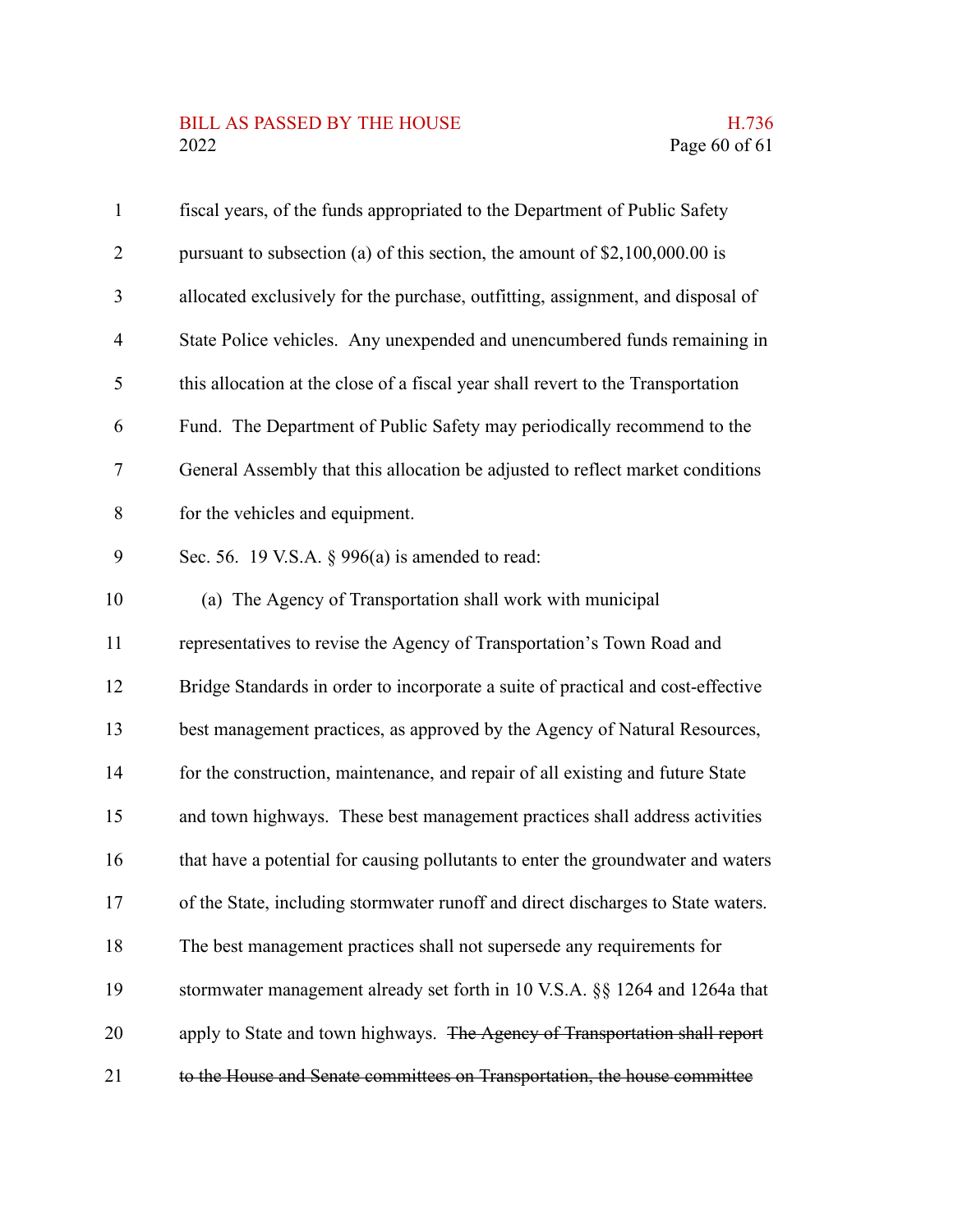# BILL AS PASSED BY THE HOUSE H.736<br>2022 Page 60 of 61

| $\mathbf{1}$   | fiscal years, of the funds appropriated to the Department of Public Safety       |
|----------------|----------------------------------------------------------------------------------|
| $\overline{2}$ | pursuant to subsection (a) of this section, the amount of $$2,100,000.00$ is     |
| 3              | allocated exclusively for the purchase, outfitting, assignment, and disposal of  |
| $\overline{4}$ | State Police vehicles. Any unexpended and unencumbered funds remaining in        |
| 5              | this allocation at the close of a fiscal year shall revert to the Transportation |
| 6              | Fund. The Department of Public Safety may periodically recommend to the          |
| 7              | General Assembly that this allocation be adjusted to reflect market conditions   |
| 8              | for the vehicles and equipment.                                                  |
| 9              | Sec. 56. 19 V.S.A. $\S$ 996(a) is amended to read:                               |
| 10             | (a) The Agency of Transportation shall work with municipal                       |
| 11             | representatives to revise the Agency of Transportation's Town Road and           |
| 12             | Bridge Standards in order to incorporate a suite of practical and cost-effective |
| 13             | best management practices, as approved by the Agency of Natural Resources,       |
| 14             | for the construction, maintenance, and repair of all existing and future State   |
| 15             | and town highways. These best management practices shall address activities      |
| 16             | that have a potential for causing pollutants to enter the groundwater and waters |
| 17             | of the State, including stormwater runoff and direct discharges to State waters. |
| 18             | The best management practices shall not supersede any requirements for           |
| 19             | stormwater management already set forth in 10 V.S.A. §§ 1264 and 1264a that      |
| 20             | apply to State and town highways. The Agency of Transportation shall report      |
| 21             | to the House and Senate committees on Transportation, the house committee        |